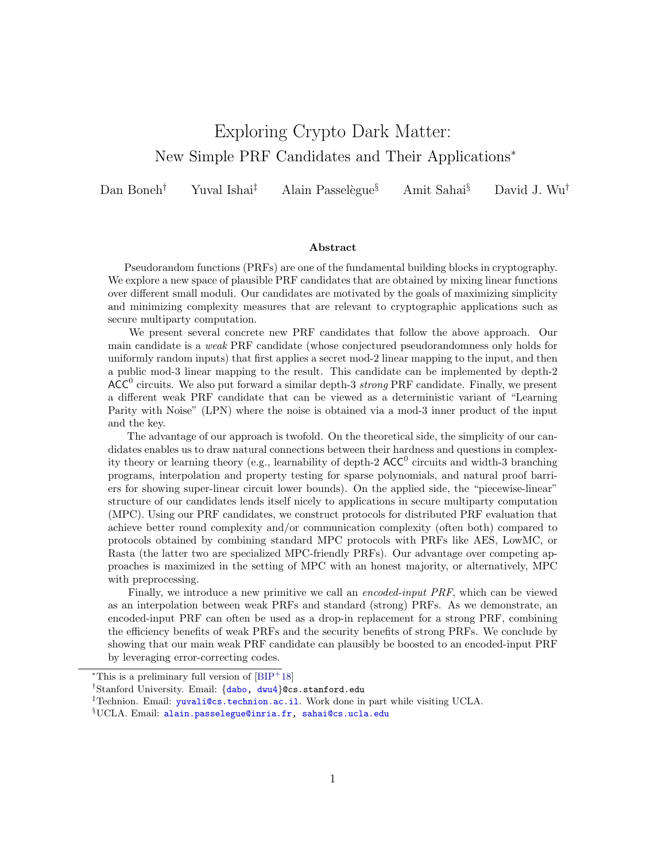# Exploring Crypto Dark Matter: New Simple PRF Candidates and Their Applications<sup>∗</sup>

Dan Boneh<sup>†</sup> Yuval Ishai<sup>‡</sup> Alain Passelègue<sup>§</sup> Amit Sahai<sup>§</sup> David J. Wu<sup>†</sup>

#### Abstract

Pseudorandom functions (PRFs) are one of the fundamental building blocks in cryptography. We explore a new space of plausible PRF candidates that are obtained by mixing linear functions over different small moduli. Our candidates are motivated by the goals of maximizing simplicity and minimizing complexity measures that are relevant to cryptographic applications such as secure multiparty computation.

We present several concrete new PRF candidates that follow the above approach. Our main candidate is a weak PRF candidate (whose conjectured pseudorandomness only holds for uniformly random inputs) that first applies a secret mod-2 linear mapping to the input, and then a public mod-3 linear mapping to the result. This candidate can be implemented by depth-2  $ACC<sup>0</sup>$  circuits. We also put forward a similar depth-3 strong PRF candidate. Finally, we present a different weak PRF candidate that can be viewed as a deterministic variant of "Learning Parity with Noise" (LPN) where the noise is obtained via a mod-3 inner product of the input and the key.

The advantage of our approach is twofold. On the theoretical side, the simplicity of our candidates enables us to draw natural connections between their hardness and questions in complexity theory or learning theory (e.g., learnability of depth-2  $ACC^0$  circuits and width-3 branching programs, interpolation and property testing for sparse polynomials, and natural proof barriers for showing super-linear circuit lower bounds). On the applied side, the "piecewise-linear" structure of our candidates lends itself nicely to applications in secure multiparty computation (MPC). Using our PRF candidates, we construct protocols for distributed PRF evaluation that achieve better round complexity and/or communication complexity (often both) compared to protocols obtained by combining standard MPC protocols with PRFs like AES, LowMC, or Rasta (the latter two are specialized MPC-friendly PRFs). Our advantage over competing approaches is maximized in the setting of MPC with an honest majority, or alternatively, MPC with preprocessing.

Finally, we introduce a new primitive we call an encoded-input PRF, which can be viewed as an interpolation between weak PRFs and standard (strong) PRFs. As we demonstrate, an encoded-input PRF can often be used as a drop-in replacement for a strong PRF, combining the efficiency benefits of weak PRFs and the security benefits of strong PRFs. We conclude by showing that our main weak PRF candidate can plausibly be boosted to an encoded-input PRF by leveraging error-correcting codes.

 $*$ This is a preliminary full version of  $|BIP+18|$ 

<sup>&</sup>lt;sup>†</sup>Stanford University. Email: {[dabo,](mailto:dabo@cs.stanford.edu) [dwu4](mailto:dwu4@cs.stanford.edu)}@cs.stanford.edu

<sup>‡</sup>Technion. Email: [yuvali@cs.technion.ac.il](mailto:yuvali@cs.technion.ac.il). Work done in part while visiting UCLA.

<sup>§</sup>UCLA. Email: [alain.passelegue@inria.fr,](mailto:alain.passelegue@inria.fr) [sahai@cs.ucla.edu](mailto:sahai@cs.ucla.edu)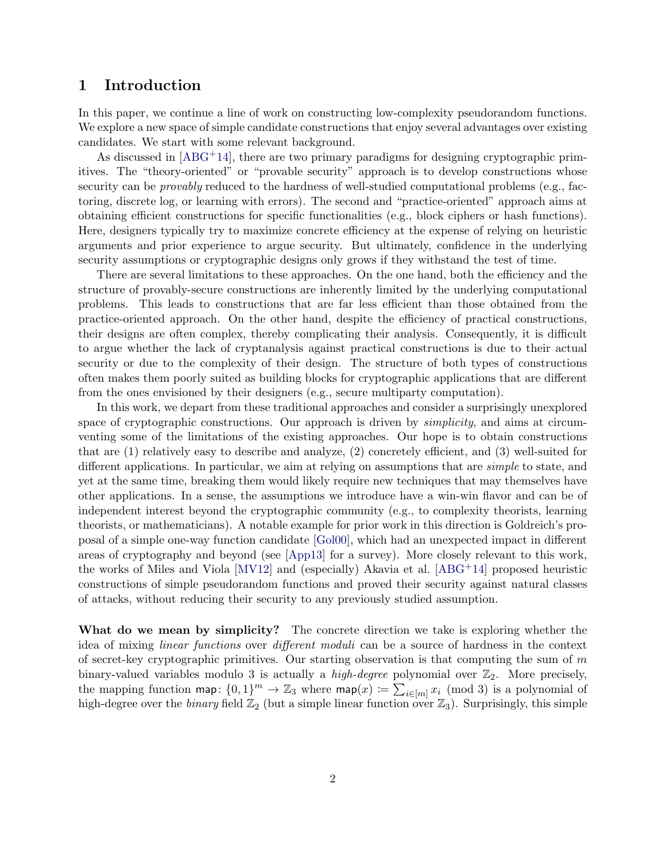### 1 Introduction

In this paper, we continue a line of work on constructing low-complexity pseudorandom functions. We explore a new space of simple candidate constructions that enjoy several advantages over existing candidates. We start with some relevant background.

As discussed in  $[ABC^+14]$ , there are two primary paradigms for designing cryptographic primitives. The "theory-oriented" or "provable security" approach is to develop constructions whose security can be *provably* reduced to the hardness of well-studied computational problems (e.g., factoring, discrete log, or learning with errors). The second and "practice-oriented" approach aims at obtaining efficient constructions for specific functionalities (e.g., block ciphers or hash functions). Here, designers typically try to maximize concrete efficiency at the expense of relying on heuristic arguments and prior experience to argue security. But ultimately, confidence in the underlying security assumptions or cryptographic designs only grows if they withstand the test of time.

There are several limitations to these approaches. On the one hand, both the efficiency and the structure of provably-secure constructions are inherently limited by the underlying computational problems. This leads to constructions that are far less efficient than those obtained from the practice-oriented approach. On the other hand, despite the efficiency of practical constructions, their designs are often complex, thereby complicating their analysis. Consequently, it is difficult to argue whether the lack of cryptanalysis against practical constructions is due to their actual security or due to the complexity of their design. The structure of both types of constructions often makes them poorly suited as building blocks for cryptographic applications that are different from the ones envisioned by their designers (e.g., secure multiparty computation).

In this work, we depart from these traditional approaches and consider a surprisingly unexplored space of cryptographic constructions. Our approach is driven by *simplicity*, and aims at circumventing some of the limitations of the existing approaches. Our hope is to obtain constructions that are (1) relatively easy to describe and analyze, (2) concretely efficient, and (3) well-suited for different applications. In particular, we aim at relying on assumptions that are *simple* to state, and yet at the same time, breaking them would likely require new techniques that may themselves have other applications. In a sense, the assumptions we introduce have a win-win flavor and can be of independent interest beyond the cryptographic community (e.g., to complexity theorists, learning theorists, or mathematicians). A notable example for prior work in this direction is Goldreich's proposal of a simple one-way function candidate [\[Gol00\]](#page-53-0), which had an unexpected impact in different areas of cryptography and beyond (see [\[App13\]](#page-50-0) for a survey). More closely relevant to this work, the works of Miles and Viola [\[MV12\]](#page-54-0) and (especially) Akavia et al. [\[ABG](#page-49-0)+14] proposed heuristic constructions of simple pseudorandom functions and proved their security against natural classes of attacks, without reducing their security to any previously studied assumption.

What do we mean by simplicity? The concrete direction we take is exploring whether the idea of mixing linear functions over different moduli can be a source of hardness in the context of secret-key cryptographic primitives. Our starting observation is that computing the sum of  $m$ binary-valued variables modulo 3 is actually a *high-degree* polynomial over  $\mathbb{Z}_2$ . More precisely, the mapping function map:  $\{0,1\}^m \to \mathbb{Z}_3$  where map $(x) \coloneqq \sum_{i \in [m]} x_i \pmod{3}$  is a polynomial of high-degree over the *binary* field  $\mathbb{Z}_2$  (but a simple linear function over  $\mathbb{Z}_3$ ). Surprisingly, this simple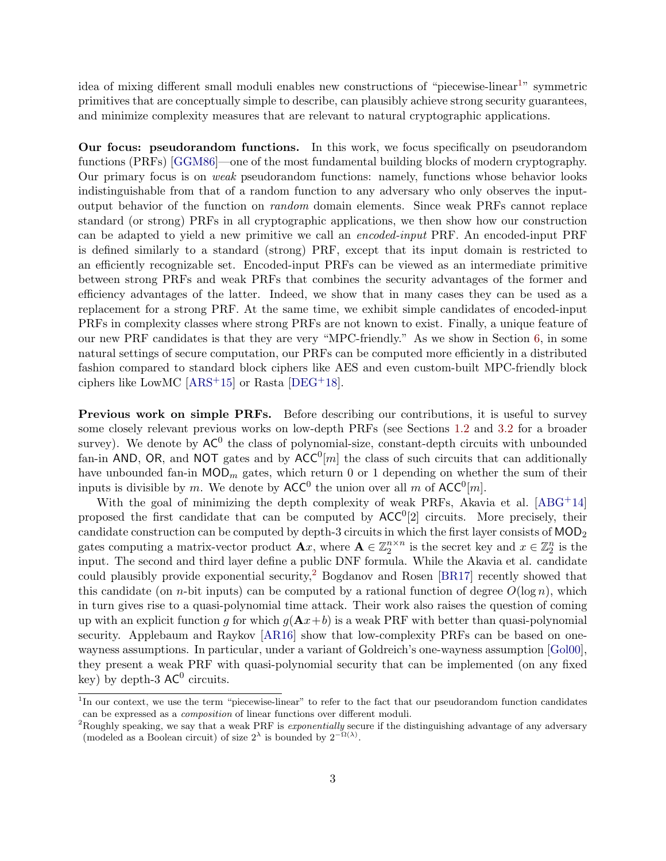idea of mixing different small moduli enables new constructions of "piecewise-linear<sup>[1](#page-2-0)</sup>" symmetric primitives that are conceptually simple to describe, can plausibly achieve strong security guarantees, and minimize complexity measures that are relevant to natural cryptographic applications.

Our focus: pseudorandom functions. In this work, we focus specifically on pseudorandom functions (PRFs) [\[GGM86\]](#page-52-0)—one of the most fundamental building blocks of modern cryptography. Our primary focus is on weak pseudorandom functions: namely, functions whose behavior looks indistinguishable from that of a random function to any adversary who only observes the inputoutput behavior of the function on random domain elements. Since weak PRFs cannot replace standard (or strong) PRFs in all cryptographic applications, we then show how our construction can be adapted to yield a new primitive we call an encoded-input PRF. An encoded-input PRF is defined similarly to a standard (strong) PRF, except that its input domain is restricted to an efficiently recognizable set. Encoded-input PRFs can be viewed as an intermediate primitive between strong PRFs and weak PRFs that combines the security advantages of the former and efficiency advantages of the latter. Indeed, we show that in many cases they can be used as a replacement for a strong PRF. At the same time, we exhibit simple candidates of encoded-input PRFs in complexity classes where strong PRFs are not known to exist. Finally, a unique feature of our new PRF candidates is that they are very "MPC-friendly." As we show in Section [6,](#page-26-0) in some natural settings of secure computation, our PRFs can be computed more efficiently in a distributed fashion compared to standard block ciphers like AES and even custom-built MPC-friendly block ciphers like LowMC  $[ARS+15]$  $[ARS+15]$  or Rasta  $[DEG+18]$  $[DEG+18]$ .

Previous work on simple PRFs. Before describing our contributions, it is useful to survey some closely relevant previous works on low-depth PRFs (see Sections [1.2](#page-12-0) and [3.2](#page-16-0) for a broader survey). We denote by  $AC^0$  the class of polynomial-size, constant-depth circuits with unbounded fan-in AND, OR, and NOT gates and by  $ACC^0[m]$  the class of such circuits that can additionally have unbounded fan-in  $\text{MOD}_m$  gates, which return 0 or 1 depending on whether the sum of their inputs is divisible by m. We denote by  $ACC^0$  the union over all m of  $ACC^0[m]$ .

With the goal of minimizing the depth complexity of weak PRFs, Akavia et al.  $[ABC^+14]$ proposed the first candidate that can be computed by  $ACC^{0}[2]$  circuits. More precisely, their candidate construction can be computed by depth-3 circuits in which the first layer consists of  $MOD_2$ gates computing a matrix-vector product  $\mathbf{A}x$ , where  $\mathbf{A} \in \mathbb{Z}_2^{n \times n}$  is the secret key and  $x \in \mathbb{Z}_2^n$  is the input. The second and third layer define a public DNF formula. While the Akavia et al. candidate could plausibly provide exponential security,<sup>[2](#page-2-1)</sup> Bogdanov and Rosen [\[BR17\]](#page-51-1) recently showed that this candidate (on *n*-bit inputs) can be computed by a rational function of degree  $O(\log n)$ , which in turn gives rise to a quasi-polynomial time attack. Their work also raises the question of coming up with an explicit function g for which  $g(\mathbf{A}x+b)$  is a weak PRF with better than quasi-polynomial security. Applebaum and Raykov [\[AR16\]](#page-50-2) show that low-complexity PRFs can be based on onewayness assumptions. In particular, under a variant of Goldreich's one-wayness assumption [\[Gol00\]](#page-53-0), they present a weak PRF with quasi-polynomial security that can be implemented (on any fixed key) by depth-3  $AC^0$  circuits.

<span id="page-2-0"></span><sup>&</sup>lt;sup>1</sup>In our context, we use the term "piecewise-linear" to refer to the fact that our pseudorandom function candidates can be expressed as a composition of linear functions over different moduli.

<span id="page-2-1"></span><sup>&</sup>lt;sup>2</sup>Roughly speaking, we say that a weak PRF is *exponentially* secure if the distinguishing advantage of any adversary (modeled as a Boolean circuit) of size  $2^{\lambda}$  is bounded by  $2^{-\Omega(\lambda)}$ .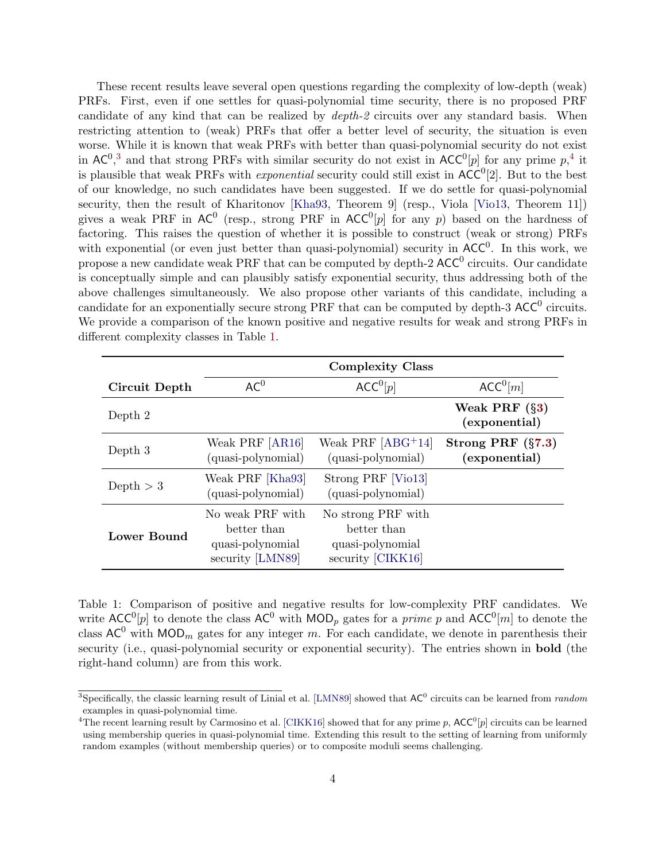These recent results leave several open questions regarding the complexity of low-depth (weak) PRFs. First, even if one settles for quasi-polynomial time security, there is no proposed PRF candidate of any kind that can be realized by depth-2 circuits over any standard basis. When restricting attention to (weak) PRFs that offer a better level of security, the situation is even worse. While it is known that weak PRFs with better than quasi-polynomial security do not exist in  $AC^{0,3}$  $AC^{0,3}$  $AC^{0,3}$  and that strong PRFs with similar security do not exist in  $ACC^{0}[p]$  for any prime  $p,4$  $p,4$  it is plausible that weak PRFs with *exponential* security could still exist in  $ACC^0[2]$ . But to the best of our knowledge, no such candidates have been suggested. If we do settle for quasi-polynomial security, then the result of Kharitonov [\[Kha93,](#page-53-1) Theorem 9] (resp., Viola [\[Vio13,](#page-55-0) Theorem 11]) gives a weak PRF in  $AC^0$  (resp., strong PRF in  $ACC^0[p]$  for any p) based on the hardness of factoring. This raises the question of whether it is possible to construct (weak or strong) PRFs with exponential (or even just better than quasi-polynomial) security in  $ACC^{0}$ . In this work, we propose a new candidate weak PRF that can be computed by depth-2  $\mathsf{ACC}^0$  circuits. Our candidate is conceptually simple and can plausibly satisfy exponential security, thus addressing both of the above challenges simultaneously. We also propose other variants of this candidate, including a candidate for an exponentially secure strong PRF that can be computed by depth-3  $ACC^0$  circuits. We provide a comparison of the known positive and negative results for weak and strong PRFs in different complexity classes in Table [1.](#page-3-2)

|               | <b>Complexity Class</b>                                                 |                                                                            |                                         |  |
|---------------|-------------------------------------------------------------------------|----------------------------------------------------------------------------|-----------------------------------------|--|
| Circuit Depth | AC <sup>0</sup>                                                         | $ACC^{0}[p]$                                                               | $ACC^{0}[m]$                            |  |
| Depth 2       |                                                                         |                                                                            | Weak PRF $(\S3)$<br>$(\rm exponential)$ |  |
| Depth 3       | Weak PRF [AR16]<br>(quasi-polynomial)                                   | Weak PRF $[ABC^+14]$<br>(quasi-polynomial)                                 | Strong PRF $(\S7.3)$<br>(exponential)   |  |
| Depth $>$ 3   | Weak PRF [Kha93]<br>(quasi-polynomial)                                  | Strong PRF [Vio13]<br>(quasi-polynomial)                                   |                                         |  |
| Lower Bound   | No weak PRF with<br>better than<br>quasi-polynomial<br>security [LMN89] | No strong PRF with<br>better than<br>quasi-polynomial<br>security [CIKK16] |                                         |  |

<span id="page-3-2"></span>Table 1: Comparison of positive and negative results for low-complexity PRF candidates. We write  $\mathsf{ACC}^0[p]$  to denote the class  $\mathsf{AC}^0$  with  $\mathsf{MOD}_p$  gates for a prime p and  $\mathsf{ACC}^0[m]$  to denote the class  $AC^0$  with  $MOD_m$  gates for any integer m. For each candidate, we denote in parenthesis their security (i.e., quasi-polynomial security or exponential security). The entries shown in **bold** (the right-hand column) are from this work.

<span id="page-3-0"></span><sup>&</sup>lt;sup>3</sup>Specifically, the classic learning result of Linial et al. [\[LMN89\]](#page-54-1) showed that  $AC^0$  circuits can be learned from *random* examples in quasi-polynomial time.

<span id="page-3-1"></span><sup>&</sup>lt;sup>4</sup>The recent learning result by Carmosino et al. [\[CIKK16\]](#page-52-2) showed that for any prime p,  $ACC^{0}[p]$  circuits can be learned using membership queries in quasi-polynomial time. Extending this result to the setting of learning from uniformly random examples (without membership queries) or to composite moduli seems challenging.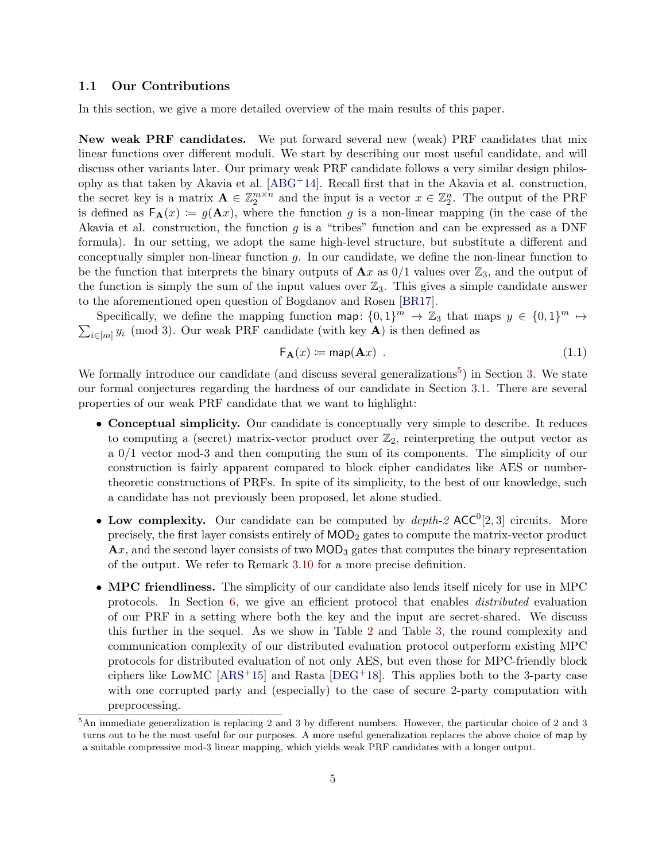#### <span id="page-4-2"></span>1.1 Our Contributions

In this section, we give a more detailed overview of the main results of this paper.

New weak PRF candidates. We put forward several new (weak) PRF candidates that mix linear functions over different moduli. We start by describing our most useful candidate, and will discuss other variants later. Our primary weak PRF candidate follows a very similar design philosophy as that taken by Akavia et al. [\[ABG](#page-49-0)+14]. Recall first that in the Akavia et al. construction, the secret key is a matrix  $\mathbf{A} \in \mathbb{Z}_2^{m \times n}$  and the input is a vector  $x \in \mathbb{Z}_2^n$ . The output of the PRF is defined as  $F_{\mathbf{A}}(x) := g(\mathbf{A}x)$ , where the function g is a non-linear mapping (in the case of the Akavia et al. construction, the function g is a "tribes" function and can be expressed as a DNF formula). In our setting, we adopt the same high-level structure, but substitute a different and conceptually simpler non-linear function  $g$ . In our candidate, we define the non-linear function to be the function that interprets the binary outputs of  $\mathbf{A}x$  as  $0/1$  values over  $\mathbb{Z}_3$ , and the output of the function is simply the sum of the input values over  $\mathbb{Z}_3$ . This gives a simple candidate answer to the aforementioned open question of Bogdanov and Rosen [\[BR17\]](#page-51-1).

Specifically, we define the mapping function map:  $\{0,1\}^m \to \mathbb{Z}_3$  that maps  $y \in \{0,1\}^m \mapsto$  $\sum_{i\in[m]}y_i \pmod{3}$ . Our weak PRF candidate (with key **A**) is then defined as

<span id="page-4-1"></span>
$$
\mathsf{F}_{\mathbf{A}}(x) \coloneqq \mathsf{map}(\mathbf{A}x) \tag{1.1}
$$

We formally introduce our candidate (and discuss several generalizations<sup>[5](#page-4-0)</sup>) in Section [3.](#page-13-0) We state our formal conjectures regarding the hardness of our candidate in Section [3.1.](#page-15-0) There are several properties of our weak PRF candidate that we want to highlight:

- Conceptual simplicity. Our candidate is conceptually very simple to describe. It reduces to computing a (secret) matrix-vector product over  $\mathbb{Z}_2$ , reinterpreting the output vector as a 0/1 vector mod-3 and then computing the sum of its components. The simplicity of our construction is fairly apparent compared to block cipher candidates like AES or numbertheoretic constructions of PRFs. In spite of its simplicity, to the best of our knowledge, such a candidate has not previously been proposed, let alone studied.
- Low complexity. Our candidate can be computed by  $depth-2$  ACC<sup>0</sup>[2,3] circuits. More precisely, the first layer consists entirely of MOD<sup>2</sup> gates to compute the matrix-vector product  $\mathbf{A}x$ , and the second layer consists of two  $\text{MOD}_3$  gates that computes the binary representation of the output. We refer to Remark [3.10](#page-15-1) for a more precise definition.
- MPC friendliness. The simplicity of our candidate also lends itself nicely for use in MPC protocols. In Section [6,](#page-26-0) we give an efficient protocol that enables distributed evaluation of our PRF in a setting where both the key and the input are secret-shared. We discuss this further in the sequel. As we show in Table [2](#page-9-0) and Table [3,](#page-10-0) the round complexity and communication complexity of our distributed evaluation protocol outperform existing MPC protocols for distributed evaluation of not only AES, but even those for MPC-friendly block ciphers like LowMC  $[ARS<sup>+</sup>15]$  $[ARS<sup>+</sup>15]$  and Rasta  $[DEG<sup>+</sup>18]$  $[DEG<sup>+</sup>18]$ . This applies both to the 3-party case with one corrupted party and (especially) to the case of secure 2-party computation with preprocessing.

<span id="page-4-0"></span><sup>5</sup>An immediate generalization is replacing 2 and 3 by different numbers. However, the particular choice of 2 and 3 turns out to be the most useful for our purposes. A more useful generalization replaces the above choice of map by a suitable compressive mod-3 linear mapping, which yields weak PRF candidates with a longer output.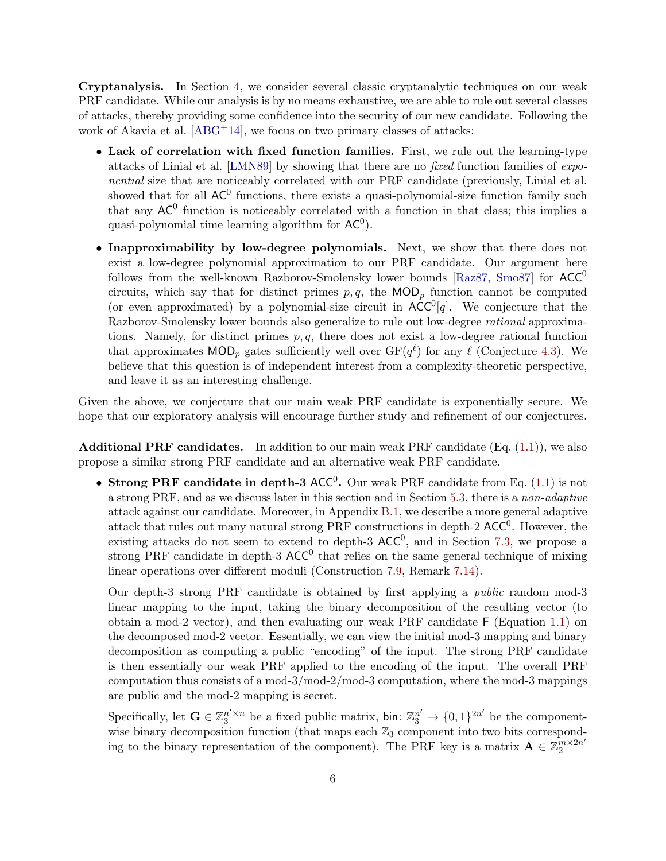Cryptanalysis. In Section [4,](#page-18-0) we consider several classic cryptanalytic techniques on our weak PRF candidate. While our analysis is by no means exhaustive, we are able to rule out several classes of attacks, thereby providing some confidence into the security of our new candidate. Following the work of Akavia et al.  $[ABC^+14]$ , we focus on two primary classes of attacks:

- Lack of correlation with fixed function families. First, we rule out the learning-type attacks of Linial et al. [\[LMN89\]](#page-54-1) by showing that there are no fixed function families of exponential size that are noticeably correlated with our PRF candidate (previously, Linial et al. showed that for all  $AC^0$  functions, there exists a quasi-polynomial-size function family such that any  $AC^0$  function is noticeably correlated with a function in that class; this implies a quasi-polynomial time learning algorithm for  $AC^0$ ).
- Inapproximability by low-degree polynomials. Next, we show that there does not exist a low-degree polynomial approximation to our PRF candidate. Our argument here follows from the well-known Razborov-Smolensky lower bounds [\[Raz87,](#page-55-1) [Smo87\]](#page-55-2) for ACC<sup>0</sup> circuits, which say that for distinct primes  $p, q$ , the MOD<sub>p</sub> function cannot be computed (or even approximated) by a polynomial-size circuit in  $ACC^{0}[q]$ . We conjecture that the Razborov-Smolensky lower bounds also generalize to rule out low-degree rational approximations. Namely, for distinct primes  $p, q$ , there does not exist a low-degree rational function that approximates  $\textsf{MOD}_p$  gates sufficiently well over  $\text{GF}(q^\ell)$  for any  $\ell$  (Conjecture [4.3\)](#page-19-0). We believe that this question is of independent interest from a complexity-theoretic perspective, and leave it as an interesting challenge.

Given the above, we conjecture that our main weak PRF candidate is exponentially secure. We hope that our exploratory analysis will encourage further study and refinement of our conjectures.

**Additional PRF candidates.** In addition to our main weak PRF candidate (Eq.  $(1.1)$ ), we also propose a similar strong PRF candidate and an alternative weak PRF candidate.

• Strong PRF candidate in depth-3  $ACC^{0}$ . Our weak PRF candidate from Eq. [\(1.1\)](#page-4-1) is not a strong PRF, and as we discuss later in this section and in Section [5.3,](#page-24-0) there is a non-adaptive attack against our candidate. Moreover, in Appendix [B.1,](#page-58-0) we describe a more general adaptive attack that rules out many natural strong PRF constructions in depth-2  $ACC^{0}$ . However, the existing attacks do not seem to extend to depth-3  $ACC^0$ , and in Section [7.3,](#page-45-0) we propose a strong PRF candidate in depth-3  $ACC^0$  that relies on the same general technique of mixing linear operations over different moduli (Construction [7.9,](#page-46-0) Remark [7.14\)](#page-48-0).

Our depth-3 strong PRF candidate is obtained by first applying a public random mod-3 linear mapping to the input, taking the binary decomposition of the resulting vector (to obtain a mod-2 vector), and then evaluating our weak PRF candidate F (Equation [1.1\)](#page-4-1) on the decomposed mod-2 vector. Essentially, we can view the initial mod-3 mapping and binary decomposition as computing a public "encoding" of the input. The strong PRF candidate is then essentially our weak PRF applied to the encoding of the input. The overall PRF computation thus consists of a mod-3/mod-2/mod-3 computation, where the mod-3 mappings are public and the mod-2 mapping is secret.

Specifically, let  $\mathbf{G} \in \mathbb{Z}_3^{n' \times n}$  be a fixed public matrix, bin:  $\mathbb{Z}_3^{n'} \to \{0,1\}^{2n'}$  be the componentwise binary decomposition function (that maps each  $\mathbb{Z}_3$  component into two bits corresponding to the binary representation of the component). The PRF key is a matrix  $\mathbf{A} \in \mathbb{Z}_2^{m \times 2n'}$ 2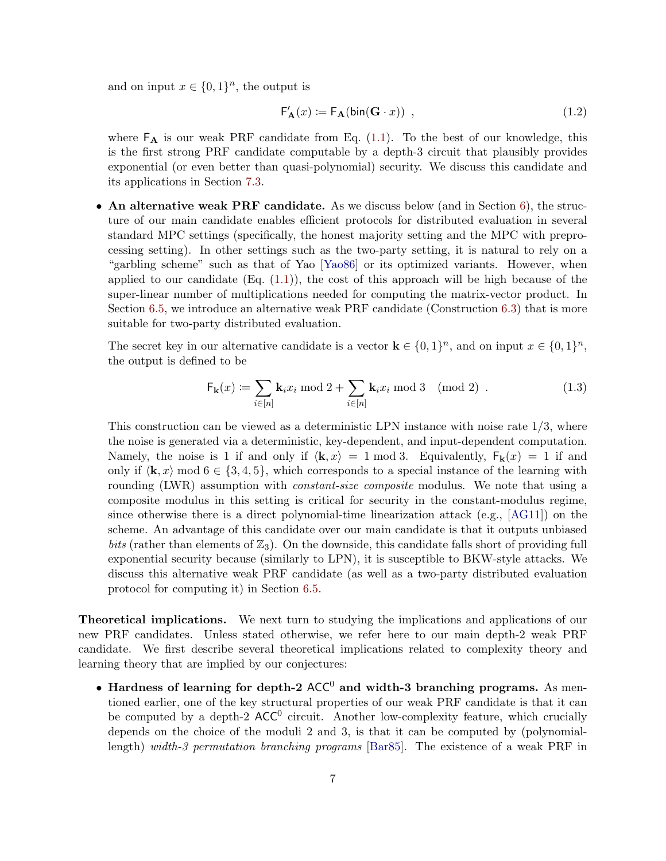and on input  $x \in \{0,1\}^n$ , the output is

<span id="page-6-0"></span>
$$
\mathsf{F}_{\mathbf{A}}'(x) \coloneqq \mathsf{F}_{\mathbf{A}}(\mathsf{bin}(\mathbf{G}\cdot x)) \tag{1.2}
$$

where  $F_A$  is our weak PRF candidate from Eq.  $(1.1)$ . To the best of our knowledge, this is the first strong PRF candidate computable by a depth-3 circuit that plausibly provides exponential (or even better than quasi-polynomial) security. We discuss this candidate and its applications in Section [7.3.](#page-45-0)

• An alternative weak PRF candidate. As we discuss below (and in Section [6\)](#page-26-0), the structure of our main candidate enables efficient protocols for distributed evaluation in several standard MPC settings (specifically, the honest majority setting and the MPC with preprocessing setting). In other settings such as the two-party setting, it is natural to rely on a "garbling scheme" such as that of Yao [\[Yao86\]](#page-55-3) or its optimized variants. However, when applied to our candidate  $(Eq. (1.1))$  $(Eq. (1.1))$  $(Eq. (1.1))$ , the cost of this approach will be high because of the super-linear number of multiplications needed for computing the matrix-vector product. In Section [6.5,](#page-34-0) we introduce an alternative weak PRF candidate (Construction [6.3\)](#page-34-1) that is more suitable for two-party distributed evaluation.

The secret key in our alternative candidate is a vector  $\mathbf{k} \in \{0,1\}^n$ , and on input  $x \in \{0,1\}^n$ , the output is defined to be

<span id="page-6-1"></span>
$$
\mathsf{F}_{\mathbf{k}}(x) \coloneqq \sum_{i \in [n]} \mathbf{k}_i x_i \bmod 2 + \sum_{i \in [n]} \mathbf{k}_i x_i \bmod 3 \pmod{2} . \tag{1.3}
$$

This construction can be viewed as a deterministic LPN instance with noise rate  $1/3$ , where the noise is generated via a deterministic, key-dependent, and input-dependent computation. Namely, the noise is 1 if and only if  $\langle \mathbf{k}, x \rangle = 1 \text{ mod } 3$ . Equivalently,  $F_{\mathbf{k}}(x) = 1$  if and only if  $\langle \mathbf{k}, x \rangle$  mod  $6 \in \{3, 4, 5\}$ , which corresponds to a special instance of the learning with rounding (LWR) assumption with *constant-size composite* modulus. We note that using a composite modulus in this setting is critical for security in the constant-modulus regime, since otherwise there is a direct polynomial-time linearization attack (e.g., [\[AG11\]](#page-49-1)) on the scheme. An advantage of this candidate over our main candidate is that it outputs unbiased bits (rather than elements of  $\mathbb{Z}_3$ ). On the downside, this candidate falls short of providing full exponential security because (similarly to LPN), it is susceptible to BKW-style attacks. We discuss this alternative weak PRF candidate (as well as a two-party distributed evaluation protocol for computing it) in Section [6.5.](#page-34-0)

Theoretical implications. We next turn to studying the implications and applications of our new PRF candidates. Unless stated otherwise, we refer here to our main depth-2 weak PRF candidate. We first describe several theoretical implications related to complexity theory and learning theory that are implied by our conjectures:

• Hardness of learning for depth-2  $ACC^{0}$  and width-3 branching programs. As mentioned earlier, one of the key structural properties of our weak PRF candidate is that it can be computed by a depth-2  $ACC^0$  circuit. Another low-complexity feature, which crucially depends on the choice of the moduli 2 and 3, is that it can be computed by (polynomiallength) width-3 permutation branching programs [\[Bar85\]](#page-50-3). The existence of a weak PRF in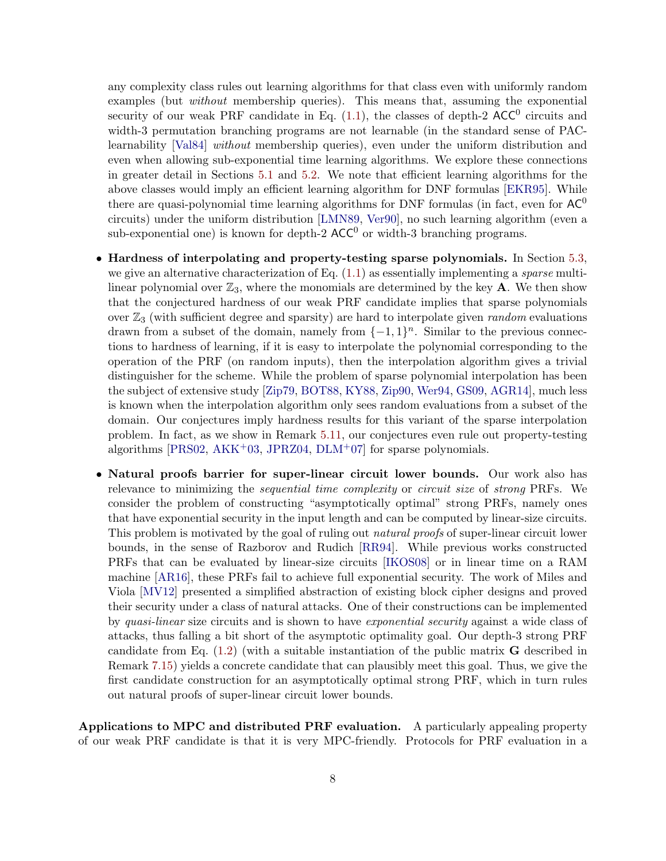any complexity class rules out learning algorithms for that class even with uniformly random examples (but without membership queries). This means that, assuming the exponential security of our weak PRF candidate in Eq.  $(1.1)$ , the classes of depth-2  $ACC^0$  circuits and width-3 permutation branching programs are not learnable (in the standard sense of PAClearnability [\[Val84\]](#page-55-4) without membership queries), even under the uniform distribution and even when allowing sub-exponential time learning algorithms. We explore these connections in greater detail in Sections [5.1](#page-21-0) and [5.2.](#page-23-0) We note that efficient learning algorithms for the above classes would imply an efficient learning algorithm for DNF formulas [\[EKR95\]](#page-52-3). While there are quasi-polynomial time learning algorithms for DNF formulas (in fact, even for  $AC^0$ circuits) under the uniform distribution [\[LMN89,](#page-54-1) [Ver90\]](#page-55-5), no such learning algorithm (even a sub-exponential one) is known for depth-2  $ACC^0$  or width-3 branching programs.

- Hardness of interpolating and property-testing sparse polynomials. In Section [5.3,](#page-24-0) we give an alternative characterization of Eq.  $(1.1)$  as essentially implementing a *sparse* multilinear polynomial over  $\mathbb{Z}_3$ , where the monomials are determined by the key **A**. We then show that the conjectured hardness of our weak PRF candidate implies that sparse polynomials over  $\mathbb{Z}_3$  (with sufficient degree and sparsity) are hard to interpolate given random evaluations drawn from a subset of the domain, namely from  $\{-1,1\}^n$ . Similar to the previous connections to hardness of learning, if it is easy to interpolate the polynomial corresponding to the operation of the PRF (on random inputs), then the interpolation algorithm gives a trivial distinguisher for the scheme. While the problem of sparse polynomial interpolation has been the subject of extensive study [\[Zip79,](#page-55-6) [BOT88,](#page-51-2) [KY88,](#page-54-2) [Zip90,](#page-55-7) [Wer94,](#page-55-8) [GS09,](#page-53-2) [AGR14\]](#page-49-2), much less is known when the interpolation algorithm only sees random evaluations from a subset of the domain. Our conjectures imply hardness results for this variant of the sparse interpolation problem. In fact, as we show in Remark [5.11,](#page-25-0) our conjectures even rule out property-testing algorithms  $[PRS02, AKK^+03, JPRZ04, DLM^+07]$  $[PRS02, AKK^+03, JPRZ04, DLM^+07]$  $[PRS02, AKK^+03, JPRZ04, DLM^+07]$  $[PRS02, AKK^+03, JPRZ04, DLM^+07]$  $[PRS02, AKK^+03, JPRZ04, DLM^+07]$  $[PRS02, AKK^+03, JPRZ04, DLM^+07]$  $[PRS02, AKK^+03, JPRZ04, DLM^+07]$  $[PRS02, AKK^+03, JPRZ04, DLM^+07]$  for sparse polynomials.
- Natural proofs barrier for super-linear circuit lower bounds. Our work also has relevance to minimizing the sequential time complexity or circuit size of strong PRFs. We consider the problem of constructing "asymptotically optimal" strong PRFs, namely ones that have exponential security in the input length and can be computed by linear-size circuits. This problem is motivated by the goal of ruling out *natural proofs* of super-linear circuit lower bounds, in the sense of Razborov and Rudich [\[RR94\]](#page-55-10). While previous works constructed PRFs that can be evaluated by linear-size circuits [\[IKOS08\]](#page-53-4) or in linear time on a RAM machine [\[AR16\]](#page-50-2), these PRFs fail to achieve full exponential security. The work of Miles and Viola [\[MV12\]](#page-54-0) presented a simplified abstraction of existing block cipher designs and proved their security under a class of natural attacks. One of their constructions can be implemented by quasi-linear size circuits and is shown to have exponential security against a wide class of attacks, thus falling a bit short of the asymptotic optimality goal. Our depth-3 strong PRF candidate from Eq.  $(1.2)$  (with a suitable instantiation of the public matrix **G** described in Remark [7.15\)](#page-48-1) yields a concrete candidate that can plausibly meet this goal. Thus, we give the first candidate construction for an asymptotically optimal strong PRF, which in turn rules out natural proofs of super-linear circuit lower bounds.

Applications to MPC and distributed PRF evaluation. A particularly appealing property of our weak PRF candidate is that it is very MPC-friendly. Protocols for PRF evaluation in a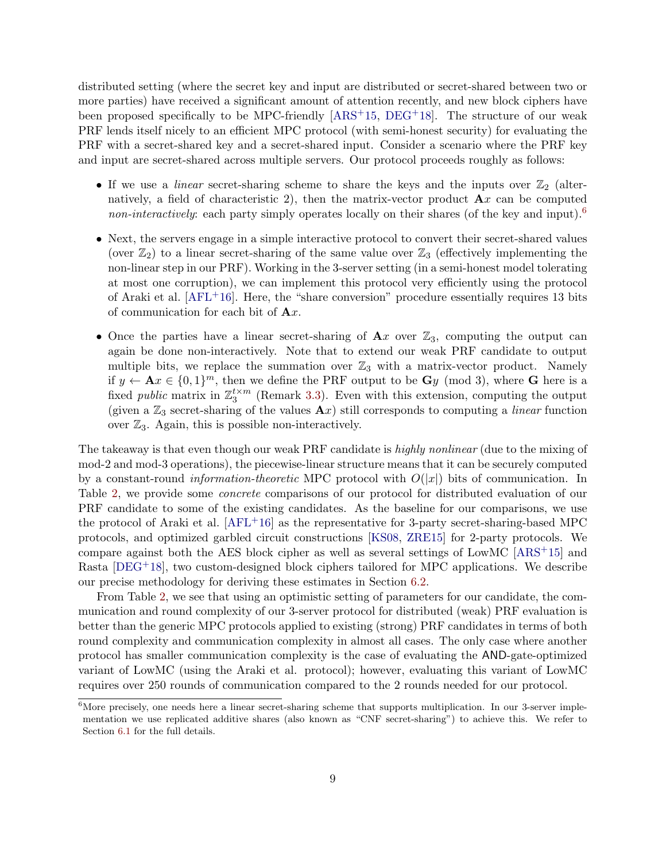distributed setting (where the secret key and input are distributed or secret-shared between two or more parties) have received a significant amount of attention recently, and new block ciphers have been proposed specifically to be MPC-friendly  $[ARS<sup>+</sup>15, DEG<sup>+</sup>18]$  $[ARS<sup>+</sup>15, DEG<sup>+</sup>18]$  $[ARS<sup>+</sup>15, DEG<sup>+</sup>18]$  $[ARS<sup>+</sup>15, DEG<sup>+</sup>18]$ . The structure of our weak PRF lends itself nicely to an efficient MPC protocol (with semi-honest security) for evaluating the PRF with a secret-shared key and a secret-shared input. Consider a scenario where the PRF key and input are secret-shared across multiple servers. Our protocol proceeds roughly as follows:

- If we use a *linear* secret-sharing scheme to share the keys and the inputs over  $\mathbb{Z}_2$  (alternatively, a field of characteristic 2), then the matrix-vector product  $\mathbf{A}x$  can be computed non-interactively: each party simply operates locally on their shares (of the key and input).<sup>[6](#page-8-0)</sup>
- Next, the servers engage in a simple interactive protocol to convert their secret-shared values (over  $\mathbb{Z}_2$ ) to a linear secret-sharing of the same value over  $\mathbb{Z}_3$  (effectively implementing the non-linear step in our PRF). Working in the 3-server setting (in a semi-honest model tolerating at most one corruption), we can implement this protocol very efficiently using the protocol of Araki et al.  $[AFL+16]$  $[AFL+16]$ . Here, the "share conversion" procedure essentially requires 13 bits of communication for each bit of  $\mathbf{A}x$ .
- Once the parties have a linear secret-sharing of  $\mathbf{A}x$  over  $\mathbb{Z}_3$ , computing the output can again be done non-interactively. Note that to extend our weak PRF candidate to output multiple bits, we replace the summation over  $\mathbb{Z}_3$  with a matrix-vector product. Namely if  $y \leftarrow Ax \in \{0,1\}^m$ , then we define the PRF output to be  $\mathbf{G}y$  (mod 3), where  $\mathbf{G}$  here is a fixed *public* matrix in  $\mathbb{Z}_3^{t \times m}$  (Remark [3.3\)](#page-14-0). Even with this extension, computing the output (given a  $\mathbb{Z}_3$  secret-sharing of the values  $\mathbf{A}x$ ) still corresponds to computing a *linear* function over  $\mathbb{Z}_3$ . Again, this is possible non-interactively.

The takeaway is that even though our weak PRF candidate is highly nonlinear (due to the mixing of mod-2 and mod-3 operations), the piecewise-linear structure means that it can be securely computed by a constant-round *information-theoretic* MPC protocol with  $O(|x|)$  bits of communication. In Table [2,](#page-9-0) we provide some concrete comparisons of our protocol for distributed evaluation of our PRF candidate to some of the existing candidates. As the baseline for our comparisons, we use the protocol of Araki et al.  $[AFL+16]$  $[AFL+16]$  as the representative for 3-party secret-sharing-based MPC protocols, and optimized garbled circuit constructions [\[KS08,](#page-54-3) [ZRE15\]](#page-55-11) for 2-party protocols. We compare against both the AES block cipher as well as several settings of LowMC [\[ARS](#page-50-1)+15] and Rasta  $[DEG+18]$  $[DEG+18]$ , two custom-designed block ciphers tailored for MPC applications. We describe our precise methodology for deriving these estimates in Section [6.2.](#page-28-0)

From Table [2,](#page-9-0) we see that using an optimistic setting of parameters for our candidate, the communication and round complexity of our 3-server protocol for distributed (weak) PRF evaluation is better than the generic MPC protocols applied to existing (strong) PRF candidates in terms of both round complexity and communication complexity in almost all cases. The only case where another protocol has smaller communication complexity is the case of evaluating the AND-gate-optimized variant of LowMC (using the Araki et al. protocol); however, evaluating this variant of LowMC requires over 250 rounds of communication compared to the 2 rounds needed for our protocol.

<span id="page-8-0"></span> ${}^{6}$ More precisely, one needs here a linear secret-sharing scheme that supports multiplication. In our 3-server implementation we use replicated additive shares (also known as "CNF secret-sharing") to achieve this. We refer to Section [6.1](#page-26-1) for the full details.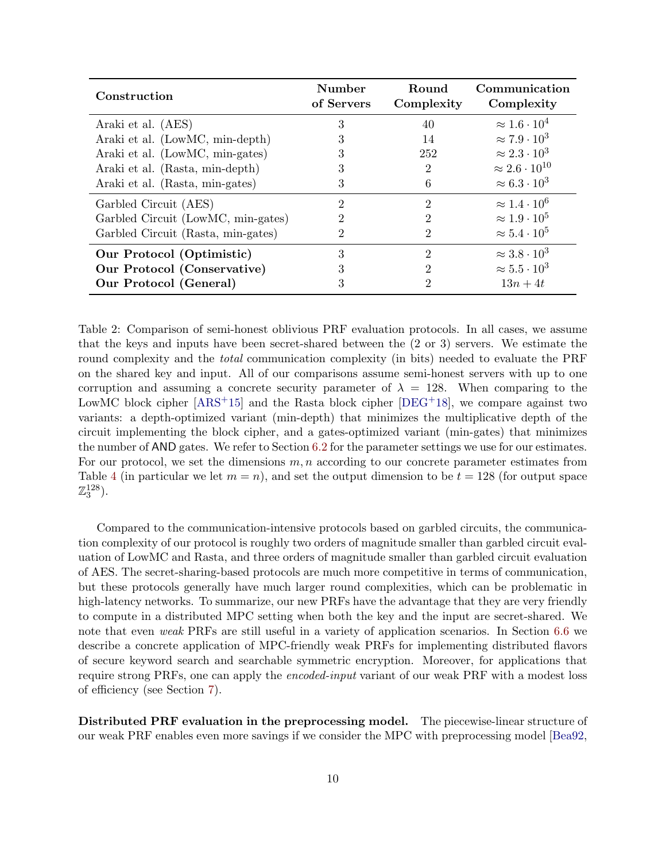| Construction                       | <b>Number</b><br>of Servers | <b>Round</b><br>Complexity | Communication<br>Complexity |
|------------------------------------|-----------------------------|----------------------------|-----------------------------|
| Araki et al. (AES)                 | 3                           | 40                         | $\approx 1.6 \cdot 10^4$    |
| Araki et al. (LowMC, min-depth)    | 3                           | 14                         | $\approx 7.9 \cdot 10^3$    |
| Araki et al. (LowMC, min-gates)    | 3                           | 252                        | $\approx 2.3 \cdot 10^3$    |
| Araki et al. (Rasta, min-depth)    | 3                           | $\overline{2}$             | $\approx 2.6 \cdot 10^{10}$ |
| Araki et al. (Rasta, min-gates)    | 3                           | 6                          | $\approx 6.3 \cdot 10^3$    |
| Garbled Circuit (AES)              | 9                           | 2                          | $\approx 1.4 \cdot 10^6$    |
| Garbled Circuit (LowMC, min-gates) | າ                           | 2                          | $\approx 1.9 \cdot 10^5$    |
| Garbled Circuit (Rasta, min-gates) | 9                           | 2                          | $\approx 5.4 \cdot 10^5$    |
| Our Protocol (Optimistic)          | 3                           | $\mathcal{D}$              | $\approx 3.8 \cdot 10^3$    |
| Our Protocol (Conservative)        | 3                           | 9                          | $\approx 5.5 \cdot 10^3$    |
| Our Protocol (General)             | 3                           | 2                          | $13n + 4t$                  |

<span id="page-9-0"></span>Table 2: Comparison of semi-honest oblivious PRF evaluation protocols. In all cases, we assume that the keys and inputs have been secret-shared between the (2 or 3) servers. We estimate the round complexity and the *total* communication complexity (in bits) needed to evaluate the PRF on the shared key and input. All of our comparisons assume semi-honest servers with up to one corruption and assuming a concrete security parameter of  $\lambda = 128$ . When comparing to the LowMC block cipher  $[ARS^+15]$  $[ARS^+15]$  and the Rasta block cipher  $[DEG^+18]$  $[DEG^+18]$ , we compare against two variants: a depth-optimized variant (min-depth) that minimizes the multiplicative depth of the circuit implementing the block cipher, and a gates-optimized variant (min-gates) that minimizes the number of AND gates. We refer to Section [6.2](#page-28-0) for the parameter settings we use for our estimates. For our protocol, we set the dimensions  $m, n$  according to our concrete parameter estimates from Table [4](#page-21-1) (in particular we let  $m = n$ ), and set the output dimension to be  $t = 128$  (for output space  $\mathbb{Z}_3^{128}$ ).

Compared to the communication-intensive protocols based on garbled circuits, the communication complexity of our protocol is roughly two orders of magnitude smaller than garbled circuit evaluation of LowMC and Rasta, and three orders of magnitude smaller than garbled circuit evaluation of AES. The secret-sharing-based protocols are much more competitive in terms of communication, but these protocols generally have much larger round complexities, which can be problematic in high-latency networks. To summarize, our new PRFs have the advantage that they are very friendly to compute in a distributed MPC setting when both the key and the input are secret-shared. We note that even weak PRFs are still useful in a variety of application scenarios. In Section [6.6](#page-40-0) we describe a concrete application of MPC-friendly weak PRFs for implementing distributed flavors of secure keyword search and searchable symmetric encryption. Moreover, for applications that require strong PRFs, one can apply the *encoded-input* variant of our weak PRF with a modest loss of efficiency (see Section [7\)](#page-40-1).

Distributed PRF evaluation in the preprocessing model. The piecewise-linear structure of our weak PRF enables even more savings if we consider the MPC with preprocessing model [\[Bea92,](#page-50-5)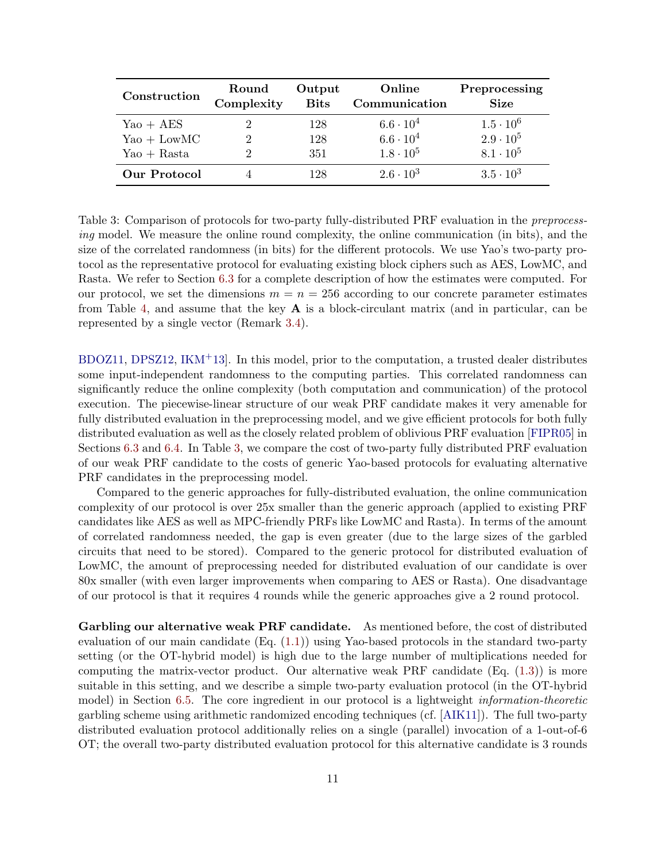| Construction        | Round<br>Complexity | Output<br><b>Bits</b> | Online<br>Communication | Preprocessing<br><b>Size</b> |
|---------------------|---------------------|-----------------------|-------------------------|------------------------------|
| $Yao + AES$         |                     | 128                   | $6.6 \cdot 10^{4}$      | $1.5 \cdot 10^6$             |
| $Yao + LowMC$       |                     | 128                   | $6.6 \cdot 10^{4}$      | $2.9 \cdot 10^5$             |
| $Yao + Rasta$       |                     | 351                   | $1.8 \cdot 10^5$        | $8.1 \cdot 10^5$             |
| <b>Our Protocol</b> |                     | 128                   | $2.6 \cdot 10^3$        | $3.5 \cdot 10^3$             |

<span id="page-10-0"></span>Table 3: Comparison of protocols for two-party fully-distributed PRF evaluation in the preprocessing model. We measure the online round complexity, the online communication (in bits), and the size of the correlated randomness (in bits) for the different protocols. We use Yao's two-party protocol as the representative protocol for evaluating existing block ciphers such as AES, LowMC, and Rasta. We refer to Section [6.3](#page-30-0) for a complete description of how the estimates were computed. For our protocol, we set the dimensions  $m = n = 256$  according to our concrete parameter estimates from Table [4,](#page-21-1) and assume that the key  $A$  is a block-circulant matrix (and in particular, can be represented by a single vector (Remark [3.4\)](#page-14-1).

 $BDOZ11, DPSZ12, IKM<sup>+</sup>13$  $BDOZ11, DPSZ12, IKM<sup>+</sup>13$  $BDOZ11, DPSZ12, IKM<sup>+</sup>13$  $BDOZ11, DPSZ12, IKM<sup>+</sup>13$  $BDOZ11, DPSZ12, IKM<sup>+</sup>13$  $BDOZ11, DPSZ12, IKM<sup>+</sup>13$ . In this model, prior to the computation, a trusted dealer distributes some input-independent randomness to the computing parties. This correlated randomness can significantly reduce the online complexity (both computation and communication) of the protocol execution. The piecewise-linear structure of our weak PRF candidate makes it very amenable for fully distributed evaluation in the preprocessing model, and we give efficient protocols for both fully distributed evaluation as well as the closely related problem of oblivious PRF evaluation [\[FIPR05\]](#page-52-6) in Sections [6.3](#page-30-0) and [6.4.](#page-32-0) In Table [3,](#page-10-0) we compare the cost of two-party fully distributed PRF evaluation of our weak PRF candidate to the costs of generic Yao-based protocols for evaluating alternative PRF candidates in the preprocessing model.

Compared to the generic approaches for fully-distributed evaluation, the online communication complexity of our protocol is over 25x smaller than the generic approach (applied to existing PRF candidates like AES as well as MPC-friendly PRFs like LowMC and Rasta). In terms of the amount of correlated randomness needed, the gap is even greater (due to the large sizes of the garbled circuits that need to be stored). Compared to the generic protocol for distributed evaluation of LowMC, the amount of preprocessing needed for distributed evaluation of our candidate is over 80x smaller (with even larger improvements when comparing to AES or Rasta). One disadvantage of our protocol is that it requires 4 rounds while the generic approaches give a 2 round protocol.

Garbling our alternative weak PRF candidate. As mentioned before, the cost of distributed evaluation of our main candidate  $(Eq. (1.1))$  $(Eq. (1.1))$  $(Eq. (1.1))$  using Yao-based protocols in the standard two-party setting (or the OT-hybrid model) is high due to the large number of multiplications needed for computing the matrix-vector product. Our alternative weak PRF candidate (Eq.  $(1.3)$ ) is more suitable in this setting, and we describe a simple two-party evaluation protocol (in the OT-hybrid model) in Section [6.5.](#page-34-0) The core ingredient in our protocol is a lightweight *information-theoretic* garbling scheme using arithmetic randomized encoding techniques (cf. [\[AIK11\]](#page-50-7)). The full two-party distributed evaluation protocol additionally relies on a single (parallel) invocation of a 1-out-of-6 OT; the overall two-party distributed evaluation protocol for this alternative candidate is 3 rounds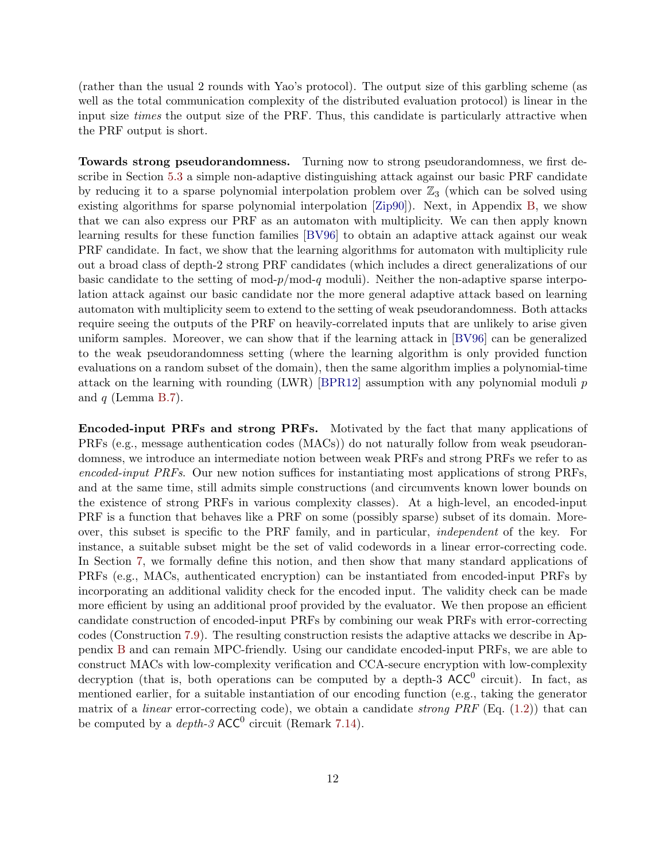(rather than the usual 2 rounds with Yao's protocol). The output size of this garbling scheme (as well as the total communication complexity of the distributed evaluation protocol) is linear in the input size times the output size of the PRF. Thus, this candidate is particularly attractive when the PRF output is short.

Towards strong pseudorandomness. Turning now to strong pseudorandomness, we first describe in Section [5.3](#page-24-0) a simple non-adaptive distinguishing attack against our basic PRF candidate by reducing it to a sparse polynomial interpolation problem over  $\mathbb{Z}_3$  (which can be solved using existing algorithms for sparse polynomial interpolation [\[Zip90\]](#page-55-7)). Next, in Appendix [B,](#page-58-1) we show that we can also express our PRF as an automaton with multiplicity. We can then apply known learning results for these function families [\[BV96\]](#page-51-3) to obtain an adaptive attack against our weak PRF candidate. In fact, we show that the learning algorithms for automaton with multiplicity rule out a broad class of depth-2 strong PRF candidates (which includes a direct generalizations of our basic candidate to the setting of  $mod-q \mod q$  moduli). Neither the non-adaptive sparse interpolation attack against our basic candidate nor the more general adaptive attack based on learning automaton with multiplicity seem to extend to the setting of weak pseudorandomness. Both attacks require seeing the outputs of the PRF on heavily-correlated inputs that are unlikely to arise given uniform samples. Moreover, we can show that if the learning attack in [\[BV96\]](#page-51-3) can be generalized to the weak pseudorandomness setting (where the learning algorithm is only provided function evaluations on a random subset of the domain), then the same algorithm implies a polynomial-time attack on the learning with rounding (LWR) [\[BPR12\]](#page-51-4) assumption with any polynomial moduli p and  $q$  (Lemma [B.7\)](#page-61-0).

Encoded-input PRFs and strong PRFs. Motivated by the fact that many applications of PRFs (e.g., message authentication codes (MACs)) do not naturally follow from weak pseudorandomness, we introduce an intermediate notion between weak PRFs and strong PRFs we refer to as encoded-input PRFs. Our new notion suffices for instantiating most applications of strong PRFs, and at the same time, still admits simple constructions (and circumvents known lower bounds on the existence of strong PRFs in various complexity classes). At a high-level, an encoded-input PRF is a function that behaves like a PRF on some (possibly sparse) subset of its domain. Moreover, this subset is specific to the PRF family, and in particular, independent of the key. For instance, a suitable subset might be the set of valid codewords in a linear error-correcting code. In Section [7,](#page-40-1) we formally define this notion, and then show that many standard applications of PRFs (e.g., MACs, authenticated encryption) can be instantiated from encoded-input PRFs by incorporating an additional validity check for the encoded input. The validity check can be made more efficient by using an additional proof provided by the evaluator. We then propose an efficient candidate construction of encoded-input PRFs by combining our weak PRFs with error-correcting codes (Construction [7.9\)](#page-46-0). The resulting construction resists the adaptive attacks we describe in Appendix [B](#page-58-1) and can remain MPC-friendly. Using our candidate encoded-input PRFs, we are able to construct MACs with low-complexity verification and CCA-secure encryption with low-complexity decryption (that is, both operations can be computed by a depth-3  $ACC^0$  circuit). In fact, as mentioned earlier, for a suitable instantiation of our encoding function (e.g., taking the generator matrix of a *linear* error-correcting code), we obtain a candidate *strong PRF* (Eq.  $(1.2)$ ) that can be computed by a *depth-3*  $ACC^0$  circuit (Remark [7.14\)](#page-48-0).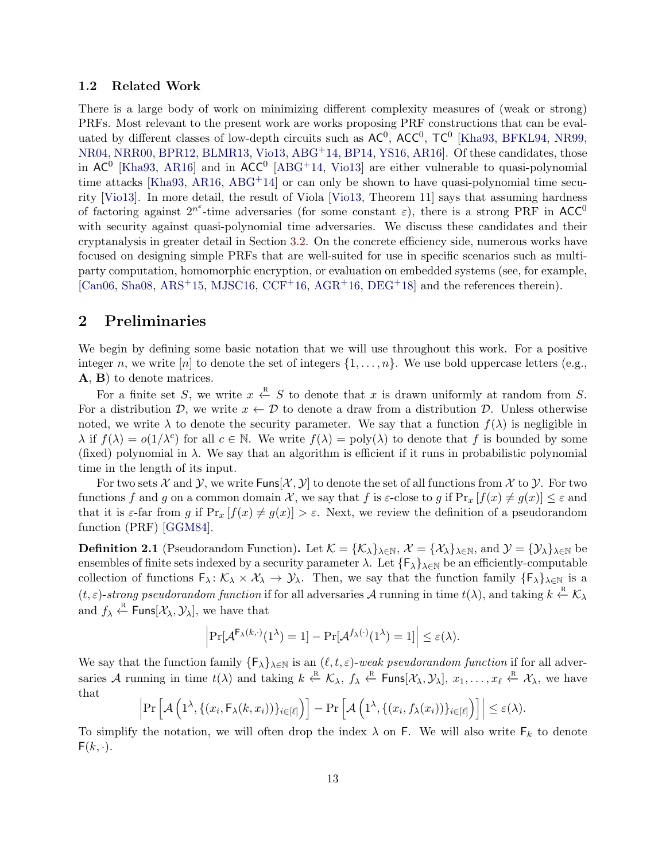#### <span id="page-12-0"></span>1.2 Related Work

There is a large body of work on minimizing different complexity measures of (weak or strong) PRFs. Most relevant to the present work are works proposing PRF constructions that can be evaluated by different classes of low-depth circuits such as  $AC^0$ ,  $ACC^0$ ,  $TC^0$  [\[Kha93,](#page-53-1) [BFKL94,](#page-50-8) [NR99,](#page-54-4) [NR04,](#page-54-5) [NRR00,](#page-54-6) [BPR12,](#page-51-4) [BLMR13,](#page-51-5) [Vio13,](#page-55-0) [ABG](#page-49-0)+14, [BP14,](#page-51-6) [YS16,](#page-55-12) [AR16\]](#page-50-2). Of these candidates, those in  $AC^0$  [\[Kha93,](#page-53-1) [AR16\]](#page-50-2) and in  $ACC^0$  [\[ABG](#page-49-0)<sup>+</sup>14, [Vio13\]](#page-55-0) are either vulnerable to quasi-polynomial time attacks [\[Kha93,](#page-53-1) [AR16,](#page-50-2) [ABG](#page-49-0)<sup>+</sup>14] or can only be shown to have quasi-polynomial time security [\[Vio13\]](#page-55-0). In more detail, the result of Viola [\[Vio13,](#page-55-0) Theorem 11] says that assuming hardness of factoring against  $2^{n^{\varepsilon}}$ -time adversaries (for some constant  $\varepsilon$ ), there is a strong PRF in ACC<sup>0</sup> with security against quasi-polynomial time adversaries. We discuss these candidates and their cryptanalysis in greater detail in Section [3.2.](#page-16-0) On the concrete efficiency side, numerous works have focused on designing simple PRFs that are well-suited for use in specific scenarios such as multiparty computation, homomorphic encryption, or evaluation on embedded systems (see, for example, [\[Can06,](#page-51-7) [Sha08,](#page-55-13) [ARS](#page-50-1)<sup>+</sup>15, [MJSC16,](#page-54-7) [CCF](#page-51-8)<sup>+</sup>16, [AGR](#page-49-4)<sup>+</sup>16, [DEG](#page-52-1)<sup>+</sup>18] and the references therein).

### 2 Preliminaries

We begin by defining some basic notation that we will use throughout this work. For a positive integer n, we write [n] to denote the set of integers  $\{1,\ldots,n\}$ . We use bold uppercase letters (e.g., A, B) to denote matrices.

For a finite set S, we write  $x \stackrel{R}{\leftarrow} S$  to denote that x is drawn uniformly at random from S. For a distribution D, we write  $x \leftarrow \mathcal{D}$  to denote a draw from a distribution D. Unless otherwise noted, we write  $\lambda$  to denote the security parameter. We say that a function  $f(\lambda)$  is negligible in  $\lambda$  if  $f(\lambda) = o(1/\lambda^c)$  for all  $c \in \mathbb{N}$ . We write  $f(\lambda) = \text{poly}(\lambda)$  to denote that f is bounded by some (fixed) polynomial in  $\lambda$ . We say that an algorithm is efficient if it runs in probabilistic polynomial time in the length of its input.

For two sets X and Y, we write  $\text{Funs}[\mathcal{X}, \mathcal{Y}]$  to denote the set of all functions from X to Y. For two functions f and g on a common domain X, we say that f is  $\varepsilon$ -close to g if  $\Pr_x[f(x) \neq g(x)] \leq \varepsilon$  and that it is  $\varepsilon$ -far from g if  $Pr_x[f(x) \neq g(x)] > \varepsilon$ . Next, we review the definition of a pseudorandom function (PRF) [\[GGM84\]](#page-52-7).

**Definition 2.1** (Pseudorandom Function). Let  $\mathcal{K} = {\mathcal{K}_{\lambda}}_{\lambda \in \mathbb{N}}, \mathcal{X} = {\mathcal{X}_{\lambda}}_{\lambda \in \mathbb{N}},$  and  $\mathcal{Y} = {\mathcal{Y}_{\lambda}}_{\lambda \in \mathbb{N}}$  be ensembles of finite sets indexed by a security parameter  $\lambda$ . Let  $\{F_{\lambda}\}_{{\lambda}\in\mathbb{N}}$  be an efficiently-computable collection of functions  $F_\lambda: \mathcal{K}_\lambda \times \mathcal{X}_\lambda \to \mathcal{Y}_\lambda$ . Then, we say that the function family  $\{F_\lambda\}_{\lambda \in \mathbb{N}}$  is a  $(t, \varepsilon)$ -strong pseudorandom function if for all adversaries A running in time  $t(\lambda)$ , and taking  $k \stackrel{\text{R}}{\leftarrow} \mathcal{K}_{\lambda}$ and  $f_{\lambda} \stackrel{\text{R}}{\leftarrow}$  Funs $[\mathcal{X}_{\lambda}, \mathcal{Y}_{\lambda}]$ , we have that

$$
\left|\Pr[\mathcal{A}^{\mathsf{F}_{\lambda}(k,\cdot)}(1^{\lambda})=1]-\Pr[\mathcal{A}^{f_{\lambda}(\cdot)}(1^{\lambda})=1]\right|\leq \varepsilon(\lambda).
$$

We say that the function family  $\{\mathsf{F}_{\lambda}\}_{{\lambda}\in\mathbb{N}}$  is an  $(\ell, t, \varepsilon)$ -weak pseudorandom function if for all adversaries A running in time  $t(\lambda)$  and taking  $k \stackrel{\text{R}}{\leftarrow} \mathcal{K}_{\lambda}$ ,  $f_{\lambda} \stackrel{\text{R}}{\leftarrow} \text{Funs}[\mathcal{X}_{\lambda}, \mathcal{Y}_{\lambda}], x_1, \ldots, x_{\ell} \stackrel{\text{R}}{\leftarrow} \mathcal{X}_{\lambda}$ , we have that

$$
\left|\Pr\left[\mathcal{A}\left(1^{\lambda}, \{(x_i, \mathsf{F}_{\lambda}(k, x_i))\}_{i \in [\ell]}\right)\right] - \Pr\left[\mathcal{A}\left(1^{\lambda}, \{(x_i, f_{\lambda}(x_i))\}_{i \in [\ell]}\right)\right]\right| \leq \varepsilon(\lambda).
$$

To simplify the notation, we will often drop the index  $\lambda$  on F. We will also write  $F_k$  to denote  $F(k, \cdot).$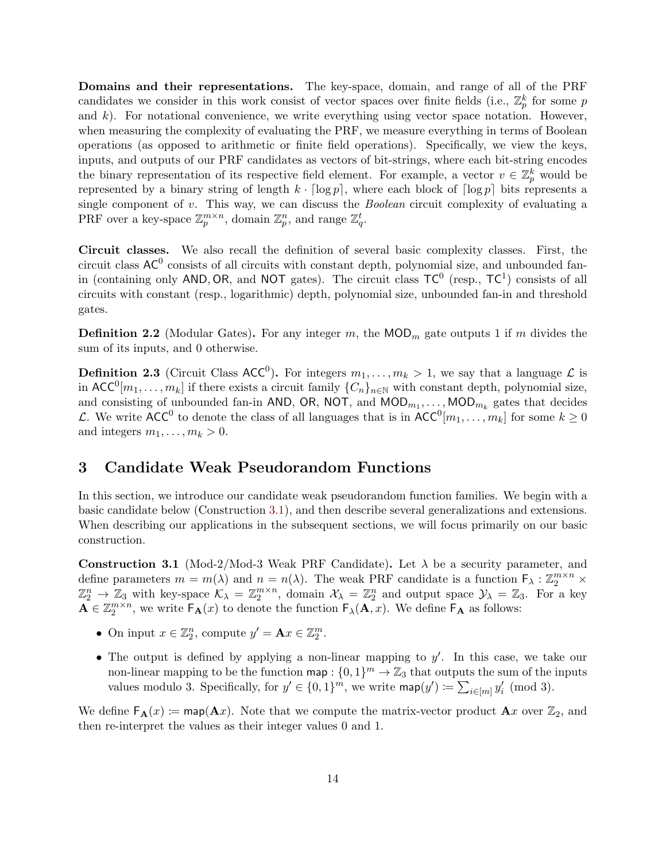Domains and their representations. The key-space, domain, and range of all of the PRF candidates we consider in this work consist of vector spaces over finite fields (i.e.,  $\mathbb{Z}_p^k$  for some p and  $k$ ). For notational convenience, we write everything using vector space notation. However, when measuring the complexity of evaluating the PRF, we measure everything in terms of Boolean operations (as opposed to arithmetic or finite field operations). Specifically, we view the keys, inputs, and outputs of our PRF candidates as vectors of bit-strings, where each bit-string encodes the binary representation of its respective field element. For example, a vector  $v \in \mathbb{Z}_p^k$  would be represented by a binary string of length  $k \cdot \lceil \log p \rceil$ , where each block of  $\lceil \log p \rceil$  bits represents a single component of  $v$ . This way, we can discuss the *Boolean* circuit complexity of evaluating a PRF over a key-space  $\mathbb{Z}_p^{m \times n}$ , domain  $\mathbb{Z}_p^n$ , and range  $\mathbb{Z}_q^t$ .

Circuit classes. We also recall the definition of several basic complexity classes. First, the circuit class  $AC^0$  consists of all circuits with constant depth, polynomial size, and unbounded fanin (containing only AND, OR, and NOT gates). The circuit class  $TC^0$  (resp.,  $TC^1$ ) consists of all circuits with constant (resp., logarithmic) depth, polynomial size, unbounded fan-in and threshold gates.

**Definition 2.2** (Modular Gates). For any integer m, the  $MOD_m$  gate outputs 1 if m divides the sum of its inputs, and 0 otherwise.

**Definition 2.3** (Circuit Class  $ACC^0$ ). For integers  $m_1, \ldots, m_k > 1$ , we say that a language  $\mathcal{L}$  is in  $\mathsf{ACC}^0[m_1,\ldots,m_k]$  if there exists a circuit family  $\{C_n\}_{n\in\mathbb{N}}$  with constant depth, polynomial size, and consisting of unbounded fan-in AND, OR, NOT, and  $\text{MOD}_{m_1}, \ldots, \text{MOD}_{m_k}$  gates that decides L. We write ACC<sup>0</sup> to denote the class of all languages that is in  $ACC^0[m_1, \ldots, m_k]$  for some  $k \geq 0$ and integers  $m_1, \ldots, m_k > 0$ .

### <span id="page-13-0"></span>3 Candidate Weak Pseudorandom Functions

In this section, we introduce our candidate weak pseudorandom function families. We begin with a basic candidate below (Construction [3.1\)](#page-13-1), and then describe several generalizations and extensions. When describing our applications in the subsequent sections, we will focus primarily on our basic construction.

<span id="page-13-1"></span>**Construction 3.1** (Mod-2/Mod-3 Weak PRF Candidate). Let  $\lambda$  be a security parameter, and define parameters  $m = m(\lambda)$  and  $n = n(\lambda)$ . The weak PRF candidate is a function  $F_{\lambda}: \mathbb{Z}_2^{m \times n} \times$  $\mathbb{Z}_2^n \to \mathbb{Z}_3$  with key-space  $\mathcal{K}_\lambda = \mathbb{Z}_2^{m \times n}$ , domain  $\mathcal{X}_\lambda = \mathbb{Z}_2^n$  and output space  $\mathcal{Y}_\lambda = \mathbb{Z}_3$ . For a key  $\overline{\mathbf{A}} \in \mathbb{Z}_2^{m \times n}$ , we write  $\mathsf{F}_{\mathbf{A}}(x)$  to denote the function  $\mathsf{F}_{\lambda}(\overline{\mathbf{A}},x)$ . We define  $\mathsf{F}_{\mathbf{A}}$  as follows:

- On input  $x \in \mathbb{Z}_2^n$ , compute  $y' = \mathbf{A}x \in \mathbb{Z}_2^m$ .
- The output is defined by applying a non-linear mapping to  $y'$ . In this case, we take our non-linear mapping to be the function  $\text{map}: \{0,1\}^m \to \mathbb{Z}_3$  that outputs the sum of the inputs values modulo 3. Specifically, for  $y' \in \{0,1\}^m$ , we write  $\text{map}(y') := \sum_{i \in [m]} y'_i \pmod{3}$ .

We define  $F_{\mathbf{A}}(x) := \text{map}(\mathbf{A}x)$ . Note that we compute the matrix-vector product  $\mathbf{A}x$  over  $\mathbb{Z}_2$ , and then re-interpret the values as their integer values 0 and 1.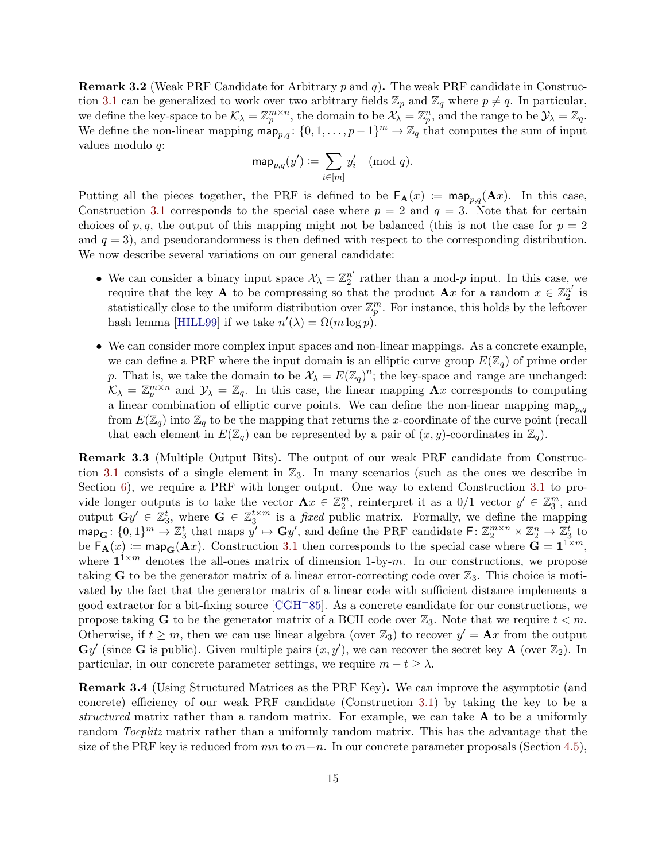<span id="page-14-2"></span>**Remark 3.2** (Weak PRF Candidate for Arbitrary p and q). The weak PRF candidate in Construc-tion [3.1](#page-13-1) can be generalized to work over two arbitrary fields  $\mathbb{Z}_p$  and  $\mathbb{Z}_q$  where  $p \neq q$ . In particular, we define the key-space to be  $\mathcal{K}_{\lambda} = \mathbb{Z}_p^{m \times n}$ , the domain to be  $\mathcal{X}_{\lambda} = \mathbb{Z}_p^n$ , and the range to be  $\mathcal{Y}_{\lambda} = \mathbb{Z}_q$ . We define the non-linear mapping  $\min_{p,q} \{0,1,\ldots,p-1\}^m \to \mathbb{Z}_q$  that computes the sum of input values modulo q:

$$
\mathsf{map}_{p,q}(y') \coloneqq \sum_{i \in [m]} y_i' \pmod{q}.
$$

Putting all the pieces together, the PRF is defined to be  $F_{\mathbf{A}}(x) := \text{map}_{p,q}(\mathbf{A}x)$ . In this case, Construction [3.1](#page-13-1) corresponds to the special case where  $p = 2$  and  $q = 3$ . Note that for certain choices of p, q, the output of this mapping might not be balanced (this is not the case for  $p = 2$ ) and  $q = 3$ , and pseudorandomness is then defined with respect to the corresponding distribution. We now describe several variations on our general candidate:

- We can consider a binary input space  $\mathcal{X}_{\lambda} = \mathbb{Z}_2^{n'}$  $n<sub>2</sub>$ <sup>n'</sup> rather than a mod-p input. In this case, we require that the key **A** to be compressing so that the product **A**x for a random  $x \in \mathbb{Z}_2^{n'}$  $_2^{n'}$  is statistically close to the uniform distribution over  $\mathbb{Z}_p^m$ . For instance, this holds by the leftover hash lemma [\[HILL99\]](#page-53-6) if we take  $n'(\lambda) = \Omega(m \log p)$ .
- We can consider more complex input spaces and non-linear mappings. As a concrete example, we can define a PRF where the input domain is an elliptic curve group  $E(\mathbb{Z}_q)$  of prime order p. That is, we take the domain to be  $\mathcal{X}_{\lambda} = E(\mathbb{Z}_q)^n$ ; the key-space and range are unchanged:  $\mathcal{K}_{\lambda} = \mathbb{Z}_p^{m \times n}$  and  $\mathcal{Y}_{\lambda} = \mathbb{Z}_q$ . In this case, the linear mapping  $\mathbf{A}x$  corresponds to computing a linear combination of elliptic curve points. We can define the non-linear mapping  $\mathsf{map}_{p,q}$ from  $E(\mathbb{Z}_q)$  into  $\mathbb{Z}_q$  to be the mapping that returns the x-coordinate of the curve point (recall that each element in  $E(\mathbb{Z}_q)$  can be represented by a pair of  $(x, y)$ -coordinates in  $\mathbb{Z}_q$ .

<span id="page-14-0"></span>Remark 3.3 (Multiple Output Bits). The output of our weak PRF candidate from Construc-tion [3.1](#page-13-1) consists of a single element in  $\mathbb{Z}_3$ . In many scenarios (such as the ones we describe in Section [6\)](#page-26-0), we require a PRF with longer output. One way to extend Construction [3.1](#page-13-1) to provide longer outputs is to take the vector  $\mathbf{A}x \in \mathbb{Z}_2^m$ , reinterpret it as a  $0/1$  vector  $y' \in \mathbb{Z}_3^m$ , and output  $\mathbf{G}y' \in \mathbb{Z}_3^t$ , where  $\mathbf{G} \in \mathbb{Z}_3^{t \times m}$  is a *fixed* public matrix. Formally, we define the mapping  $\mathsf{map}_{\mathbf{G}}: \{0,1\}^m \to \mathbb{Z}_3^t$  that maps  $y' \mapsto \mathbf{G}y'$ , and define the PRF candidate  $\mathsf{F}: \mathbb{Z}_2^{m \times n} \times \mathbb{Z}_2^n \to \mathbb{Z}_3^t$  to be  $F_{\mathbf{A}}(x) \coloneqq \text{map}_{\mathbf{G}}(\mathbf{A}x)$ . Construction [3.1](#page-13-1) then corresponds to the special case where  $\mathbf{G} = \mathbf{1}^{1 \times m}$ , where  $1^{1 \times m}$  denotes the all-ones matrix of dimension 1-by-m. In our constructions, we propose taking G to be the generator matrix of a linear error-correcting code over  $\mathbb{Z}_3$ . This choice is motivated by the fact that the generator matrix of a linear code with sufficient distance implements a good extractor for a bit-fixing source  $[{\rm CGH+85}]$ . As a concrete candidate for our constructions, we propose taking **G** to be the generator matrix of a BCH code over  $\mathbb{Z}_3$ . Note that we require  $t < m$ . Otherwise, if  $t \geq m$ , then we can use linear algebra (over  $\mathbb{Z}_3$ ) to recover  $y' = \mathbf{A}x$  from the output  $\mathbf{G}y'$  (since G is public). Given multiple pairs  $(x, y')$ , we can recover the secret key  $\mathbf{A}$  (over  $\mathbb{Z}_2$ ). In particular, in our concrete parameter settings, we require  $m - t \geq \lambda$ .

<span id="page-14-1"></span>Remark 3.4 (Using Structured Matrices as the PRF Key). We can improve the asymptotic (and concrete) efficiency of our weak PRF candidate (Construction [3.1\)](#page-13-1) by taking the key to be a structured matrix rather than a random matrix. For example, we can take  $A$  to be a uniformly random *Toeplitz* matrix rather than a uniformly random matrix. This has the advantage that the size of the PRF key is reduced from  $mn$  to  $m+n$ . In our concrete parameter proposals (Section [4.5\)](#page-21-2),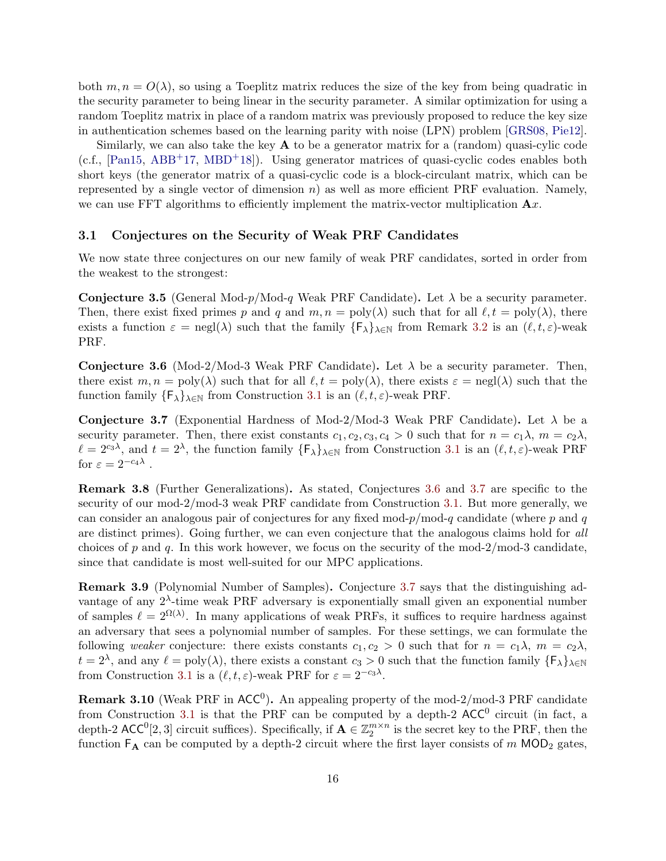both  $m, n = O(\lambda)$ , so using a Toeplitz matrix reduces the size of the key from being quadratic in the security parameter to being linear in the security parameter. A similar optimization for using a random Toeplitz matrix in place of a random matrix was previously proposed to reduce the key size in authentication schemes based on the learning parity with noise (LPN) problem [\[GRS08,](#page-53-7) [Pie12\]](#page-54-8).

Similarly, we can also take the key  $\bf{A}$  to be a generator matrix for a (random) quasi-cylic code (c.f.,  $[Pan15, ABB<sup>+</sup>17, MBD<sup>+</sup>18]$  $[Pan15, ABB<sup>+</sup>17, MBD<sup>+</sup>18]$  $[Pan15, ABB<sup>+</sup>17, MBD<sup>+</sup>18]$  $[Pan15, ABB<sup>+</sup>17, MBD<sup>+</sup>18]$  $[Pan15, ABB<sup>+</sup>17, MBD<sup>+</sup>18]$  $[Pan15, ABB<sup>+</sup>17, MBD<sup>+</sup>18]$ ). Using generator matrices of quasi-cyclic codes enables both short keys (the generator matrix of a quasi-cyclic code is a block-circulant matrix, which can be represented by a single vector of dimension  $n)$  as well as more efficient PRF evaluation. Namely, we can use FFT algorithms to efficiently implement the matrix-vector multiplication  $\mathbf{A}x$ .

#### <span id="page-15-0"></span>3.1 Conjectures on the Security of Weak PRF Candidates

We now state three conjectures on our new family of weak PRF candidates, sorted in order from the weakest to the strongest:

<span id="page-15-4"></span>**Conjecture 3.5** (General Mod-p/Mod-q Weak PRF Candidate). Let  $\lambda$  be a security parameter. Then, there exist fixed primes p and q and  $m, n = \text{poly}(\lambda)$  such that for all  $\ell, t = \text{poly}(\lambda)$ , there exists a function  $\varepsilon = \text{negl}(\lambda)$  such that the family  $\{F_{\lambda}\}_{\lambda \in \mathbb{N}}$  from Remark [3.2](#page-14-2) is an  $(\ell, t, \varepsilon)$ -weak PRF.

<span id="page-15-2"></span>Conjecture 3.6 (Mod-2/Mod-3 Weak PRF Candidate). Let  $\lambda$  be a security parameter. Then, there exist  $m, n = \text{poly}(\lambda)$  such that for all  $\ell, t = \text{poly}(\lambda)$ , there exists  $\varepsilon = \text{negl}(\lambda)$  such that the function family  $\{F_{\lambda}\}_{{\lambda}\in\mathbb{N}}$  from Construction [3.1](#page-13-1) is an  $(\ell, t, \varepsilon)$ -weak PRF.

<span id="page-15-3"></span>Conjecture 3.7 (Exponential Hardness of Mod-2/Mod-3 Weak PRF Candidate). Let  $\lambda$  be a security parameter. Then, there exist constants  $c_1, c_2, c_3, c_4 > 0$  such that for  $n = c_1 \lambda$ ,  $m = c_2 \lambda$ ,  $\ell = 2^{c_3\lambda}$ , and  $t = 2^{\lambda}$ , the function family  $\{\mathsf{F}_{\lambda}\}_{\lambda \in \mathbb{N}}$  from Construction [3.1](#page-13-1) is an  $(\ell, t, \varepsilon)$ -weak PRF for  $\varepsilon = 2^{-c_4 \lambda}$ .

Remark 3.8 (Further Generalizations). As stated, Conjectures [3.6](#page-15-2) and [3.7](#page-15-3) are specific to the security of our mod-2/mod-3 weak PRF candidate from Construction [3.1.](#page-13-1) But more generally, we can consider an analogous pair of conjectures for any fixed mod- $p/mod-q$  candidate (where p and q are distinct primes). Going further, we can even conjecture that the analogous claims hold for all choices of p and q. In this work however, we focus on the security of the mod-2/mod-3 candidate, since that candidate is most well-suited for our MPC applications.

Remark 3.9 (Polynomial Number of Samples). Conjecture [3.7](#page-15-3) says that the distinguishing advantage of any  $2^{\lambda}$ -time weak PRF adversary is exponentially small given an exponential number of samples  $\ell = 2^{\Omega(\lambda)}$ . In many applications of weak PRFs, it suffices to require hardness against an adversary that sees a polynomial number of samples. For these settings, we can formulate the following weaker conjecture: there exists constants  $c_1, c_2 > 0$  such that for  $n = c_1 \lambda$ ,  $m = c_2 \lambda$ ,  $t = 2^{\lambda}$ , and any  $\ell = \text{poly}(\lambda)$ , there exists a constant  $c_3 > 0$  such that the function family  $\{F_{\lambda}\}_{\lambda \in \mathbb{N}}$ from Construction [3.1](#page-13-1) is a  $(\ell, t, \varepsilon)$ -weak PRF for  $\varepsilon = 2^{-c_3 \lambda}$ .

<span id="page-15-1"></span>**Remark 3.10** (Weak PRF in  $ACC^{0}$ ). An appealing property of the mod-2/mod-3 PRF candidate from Construction [3.1](#page-13-1) is that the PRF can be computed by a depth-2  $ACC^0$  circuit (in fact, a depth-2  $ACC^{0}[2,3]$  circuit suffices). Specifically, if  $\mathbf{A} \in \mathbb{Z}_{2}^{m \times n}$  is the secret key to the PRF, then the function  $F_A$  can be computed by a depth-2 circuit where the first layer consists of m MOD<sub>2</sub> gates,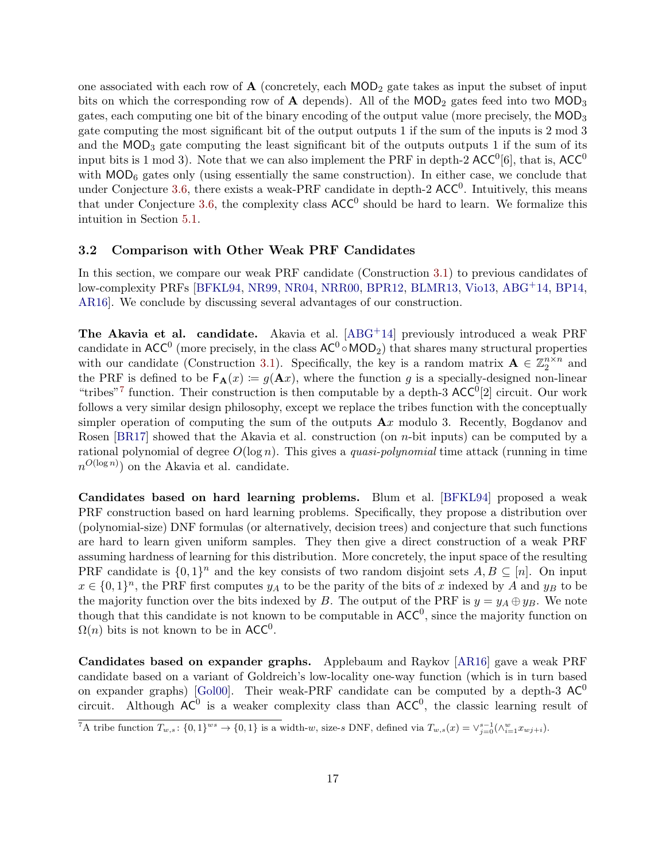one associated with each row of  $A$  (concretely, each  $MOD<sub>2</sub>$  gate takes as input the subset of input bits on which the corresponding row of  $\bf{A}$  depends). All of the MOD<sub>2</sub> gates feed into two MOD<sub>3</sub> gates, each computing one bit of the binary encoding of the output value (more precisely, the MOD<sup>3</sup> gate computing the most significant bit of the output outputs 1 if the sum of the inputs is 2 mod 3 and the  $MOD_3$  gate computing the least significant bit of the outputs outputs 1 if the sum of its input bits is 1 mod 3). Note that we can also implement the PRF in depth-2  $\mathsf{ACC}^0[6]$ , that is,  $\mathsf{ACC}^0$ with  $MOD_6$  gates only (using essentially the same construction). In either case, we conclude that under Conjecture [3.6,](#page-15-2) there exists a weak-PRF candidate in depth-2  $ACC^{0}$ . Intuitively, this means that under Conjecture [3.6,](#page-15-2) the complexity class  $ACC^0$  should be hard to learn. We formalize this intuition in Section [5.1.](#page-21-0)

#### <span id="page-16-0"></span>3.2 Comparison with Other Weak PRF Candidates

In this section, we compare our weak PRF candidate (Construction [3.1\)](#page-13-1) to previous candidates of low-complexity PRFs [\[BFKL94,](#page-50-8) [NR99,](#page-54-4) [NR04,](#page-54-5) [NRR00,](#page-54-6) [BPR12,](#page-51-4) [BLMR13,](#page-51-5) [Vio13,](#page-55-0) [ABG](#page-49-0)+14, [BP14,](#page-51-6) [AR16\]](#page-50-2). We conclude by discussing several advantages of our construction.

**The Akavia et al. candidate.** Akavia et al.  $[ABC^+14]$  previously introduced a weak PRF candidate in  $ACC^0$  (more precisely, in the class  $AC^0 \circ MOD_2$ ) that shares many structural properties with our candidate (Construction [3.1\)](#page-13-1). Specifically, the key is a random matrix  $\mathbf{A} \in \mathbb{Z}_2^{n \times n}$  and the PRF is defined to be  $F_{\mathbf{A}}(x) := g(\mathbf{A}x)$ , where the function g is a specially-designed non-linear "tribes"<sup>[7](#page-16-1)</sup> function. Their construction is then computable by a depth-3  $ACC^{0}[2]$  circuit. Our work follows a very similar design philosophy, except we replace the tribes function with the conceptually simpler operation of computing the sum of the outputs  $\mathbf{A}x$  modulo 3. Recently, Bogdanov and Rosen [\[BR17\]](#page-51-1) showed that the Akavia et al. construction (on *n*-bit inputs) can be computed by a rational polynomial of degree  $O(\log n)$ . This gives a quasi-polynomial time attack (running in time  $n^{O(\log n)}$  on the Akavia et al. candidate.

Candidates based on hard learning problems. Blum et al. [\[BFKL94\]](#page-50-8) proposed a weak PRF construction based on hard learning problems. Specifically, they propose a distribution over (polynomial-size) DNF formulas (or alternatively, decision trees) and conjecture that such functions are hard to learn given uniform samples. They then give a direct construction of a weak PRF assuming hardness of learning for this distribution. More concretely, the input space of the resulting PRF candidate is  $\{0,1\}^n$  and the key consists of two random disjoint sets  $A, B \subseteq [n]$ . On input  $x \in \{0,1\}^n$ , the PRF first computes  $y_A$  to be the parity of the bits of x indexed by A and  $y_B$  to be the majority function over the bits indexed by B. The output of the PRF is  $y = y_A \oplus y_B$ . We note though that this candidate is not known to be computable in  $ACC^0$ , since the majority function on  $\Omega(n)$  bits is not known to be in  $ACC^0$ .

Candidates based on expander graphs. Applebaum and Raykov [\[AR16\]](#page-50-2) gave a weak PRF candidate based on a variant of Goldreich's low-locality one-way function (which is in turn based on expander graphs) [\[Gol00\]](#page-53-0). Their weak-PRF candidate can be computed by a depth-3  $AC^0$ circuit. Although  $AC^0$  is a weaker complexity class than  $ACC^0$ , the classic learning result of

<span id="page-16-1"></span><sup>&</sup>lt;sup>7</sup>A tribe function  $T_{w,s}$ :  $\{0,1\}^{ws} \to \{0,1\}$  is a width-w, size-s DNF, defined via  $T_{w,s}(x) = \vee_{j=0}^{s-1} (\wedge_{i=1}^w x_{wj+i}).$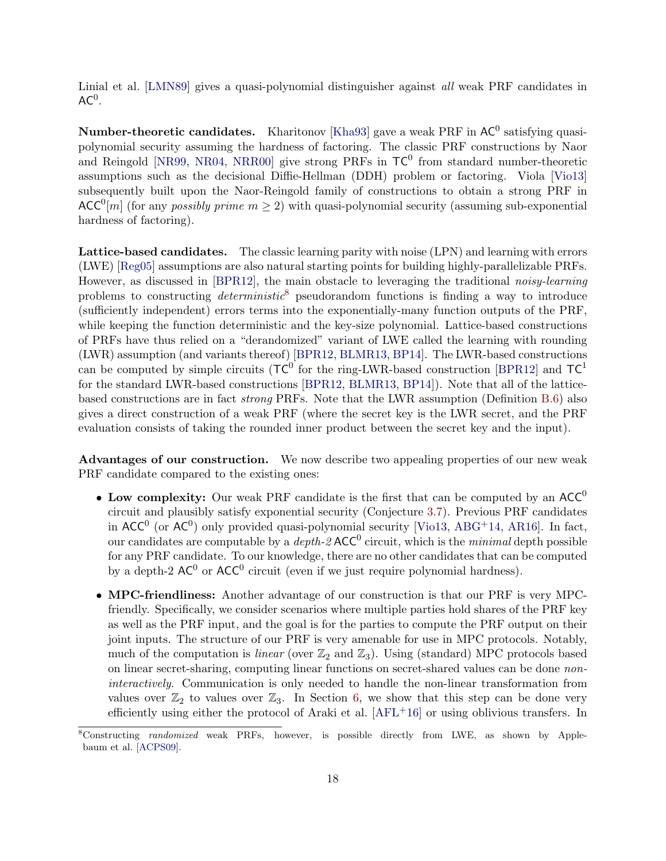Linial et al. [\[LMN89\]](#page-54-1) gives a quasi-polynomial distinguisher against *all* weak PRF candidates in  $AC<sup>0</sup>$ .

**Number-theoretic candidates.** Kharitonov [\[Kha93\]](#page-53-1) gave a weak PRF in  $AC^0$  satisfying quasipolynomial security assuming the hardness of factoring. The classic PRF constructions by Naor and Reingold [\[NR99,](#page-54-4) [NR04,](#page-54-5) [NRR00\]](#page-54-6) give strong PRFs in  $TC^0$  from standard number-theoretic assumptions such as the decisional Diffie-Hellman (DDH) problem or factoring. Viola [\[Vio13\]](#page-55-0) subsequently built upon the Naor-Reingold family of constructions to obtain a strong PRF in  $\mathsf{ACC}^0[m]$  (for any *possibly prime m*  $\geq 2$ ) with quasi-polynomial security (assuming sub-exponential hardness of factoring).

Lattice-based candidates. The classic learning parity with noise (LPN) and learning with errors (LWE) [\[Reg05\]](#page-55-14) assumptions are also natural starting points for building highly-parallelizable PRFs. However, as discussed in [\[BPR12\]](#page-51-4), the main obstacle to leveraging the traditional noisy-learning problems to constructing deterministic<sup>[8](#page-17-0)</sup> pseudorandom functions is finding a way to introduce (sufficiently independent) errors terms into the exponentially-many function outputs of the PRF, while keeping the function deterministic and the key-size polynomial. Lattice-based constructions of PRFs have thus relied on a "derandomized" variant of LWE called the learning with rounding (LWR) assumption (and variants thereof) [\[BPR12,](#page-51-4) [BLMR13,](#page-51-5) [BP14\]](#page-51-6). The LWR-based constructions can be computed by simple circuits ( $TC^0$  for the ring-LWR-based construction [\[BPR12\]](#page-51-4) and  $TC^1$ for the standard LWR-based constructions [\[BPR12,](#page-51-4) [BLMR13,](#page-51-5) [BP14\]](#page-51-6)). Note that all of the latticebased constructions are in fact strong PRFs. Note that the LWR assumption (Definition [B.6\)](#page-61-1) also gives a direct construction of a weak PRF (where the secret key is the LWR secret, and the PRF evaluation consists of taking the rounded inner product between the secret key and the input).

Advantages of our construction. We now describe two appealing properties of our new weak PRF candidate compared to the existing ones:

- Low complexity: Our weak PRF candidate is the first that can be computed by an  $ACC^0$ circuit and plausibly satisfy exponential security (Conjecture [3.7\)](#page-15-3). Previous PRF candidates in  $ACC^0$  (or  $AC^0$ ) only provided quasi-polynomial security [\[Vio13,](#page-55-0) [ABG](#page-49-0)<sup>+</sup>14, [AR16\]](#page-50-2). In fact, our candidates are computable by a *depth-2*  $ACC^0$  circuit, which is the *minimal* depth possible for any PRF candidate. To our knowledge, there are no other candidates that can be computed by a depth-2  $AC^0$  or  $ACC^0$  circuit (even if we just require polynomial hardness).
- MPC-friendliness: Another advantage of our construction is that our PRF is very MPCfriendly. Specifically, we consider scenarios where multiple parties hold shares of the PRF key as well as the PRF input, and the goal is for the parties to compute the PRF output on their joint inputs. The structure of our PRF is very amenable for use in MPC protocols. Notably, much of the computation is *linear* (over  $\mathbb{Z}_2$  and  $\mathbb{Z}_3$ ). Using (standard) MPC protocols based on linear secret-sharing, computing linear functions on secret-shared values can be done noninteractively. Communication is only needed to handle the non-linear transformation from values over  $\mathbb{Z}_2$  to values over  $\mathbb{Z}_3$ . In Section [6,](#page-26-0) we show that this step can be done very efficiently using either the protocol of Araki et al.  $[AFL<sup>+</sup>16]$  $[AFL<sup>+</sup>16]$  or using oblivious transfers. In

<span id="page-17-0"></span><sup>8</sup>Constructing randomized weak PRFs, however, is possible directly from LWE, as shown by Applebaum et al. [\[ACPS09\]](#page-49-6).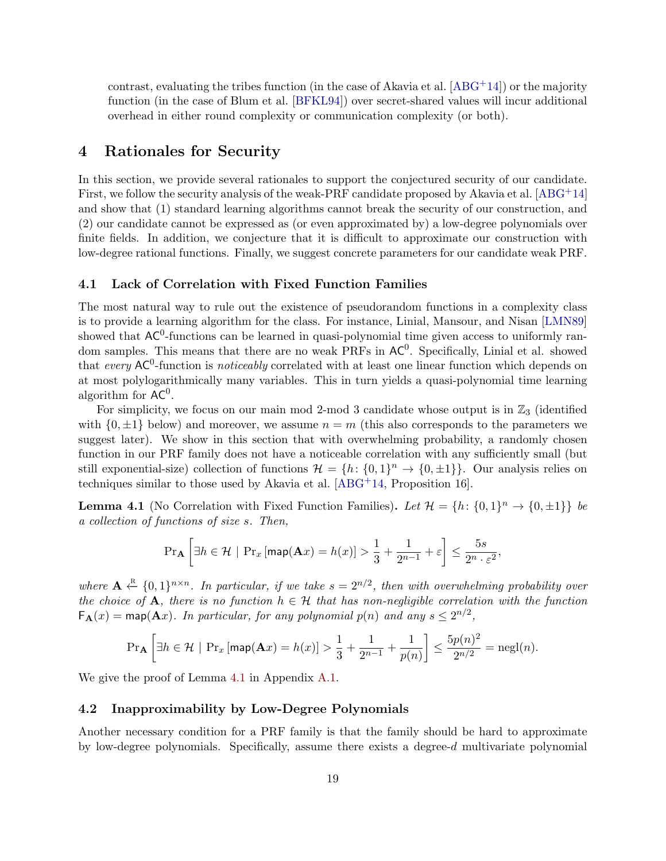contrast, evaluating the tribes function (in the case of Akavia et al.  $[ABC^+14]$ ) or the majority function (in the case of Blum et al. [\[BFKL94\]](#page-50-8)) over secret-shared values will incur additional overhead in either round complexity or communication complexity (or both).

### <span id="page-18-0"></span>4 Rationales for Security

In this section, we provide several rationales to support the conjectured security of our candidate. First, we follow the security analysis of the weak-PRF candidate proposed by Akavia et al. [\[ABG](#page-49-0)+14] and show that (1) standard learning algorithms cannot break the security of our construction, and (2) our candidate cannot be expressed as (or even approximated by) a low-degree polynomials over finite fields. In addition, we conjecture that it is difficult to approximate our construction with low-degree rational functions. Finally, we suggest concrete parameters for our candidate weak PRF.

#### <span id="page-18-3"></span>4.1 Lack of Correlation with Fixed Function Families

The most natural way to rule out the existence of pseudorandom functions in a complexity class is to provide a learning algorithm for the class. For instance, Linial, Mansour, and Nisan [\[LMN89\]](#page-54-1) showed that  $AC^0$ -functions can be learned in quasi-polynomial time given access to uniformly random samples. This means that there are no weak PRFs in  $AC<sup>0</sup>$ . Specifically, Linial et al. showed that every  $AC^0$ -function is noticeably correlated with at least one linear function which depends on at most polylogarithmically many variables. This in turn yields a quasi-polynomial time learning algorithm for  $AC^0$ .

For simplicity, we focus on our main mod 2-mod 3 candidate whose output is in  $\mathbb{Z}_3$  (identified with  $\{0, \pm 1\}$  below) and moreover, we assume  $n = m$  (this also corresponds to the parameters we suggest later). We show in this section that with overwhelming probability, a randomly chosen function in our PRF family does not have a noticeable correlation with any sufficiently small (but still exponential-size) collection of functions  $\mathcal{H} = \{h: \{0,1\}^n \to \{0,\pm 1\}\}\.$  Our analysis relies on techniques similar to those used by Akavia et al. [\[ABG](#page-49-0)+14, Proposition 16].

<span id="page-18-1"></span>**Lemma 4.1** (No Correlation with Fixed Function Families). Let  $\mathcal{H} = \{h: \{0,1\}^n \to \{0,\pm 1\}\}\$ a collection of functions of size s. Then,

$$
\Pr_{\mathbf{A}}\left[\exists h \in \mathcal{H} \mid \Pr_x\left[\mathsf{map}(\mathbf{A}x) = h(x)\right] > \frac{1}{3} + \frac{1}{2^{n-1}} + \varepsilon\right] \le \frac{5s}{2^n \cdot \varepsilon^2},
$$

where  $\mathbf{A} \stackrel{\text{R}}{\leftarrow} \{0,1\}^{n \times n}$ . In particular, if we take  $s = 2^{n/2}$ , then with overwhelming probability over the choice of A, there is no function  $h \in \mathcal{H}$  that has non-negligible correlation with the function  $F_{\mathbf{A}}(x) = \text{map}(\mathbf{A}x)$ . In particular, for any polynomial  $p(n)$  and any  $s \leq 2^{n/2}$ ,

$$
\Pr_{\mathbf{A}}\left[\exists h\in\mathcal{H}\ |\ \Pr_x\left[\mathsf{map}(\mathbf{A} x)=h(x)\right]>\frac{1}{3}+\frac{1}{2^{n-1}}+\frac{1}{p(n)}\right]\leq\frac{5p(n)^2}{2^{n/2}}=\mathrm{negl}(n).
$$

We give the proof of Lemma [4.1](#page-18-1) in Appendix [A.1.](#page-56-0)

#### <span id="page-18-2"></span>4.2 Inapproximability by Low-Degree Polynomials

Another necessary condition for a PRF family is that the family should be hard to approximate by low-degree polynomials. Specifically, assume there exists a degree- $d$  multivariate polynomial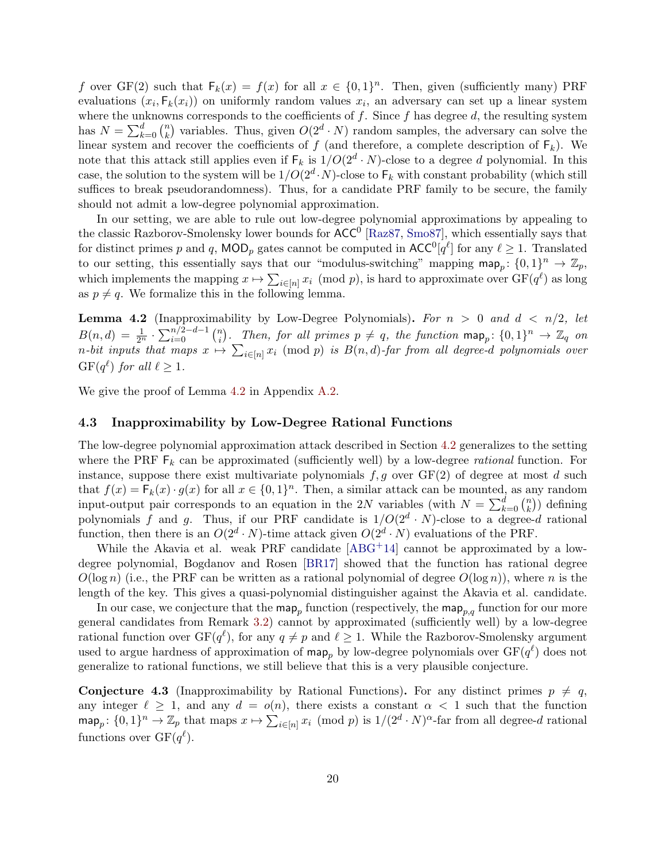f over GF(2) such that  $F_k(x) = f(x)$  for all  $x \in \{0,1\}^n$ . Then, given (sufficiently many) PRF evaluations  $(x_i, F_k(x_i))$  on uniformly random values  $x_i$ , an adversary can set up a linear system where the unknowns corresponds to the coefficients of  $f$ . Since  $f$  has degree  $d$ , the resulting system has  $N = \sum_{k=0}^{d} {n \choose k}$  $\binom{n}{k}$  variables. Thus, given  $O(2^d \cdot N)$  random samples, the adversary can solve the linear system and recover the coefficients of f (and therefore, a complete description of  $F_k$ ). We note that this attack still applies even if  $\mathsf{F}_k$  is  $1/O(2^d \cdot N)$ -close to a degree d polynomial. In this case, the solution to the system will be  $1/O(2^d \cdot N)$ -close to  $\mathsf{F}_k$  with constant probability (which still suffices to break pseudorandomness). Thus, for a candidate PRF family to be secure, the family should not admit a low-degree polynomial approximation.

In our setting, we are able to rule out low-degree polynomial approximations by appealing to the classic Razborov-Smolensky lower bounds for  $ACC^0$  [\[Raz87,](#page-55-1) [Smo87\]](#page-55-2), which essentially says that for distinct primes p and q, MOD<sub>p</sub> gates cannot be computed in  $ACC^0[q^{\ell}]$  for any  $\ell \geq 1$ . Translated to our setting, this essentially says that our "modulus-switching" mapping  $\text{map}_p: \{0,1\}^n \to \mathbb{Z}_p$ , which implements the mapping  $x \mapsto \sum_{i \in [n]} x_i \pmod{p}$ , is hard to approximate over  $GF(q^{\ell})$  as long as  $p \neq q$ . We formalize this in the following lemma.

<span id="page-19-1"></span>**Lemma 4.2** (Inapproximability by Low-Degree Polynomials). For  $n > 0$  and  $d < n/2$ , let  $B(n, d) = \frac{1}{2^n} \cdot \sum_{i=0}^{n/2-d-1} {n \choose i}$  $\binom{n}{i}$ . Then, for all primes  $p \neq q$ , the function  $\textsf{map}_p: \{0,1\}^n \to \mathbb{Z}_q$  on n-bit inputs that maps  $x \mapsto \sum_{i\in [n]} x_i \pmod{p}$  is  $B(n,d)$ -far from all degree-d polynomials over  $GF(q^{\ell})$  for all  $\ell \geq 1$ .

We give the proof of Lemma [4.2](#page-19-1) in Appendix [A.2.](#page-57-0)

#### <span id="page-19-2"></span>4.3 Inapproximability by Low-Degree Rational Functions

The low-degree polynomial approximation attack described in Section [4.2](#page-18-2) generalizes to the setting where the PRF  $\mathsf{F}_k$  can be approximated (sufficiently well) by a low-degree *rational* function. For instance, suppose there exist multivariate polynomials  $f, g$  over  $GF(2)$  of degree at most d such that  $f(x) = F_k(x) \cdot g(x)$  for all  $x \in \{0,1\}^n$ . Then, a similar attack can be mounted, as any random input-output pair corresponds to an equation in the 2N variables (with  $N = \sum_{k=0}^{d} {n \choose k}$  $\binom{n}{k}$ ) defining polynomials f and g. Thus, if our PRF candidate is  $1/O(2^d \cdot N)$ -close to a degree-d rational function, then there is an  $O(2^d \cdot N)$ -time attack given  $O(2^d \cdot N)$  evaluations of the PRF.

While the Akavia et al. weak PRF candidate  $[ABC^+14]$  cannot be approximated by a lowdegree polynomial, Bogdanov and Rosen [\[BR17\]](#page-51-1) showed that the function has rational degree  $O(\log n)$  (i.e., the PRF can be written as a rational polynomial of degree  $O(\log n)$ ), where n is the length of the key. This gives a quasi-polynomial distinguisher against the Akavia et al. candidate.

In our case, we conjecture that the  $\mathsf{map}_p$  function (respectively, the  $\mathsf{map}_{p,q}$  function for our more general candidates from Remark [3.2\)](#page-14-2) cannot by approximated (sufficiently well) by a low-degree rational function over  $GF(q^{\ell})$ , for any  $q \neq p$  and  $\ell \geq 1$ . While the Razborov-Smolensky argument used to argue hardness of approximation of  $\mathsf{map}_p$  by low-degree polynomials over  $\mathrm{GF}(q^\ell)$  does not generalize to rational functions, we still believe that this is a very plausible conjecture.

<span id="page-19-0"></span>**Conjecture 4.3** (Inapproximability by Rational Functions). For any distinct primes  $p \neq q$ , any integer  $\ell \geq 1$ , and any  $d = o(n)$ , there exists a constant  $\alpha < 1$  such that the function  $\textsf{map}_p: \{0,1\}^n \to \mathbb{Z}_p$  that maps  $x \mapsto \sum_{i \in [n]} x_i \pmod{p}$  is  $1/(2^d \cdot N)^{\alpha}$ -far from all degree-d rational functions over  $GF(q^{\ell}).$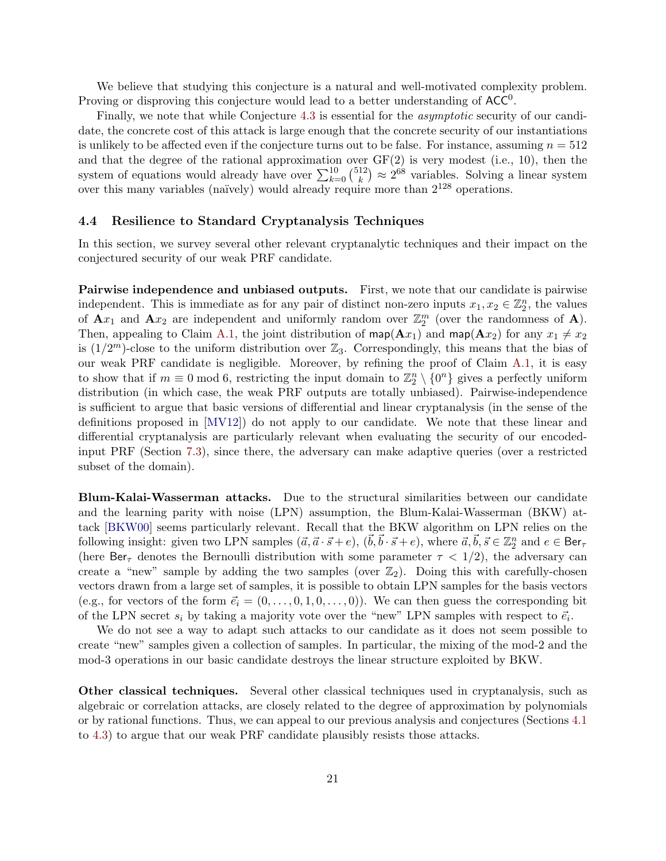We believe that studying this conjecture is a natural and well-motivated complexity problem. Proving or disproving this conjecture would lead to a better understanding of  $ACC^{0}$ .

Finally, we note that while Conjecture [4.3](#page-19-0) is essential for the *asymptotic* security of our candidate, the concrete cost of this attack is large enough that the concrete security of our instantiations is unlikely to be affected even if the conjecture turns out to be false. For instance, assuming  $n = 512$ and that the degree of the rational approximation over GF(2) is very modest (i.e., 10), then the system of equations would already have over  $\sum_{k=0}^{10} {\binom{512}{k}}$  $\binom{12}{k} \approx 2^{68}$  variables. Solving a linear system over this many variables (naïvely) would already require more than  $2^{128}$  operations.

#### <span id="page-20-0"></span>4.4 Resilience to Standard Cryptanalysis Techniques

In this section, we survey several other relevant cryptanalytic techniques and their impact on the conjectured security of our weak PRF candidate.

Pairwise independence and unbiased outputs. First, we note that our candidate is pairwise independent. This is immediate as for any pair of distinct non-zero inputs  $x_1, x_2 \in \mathbb{Z}_2^n$ , the values of  $\mathbf{A}x_1$  and  $\mathbf{A}x_2$  are independent and uniformly random over  $\mathbb{Z}_2^m$  (over the randomness of  $\mathbf{A}$ ). Then, appealing to Claim [A.1,](#page-56-1) the joint distribution of  $\textsf{map}(\mathbf{A}x_1)$  and  $\textsf{map}(\mathbf{A}x_2)$  for any  $x_1 \neq x_2$ is  $(1/2<sup>m</sup>)$ -close to the uniform distribution over  $\mathbb{Z}_3$ . Correspondingly, this means that the bias of our weak PRF candidate is negligible. Moreover, by refining the proof of Claim [A.1,](#page-56-1) it is easy to show that if  $m \equiv 0 \mod 6$ , restricting the input domain to  $\mathbb{Z}_2^n \setminus \{0^n\}$  gives a perfectly uniform distribution (in which case, the weak PRF outputs are totally unbiased). Pairwise-independence is sufficient to argue that basic versions of differential and linear cryptanalysis (in the sense of the definitions proposed in [\[MV12\]](#page-54-0)) do not apply to our candidate. We note that these linear and differential cryptanalysis are particularly relevant when evaluating the security of our encodedinput PRF (Section [7.3\)](#page-45-0), since there, the adversary can make adaptive queries (over a restricted subset of the domain).

Blum-Kalai-Wasserman attacks. Due to the structural similarities between our candidate and the learning parity with noise (LPN) assumption, the Blum-Kalai-Wasserman (BKW) attack [\[BKW00\]](#page-51-10) seems particularly relevant. Recall that the BKW algorithm on LPN relies on the following insight: given two LPN samples  $(\vec{a}, \vec{a} \cdot \vec{s} + e)$ ,  $(\vec{b}, \vec{b} \cdot \vec{s} + e)$ , where  $\vec{a}, \vec{b}, \vec{s} \in \mathbb{Z}_2^n$  and  $e \in \text{Ber}_{\tau}$ (here  $\text{Ber}_{\tau}$  denotes the Bernoulli distribution with some parameter  $\tau < 1/2$ ), the adversary can create a "new" sample by adding the two samples (over  $\mathbb{Z}_2$ ). Doing this with carefully-chosen vectors drawn from a large set of samples, it is possible to obtain LPN samples for the basis vectors (e.g., for vectors of the form  $\vec{e}_i = (0, \ldots, 0, 1, 0, \ldots, 0)$ ). We can then guess the corresponding bit of the LPN secret  $s_i$  by taking a majority vote over the "new" LPN samples with respect to  $\vec{e}_i$ .

We do not see a way to adapt such attacks to our candidate as it does not seem possible to create "new" samples given a collection of samples. In particular, the mixing of the mod-2 and the mod-3 operations in our basic candidate destroys the linear structure exploited by BKW.

Other classical techniques. Several other classical techniques used in cryptanalysis, such as algebraic or correlation attacks, are closely related to the degree of approximation by polynomials or by rational functions. Thus, we can appeal to our previous analysis and conjectures (Sections [4.1](#page-18-3) to [4.3\)](#page-19-2) to argue that our weak PRF candidate plausibly resists those attacks.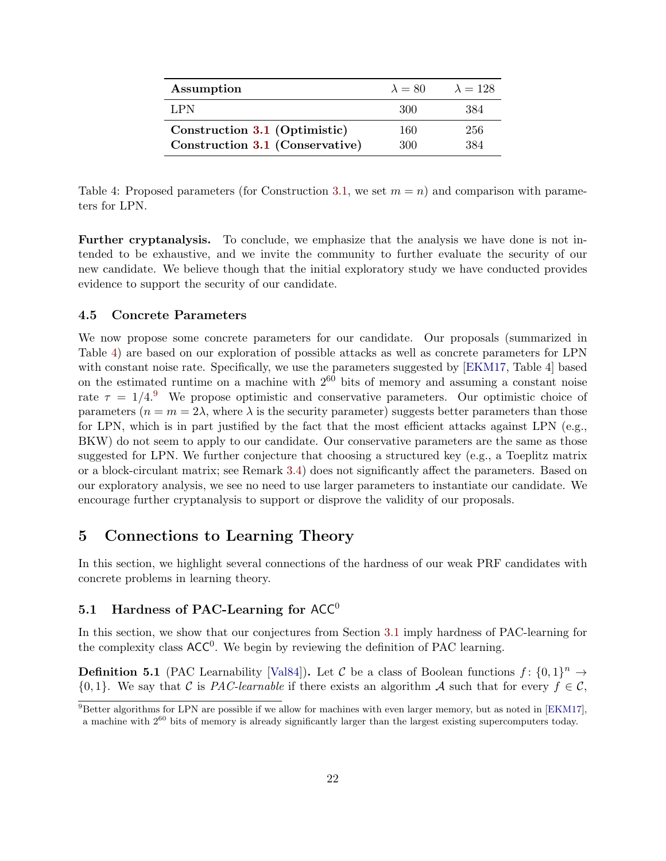| Assumption                                                       | $\lambda = 80$ | $\lambda = 128$ |
|------------------------------------------------------------------|----------------|-----------------|
| LPN                                                              | 300            | 384             |
| Construction 3.1 (Optimistic)<br>Construction 3.1 (Conservative) | 160<br>300     | 256<br>384      |

<span id="page-21-1"></span>Table 4: Proposed parameters (for Construction [3.1,](#page-13-1) we set  $m = n$ ) and comparison with parameters for LPN.

Further cryptanalysis. To conclude, we emphasize that the analysis we have done is not intended to be exhaustive, and we invite the community to further evaluate the security of our new candidate. We believe though that the initial exploratory study we have conducted provides evidence to support the security of our candidate.

#### <span id="page-21-2"></span>4.5 Concrete Parameters

We now propose some concrete parameters for our candidate. Our proposals (summarized in Table [4\)](#page-21-1) are based on our exploration of possible attacks as well as concrete parameters for LPN with constant noise rate. Specifically, we use the parameters suggested by [\[EKM17,](#page-52-8) Table 4] based on the estimated runtime on a machine with  $2^{60}$  bits of memory and assuming a constant noise rate  $\tau = 1/4$ .<sup>[9](#page-21-3)</sup> We propose optimistic and conservative parameters. Our optimistic choice of parameters  $(n = m = 2\lambda)$ , where  $\lambda$  is the security parameter) suggests better parameters than those for LPN, which is in part justified by the fact that the most efficient attacks against LPN (e.g., BKW) do not seem to apply to our candidate. Our conservative parameters are the same as those suggested for LPN. We further conjecture that choosing a structured key (e.g., a Toeplitz matrix or a block-circulant matrix; see Remark [3.4\)](#page-14-1) does not significantly affect the parameters. Based on our exploratory analysis, we see no need to use larger parameters to instantiate our candidate. We encourage further cryptanalysis to support or disprove the validity of our proposals.

### 5 Connections to Learning Theory

In this section, we highlight several connections of the hardness of our weak PRF candidates with concrete problems in learning theory.

### <span id="page-21-0"></span>5.1 Hardness of PAC-Learning for  $ACC^{0}$

In this section, we show that our conjectures from Section [3.1](#page-15-0) imply hardness of PAC-learning for the complexity class  $ACC^{0}$ . We begin by reviewing the definition of PAC learning.

**Definition 5.1** (PAC Learnability [\[Val84\]](#page-55-4)). Let C be a class of Boolean functions  $f: \{0,1\}^n \to$  $\{0,1\}$ . We say that C is *PAC-learnable* if there exists an algorithm A such that for every  $f \in C$ ,

<span id="page-21-3"></span> $\overline{9}$ Better algorithms for LPN are possible if we allow for machines with even larger memory, but as noted in [\[EKM17\]](#page-52-8), a machine with 2<sup>60</sup> bits of memory is already significantly larger than the largest existing supercomputers today.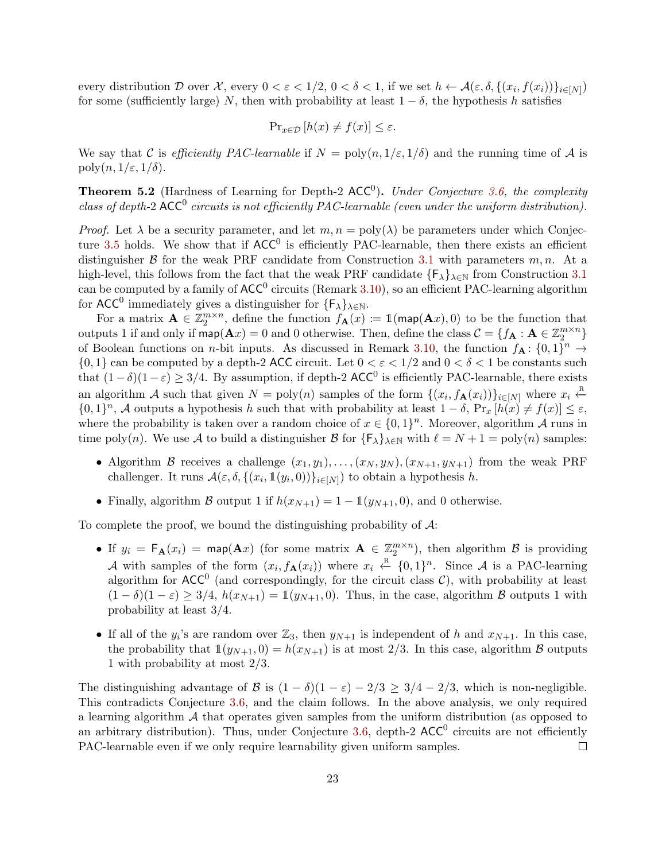every distribution D over  $\mathcal{X}$ , every  $0 < \varepsilon < 1/2$ ,  $0 < \delta < 1$ , if we set  $h \leftarrow \mathcal{A}(\varepsilon, \delta, \{(x_i, f(x_i))\}_{i \in [N]})$ for some (sufficiently large) N, then with probability at least  $1 - \delta$ , the hypothesis h satisfies

$$
\Pr_{x \in \mathcal{D}} [h(x) \neq f(x)] \leq \varepsilon.
$$

We say that C is efficiently PAC-learnable if  $N = \text{poly}(n, 1/\varepsilon, 1/\delta)$  and the running time of A is poly $(n, 1/\varepsilon, 1/\delta)$ .

<span id="page-22-0"></span>**Theorem 5.2** (Hardness of Learning for Depth-2  $ACC<sup>0</sup>$ ). Under Conjecture [3.6,](#page-15-2) the complexity class of depth-2  $ACC^0$  circuits is not efficiently PAC-learnable (even under the uniform distribution).

*Proof.* Let  $\lambda$  be a security parameter, and let  $m, n = \text{poly}(\lambda)$  be parameters under which Conjec-ture [3.5](#page-15-4) holds. We show that if  $ACC^0$  is efficiently PAC-learnable, then there exists an efficient distinguisher B for the weak PRF candidate from Construction [3.1](#page-13-1) with parameters  $m, n$ . At a high-level, this follows from the fact that the weak PRF candidate  $\{\mathsf{F}_{\lambda}\}_{\lambda \in \mathbb{N}}$  from Construction [3.1](#page-13-1) can be computed by a family of  $ACC^0$  circuits (Remark [3.10\)](#page-15-1), so an efficient PAC-learning algorithm for  $ACC^0$  immediately gives a distinguisher for  ${F_\lambda}_{\lambda \in \mathbb{N}}$ .

For a matrix  $\mathbf{A} \in \mathbb{Z}_2^{m \times n}$ , define the function  $f_{\mathbf{A}}(x) := \mathbb{1}(\text{map}(\mathbf{A}x), 0)$  to be the function that outputs 1 if and only if  $\textsf{map}(\mathbf{A}x) = 0$  and 0 otherwise. Then, define the class  $C = \{f_{\mathbf{A}} : \mathbf{A} \in \mathbb{Z}_2^{m \times n}\}\$ of Boolean functions on *n*-bit inputs. As discussed in Remark [3.10,](#page-15-1) the function  $f_{\mathbf{A}}: \{0,1\}^n \to$  $\{0,1\}$  can be computed by a depth-2 ACC circuit. Let  $0 < \varepsilon < 1/2$  and  $0 < \delta < 1$  be constants such that  $(1 - \delta)(1 - \varepsilon) \geq 3/4$ . By assumption, if depth-2 ACC<sup>0</sup> is efficiently PAC-learnable, there exists an algorithm A such that given  $N = \text{poly}(n)$  samples of the form  $\{(x_i, f_{\mathbf{A}}(x_i))\}_{i \in [N]}$  where  $x_i \stackrel{\text{R}}{\leftarrow}$  $\{0,1\}^n$ , A outputs a hypothesis h such that with probability at least  $1-\delta$ ,  $\Pr_x[h(x) \neq f(x)] \leq \varepsilon$ , where the probability is taken over a random choice of  $x \in \{0,1\}^n$ . Moreover, algorithm A runs in time poly(n). We use A to build a distinguisher B for  $\{F_{\lambda}\}_{{\lambda}\in\mathbb{N}}$  with  $\ell = N + 1 = \text{poly}(n)$  samples:

- Algorithm B receives a challenge  $(x_1, y_1), \ldots, (x_N, y_N), (x_{N+1}, y_{N+1})$  from the weak PRF challenger. It runs  $\mathcal{A}(\varepsilon, \delta, \{(x_i, \mathbb{1}(y_i, 0))\}_{i \in [N]})$  to obtain a hypothesis h.
- Finally, algorithm B output 1 if  $h(x_{N+1}) = 1 1(y_{N+1}, 0)$ , and 0 otherwise.

To complete the proof, we bound the distinguishing probability of  $A$ :

- If  $y_i = F_A(x_i) = \text{map}(Ax)$  (for some matrix  $A \in \mathbb{Z}_2^{m \times n}$ ), then algorithm  $B$  is providing A with samples of the form  $(x_i, f_{\mathbf{A}}(x_i))$  where  $x_i \stackrel{\text{R}}{\leftarrow} \{0, 1\}^n$ . Since A is a PAC-learning algorithm for  $ACC^0$  (and correspondingly, for the circuit class C), with probability at least  $(1 - \delta)(1 - \varepsilon) \geq 3/4$ ,  $h(x_{N+1}) = 1(y_{N+1}, 0)$ . Thus, in the case, algorithm B outputs 1 with probability at least 3/4.
- If all of the  $y_i$ 's are random over  $\mathbb{Z}_3$ , then  $y_{N+1}$  is independent of h and  $x_{N+1}$ . In this case, the probability that  $\mathbb{1}(y_{N+1}, 0) = h(x_{N+1})$  is at most 2/3. In this case, algorithm  $\beta$  outputs 1 with probability at most 2/3.

The distinguishing advantage of B is  $(1 - \delta)(1 - \varepsilon) - 2/3 \geq 3/4 - 2/3$ , which is non-negligible. This contradicts Conjecture [3.6,](#page-15-2) and the claim follows. In the above analysis, we only required a learning algorithm A that operates given samples from the uniform distribution (as opposed to an arbitrary distribution). Thus, under Conjecture [3.6,](#page-15-2) depth-2  $ACC^0$  circuits are not efficiently PAC-learnable even if we only require learnability given uniform samples.  $\Box$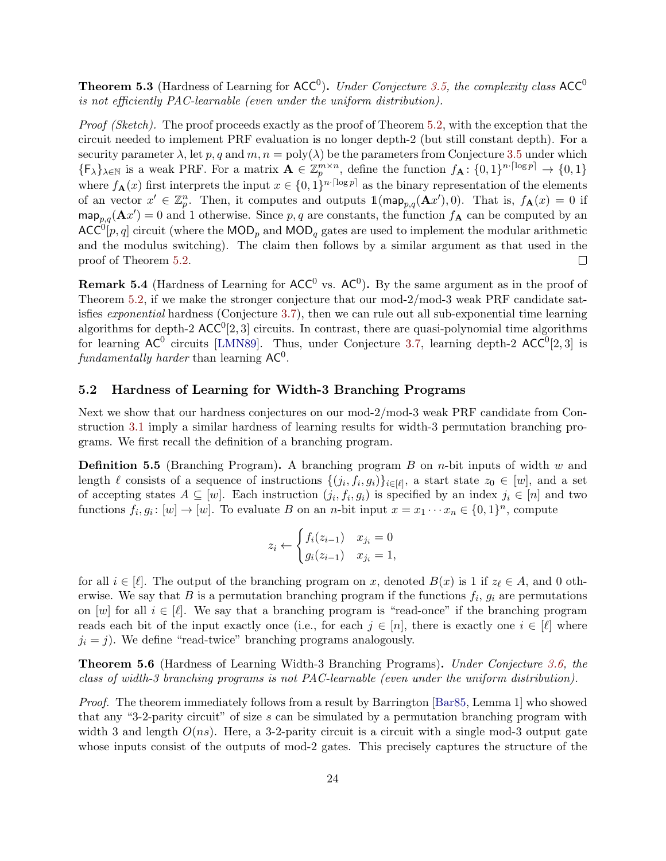**Theorem 5.3** (Hardness of Learning for  $ACC^0$ ). Under Conjecture [3.5,](#page-15-4) the complexity class  $ACC^0$ is not efficiently PAC-learnable (even under the uniform distribution).

Proof (Sketch). The proof proceeds exactly as the proof of Theorem [5.2,](#page-22-0) with the exception that the circuit needed to implement PRF evaluation is no longer depth-2 (but still constant depth). For a security parameter  $\lambda$ , let p, q and  $m, n = \text{poly}(\lambda)$  be the parameters from Conjecture [3.5](#page-15-4) under which  $\{\mathsf{F}_{\lambda}\}_{\lambda\in\mathbb{N}}$  is a weak PRF. For a matrix  $\mathbf{A}\in\mathbb{Z}_p^{m\times n}$ , define the function  $f_{\mathbf{A}}\colon\{0,1\}^{n\cdot\lceil\log p\rceil}\to\{0,1\}$ where  $f_{\mathbf{A}}(x)$  first interprets the input  $x \in \{0,1\}^{n \cdot \lceil \log p \rceil}$  as the binary representation of the elements of an vector  $x' \in \mathbb{Z}_p^n$ . Then, it computes and outputs  $\mathbb{1}(\text{map}_{p,q}(\mathbf{A}x'),0)$ . That is,  $f_{\mathbf{A}}(x)=0$  if  $\text{map}_{p,q}(\mathbf{A}x') = 0$  and 1 otherwise. Since p, q are constants, the function  $f_{\mathbf{A}}$  can be computed by an  $\mathsf{ACC}^{0}[p,q]$  circuit (where the  $\mathsf{MOD}_p$  and  $\mathsf{MOD}_q$  gates are used to implement the modular arithmetic and the modulus switching). The claim then follows by a similar argument as that used in the proof of Theorem [5.2.](#page-22-0)  $\Box$ 

**Remark 5.4** (Hardness of Learning for  $ACC^0$  vs.  $AC^0$ ). By the same argument as in the proof of Theorem [5.2,](#page-22-0) if we make the stronger conjecture that our mod-2/mod-3 weak PRF candidate satisfies exponential hardness (Conjecture [3.7\)](#page-15-3), then we can rule out all sub-exponential time learning algorithms for depth-2  $ACC^0[2,3]$  circuits. In contrast, there are quasi-polynomial time algorithms for learning  $AC^0$  circuits [\[LMN89\]](#page-54-1). Thus, under Conjecture [3.7,](#page-15-3) learning depth-2  $ACC^0[2,3]$  is fundamentally harder than learning  $AC^0$ .

#### <span id="page-23-0"></span>5.2 Hardness of Learning for Width-3 Branching Programs

Next we show that our hardness conjectures on our mod-2/mod-3 weak PRF candidate from Construction [3.1](#page-13-1) imply a similar hardness of learning results for width-3 permutation branching programs. We first recall the definition of a branching program.

**Definition 5.5** (Branching Program). A branching program  $B$  on *n*-bit inputs of width  $w$  and length  $\ell$  consists of a sequence of instructions  $\{(j_i, f_i, g_i)\}_{i \in [\ell]},$  a start state  $z_0 \in [w]$ , and a set of accepting states  $A \subseteq [w]$ . Each instruction  $(j_i, f_i, g_i)$  is specified by an index  $j_i \in [n]$  and two functions  $f_i, g_i: [w] \to [w]$ . To evaluate B on an n-bit input  $x = x_1 \cdots x_n \in \{0,1\}^n$ , compute

$$
z_i \leftarrow \begin{cases} f_i(z_{i-1}) & x_{j_i} = 0\\ g_i(z_{i-1}) & x_{j_i} = 1, \end{cases}
$$

for all  $i \in [\ell]$ . The output of the branching program on x, denoted  $B(x)$  is 1 if  $z_{\ell} \in A$ , and 0 otherwise. We say that B is a permutation branching program if the functions  $f_i$ ,  $g_i$  are permutations on  $[w]$  for all  $i \in [\ell]$ . We say that a branching program is "read-once" if the branching program reads each bit of the input exactly once (i.e., for each  $j \in [n]$ , there is exactly one  $i \in [\ell]$  where  $j_i = j$ . We define "read-twice" branching programs analogously.

<span id="page-23-1"></span>Theorem 5.6 (Hardness of Learning Width-3 Branching Programs). Under Conjecture [3.6,](#page-15-2) the class of width-3 branching programs is not PAC-learnable (even under the uniform distribution).

Proof. The theorem immediately follows from a result by Barrington [\[Bar85,](#page-50-3) Lemma 1] who showed that any "3-2-parity circuit" of size s can be simulated by a permutation branching program with width 3 and length  $O(ns)$ . Here, a 3-2-parity circuit is a circuit with a single mod-3 output gate whose inputs consist of the outputs of mod-2 gates. This precisely captures the structure of the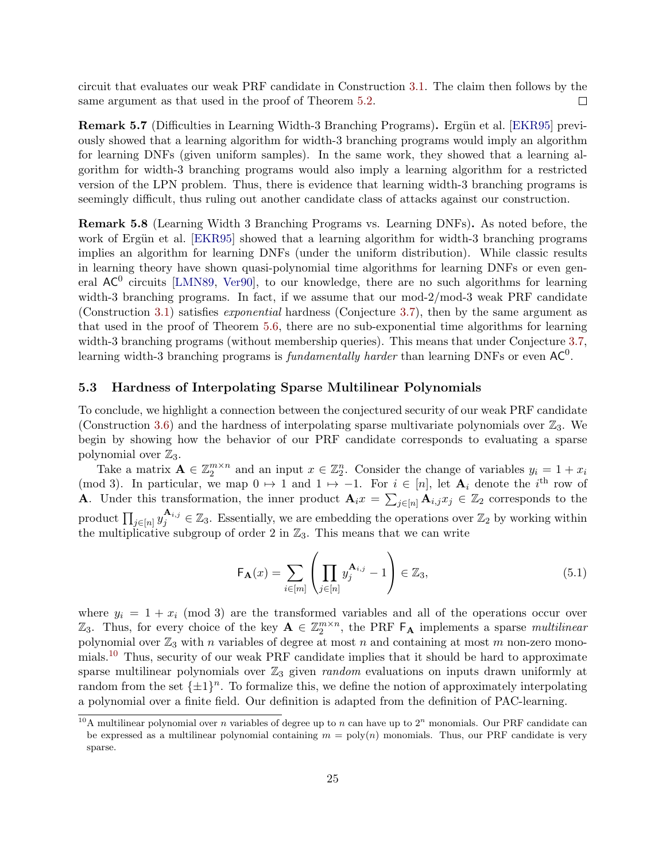circuit that evaluates our weak PRF candidate in Construction [3.1.](#page-13-1) The claim then follows by the same argument as that used in the proof of Theorem [5.2.](#page-22-0)  $\Box$ 

**Remark 5.7** (Difficulties in Learning Width-3 Branching Programs). Ergün et al. [\[EKR95\]](#page-52-3) previously showed that a learning algorithm for width-3 branching programs would imply an algorithm for learning DNFs (given uniform samples). In the same work, they showed that a learning algorithm for width-3 branching programs would also imply a learning algorithm for a restricted version of the LPN problem. Thus, there is evidence that learning width-3 branching programs is seemingly difficult, thus ruling out another candidate class of attacks against our construction.

Remark 5.8 (Learning Width 3 Branching Programs vs. Learning DNFs). As noted before, the work of Ergün et al. [\[EKR95\]](#page-52-3) showed that a learning algorithm for width-3 branching programs implies an algorithm for learning DNFs (under the uniform distribution). While classic results in learning theory have shown quasi-polynomial time algorithms for learning DNFs or even general  $AC^0$  circuits [\[LMN89,](#page-54-1) [Ver90\]](#page-55-5), to our knowledge, there are no such algorithms for learning width-3 branching programs. In fact, if we assume that our mod-2/mod-3 weak PRF candidate (Construction [3.1\)](#page-13-1) satisfies exponential hardness (Conjecture [3.7\)](#page-15-3), then by the same argument as that used in the proof of Theorem [5.6,](#page-23-1) there are no sub-exponential time algorithms for learning width-3 branching programs (without membership queries). This means that under Conjecture [3.7,](#page-15-3) learning width-3 branching programs is *fundamentally harder* than learning DNFs or even  $AC^0$ .

#### <span id="page-24-0"></span>5.3 Hardness of Interpolating Sparse Multilinear Polynomials

To conclude, we highlight a connection between the conjectured security of our weak PRF candidate (Construction [3.6\)](#page-15-2) and the hardness of interpolating sparse multivariate polynomials over  $\mathbb{Z}_3$ . We begin by showing how the behavior of our PRF candidate corresponds to evaluating a sparse polynomial over  $\mathbb{Z}_3$ .

Take a matrix  $\mathbf{A} \in \mathbb{Z}_2^{m \times n}$  and an input  $x \in \mathbb{Z}_2^n$ . Consider the change of variables  $y_i = 1 + x_i$ (mod 3). In particular, we map  $0 \mapsto 1$  and  $1 \mapsto -1$ . For  $i \in [n]$ , let  $\mathbf{A}_i$  denote the i<sup>th</sup> row of **A**. Under this transformation, the inner product  $\mathbf{A}_i x = \sum_{j \in [n]} \mathbf{A}_{i,j} x_j \in \mathbb{Z}_2$  corresponds to the product  $\prod_{j\in[n]} y_j^{\mathbf{A}_{i,j}} \in \mathbb{Z}_3$ . Essentially, we are embedding the operations over  $\mathbb{Z}_2$  by working within the multiplicative subgroup of order 2 in  $\mathbb{Z}_3$ . This means that we can write

<span id="page-24-2"></span>
$$
\mathsf{F}_{\mathbf{A}}(x) = \sum_{i \in [m]} \left( \prod_{j \in [n]} y_j^{\mathbf{A}_{i,j}} - 1 \right) \in \mathbb{Z}_3,
$$
\n(5.1)

where  $y_i = 1 + x_i \pmod{3}$  are the transformed variables and all of the operations occur over  $\mathbb{Z}_3$ . Thus, for every choice of the key  $\mathbf{A} \in \mathbb{Z}_2^{m \times n}$ , the PRF  $\mathsf{F}_{\mathbf{A}}$  implements a sparse *multilinear* polynomial over  $\mathbb{Z}_3$  with n variables of degree at most n and containing at most m non-zero monomials.[10](#page-24-1) Thus, security of our weak PRF candidate implies that it should be hard to approximate sparse multilinear polynomials over  $\mathbb{Z}_3$  given *random* evaluations on inputs drawn uniformly at random from the set  $\{\pm 1\}^n$ . To formalize this, we define the notion of approximately interpolating a polynomial over a finite field. Our definition is adapted from the definition of PAC-learning.

<span id="page-24-1"></span><sup>&</sup>lt;sup>10</sup>A multilinear polynomial over *n* variables of degree up to *n* can have up to  $2^n$  monomials. Our PRF candidate can be expressed as a multilinear polynomial containing  $m = \text{poly}(n)$  monomials. Thus, our PRF candidate is very sparse.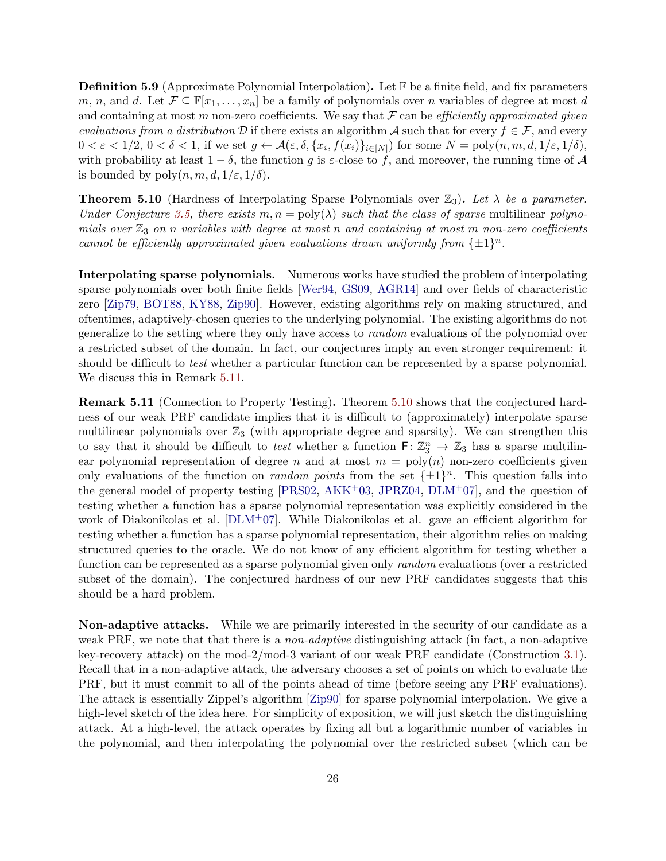**Definition 5.9** (Approximate Polynomial Interpolation). Let  $\mathbb{F}$  be a finite field, and fix parameters m, n, and d. Let  $\mathcal{F} \subseteq \mathbb{F}[x_1,\ldots,x_n]$  be a family of polynomials over n variables of degree at most d and containing at most m non-zero coefficients. We say that  $\mathcal F$  can be *efficiently approximated given* evaluations from a distribution D if there exists an algorithm A such that for every  $f \in \mathcal{F}$ , and every  $0 < \varepsilon < 1/2, 0 < \delta < 1$ , if we set  $g \leftarrow \mathcal{A}(\varepsilon, \delta, \{x_i, f(x_i)\}_{i \in [N]})$  for some  $N = \text{poly}(n, m, d, 1/\varepsilon, 1/\delta)$ , with probability at least  $1 - \delta$ , the function g is  $\varepsilon$ -close to f, and moreover, the running time of A is bounded by  $\text{poly}(n, m, d, 1/\varepsilon, 1/\delta)$ .

<span id="page-25-1"></span>**Theorem 5.10** (Hardness of Interpolating Sparse Polynomials over  $\mathbb{Z}_3$ ). Let  $\lambda$  be a parameter. Under Conjecture [3.5,](#page-15-4) there exists  $m, n = \text{poly}(\lambda)$  such that the class of sparse multilinear polynomials over  $\mathbb{Z}_3$  on n variables with degree at most n and containing at most m non-zero coefficients cannot be efficiently approximated given evaluations drawn uniformly from  $\{\pm 1\}^n$ .

Interpolating sparse polynomials. Numerous works have studied the problem of interpolating sparse polynomials over both finite fields [\[Wer94,](#page-55-8) [GS09,](#page-53-2) [AGR14\]](#page-49-2) and over fields of characteristic zero [\[Zip79,](#page-55-6) [BOT88,](#page-51-2) [KY88,](#page-54-2) [Zip90\]](#page-55-7). However, existing algorithms rely on making structured, and oftentimes, adaptively-chosen queries to the underlying polynomial. The existing algorithms do not generalize to the setting where they only have access to random evaluations of the polynomial over a restricted subset of the domain. In fact, our conjectures imply an even stronger requirement: it should be difficult to *test* whether a particular function can be represented by a sparse polynomial. We discuss this in Remark [5.11.](#page-25-0)

<span id="page-25-0"></span>Remark 5.11 (Connection to Property Testing). Theorem [5.10](#page-25-1) shows that the conjectured hardness of our weak PRF candidate implies that it is difficult to (approximately) interpolate sparse multilinear polynomials over  $\mathbb{Z}_3$  (with appropriate degree and sparsity). We can strengthen this to say that it should be difficult to test whether a function  $F: \mathbb{Z}_3^n \to \mathbb{Z}_3$  has a sparse multilinear polynomial representation of degree n and at most  $m = \text{poly}(n)$  non-zero coefficients given only evaluations of the function on *random points* from the set  $\{\pm 1\}^n$ . This question falls into the general model of property testing  $[PRS02, AKK<sup>+</sup>03, JPRZ04, DLM<sup>+</sup>07]$  $[PRS02, AKK<sup>+</sup>03, JPRZ04, DLM<sup>+</sup>07]$  $[PRS02, AKK<sup>+</sup>03, JPRZ04, DLM<sup>+</sup>07]$  $[PRS02, AKK<sup>+</sup>03, JPRZ04, DLM<sup>+</sup>07]$  $[PRS02, AKK<sup>+</sup>03, JPRZ04, DLM<sup>+</sup>07]$  $[PRS02, AKK<sup>+</sup>03, JPRZ04, DLM<sup>+</sup>07]$  $[PRS02, AKK<sup>+</sup>03, JPRZ04, DLM<sup>+</sup>07]$  $[PRS02, AKK<sup>+</sup>03, JPRZ04, DLM<sup>+</sup>07]$ , and the question of testing whether a function has a sparse polynomial representation was explicitly considered in the work of Diakonikolas et al.  $[DLM^{+}07]$  $[DLM^{+}07]$ . While Diakonikolas et al. gave an efficient algorithm for testing whether a function has a sparse polynomial representation, their algorithm relies on making structured queries to the oracle. We do not know of any efficient algorithm for testing whether a function can be represented as a sparse polynomial given only random evaluations (over a restricted subset of the domain). The conjectured hardness of our new PRF candidates suggests that this should be a hard problem.

Non-adaptive attacks. While we are primarily interested in the security of our candidate as a weak PRF, we note that that there is a *non-adaptive* distinguishing attack (in fact, a non-adaptive key-recovery attack) on the mod-2/mod-3 variant of our weak PRF candidate (Construction [3.1\)](#page-13-1). Recall that in a non-adaptive attack, the adversary chooses a set of points on which to evaluate the PRF, but it must commit to all of the points ahead of time (before seeing any PRF evaluations). The attack is essentially Zippel's algorithm [\[Zip90\]](#page-55-7) for sparse polynomial interpolation. We give a high-level sketch of the idea here. For simplicity of exposition, we will just sketch the distinguishing attack. At a high-level, the attack operates by fixing all but a logarithmic number of variables in the polynomial, and then interpolating the polynomial over the restricted subset (which can be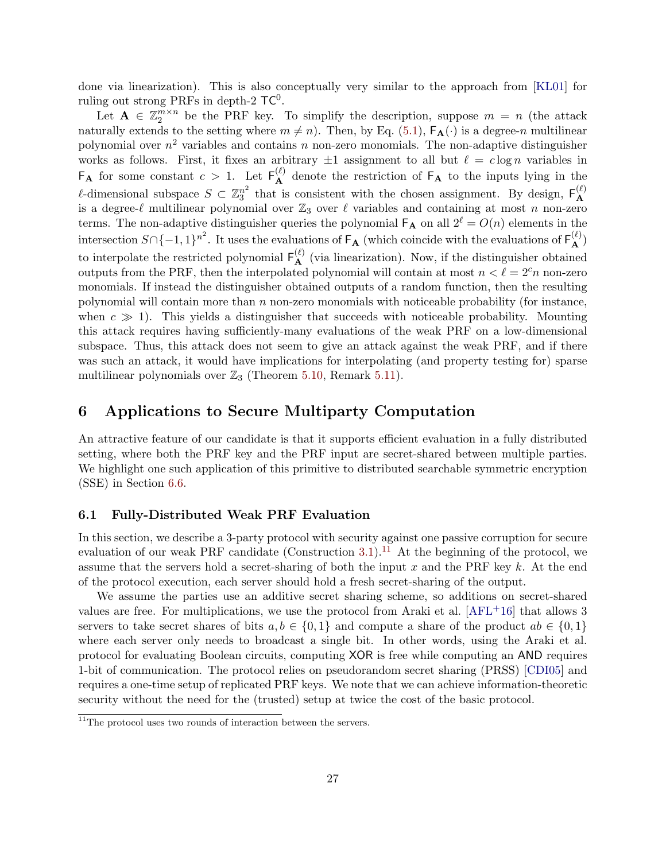done via linearization). This is also conceptually very similar to the approach from [\[KL01\]](#page-53-8) for ruling out strong PRFs in depth-2  $TC^0$ .

Let  $A \in \mathbb{Z}_2^{m \times n}$  be the PRF key. To simplify the description, suppose  $m = n$  (the attack naturally extends to the setting where  $m \neq n$ ). Then, by Eq. [\(5.1\)](#page-24-2),  $\mathsf{F}_{\mathbf{A}}(\cdot)$  is a degree-n multilinear polynomial over  $n^2$  variables and contains n non-zero monomials. The non-adaptive distinguisher works as follows. First, it fixes an arbitrary  $\pm 1$  assignment to all but  $\ell = c \log n$  variables in  $F_A$  for some constant  $c > 1$ . Let  $F_A^{(\ell)}$  denote the restriction of  $F_A$  to the inputs lying in the  $\ell$ -dimensional subspace  $S \subset \mathbb{Z}_3^{n^2}$  $n_3^{n^2}$  that is consistent with the chosen assignment. By design,  $\mathsf{F}_{\mathbf{A}}^{(\ell)}$ A is a degree- $\ell$  multilinear polynomial over  $\mathbb{Z}_3$  over  $\ell$  variables and containing at most n non-zero terms. The non-adaptive distinguisher queries the polynomial  $F_A$  on all  $2^\ell = O(n)$  elements in the intersection  $S \cap \{-1,1\}^{n^2}$ . It uses the evaluations of  $\mathsf{F}_{\mathbf{A}}$  (which coincide with the evaluations of  $\mathsf{F}_{\mathbf{A}}^{(\ell)}$ ) to interpolate the restricted polynomial  $F_{\mathbf{A}}^{(\ell)}$  (via linearization). Now, if the distinguisher obtained outputs from the PRF, then the interpolated polynomial will contain at most  $n < \ell = 2<sup>c</sup> n$  non-zero monomials. If instead the distinguisher obtained outputs of a random function, then the resulting polynomial will contain more than  $n$  non-zero monomials with noticeable probability (for instance, when  $c \gg 1$ ). This yields a distinguisher that succeeds with noticeable probability. Mounting this attack requires having sufficiently-many evaluations of the weak PRF on a low-dimensional subspace. Thus, this attack does not seem to give an attack against the weak PRF, and if there was such an attack, it would have implications for interpolating (and property testing for) sparse multilinear polynomials over  $\mathbb{Z}_3$  (Theorem [5.10,](#page-25-1) Remark [5.11\)](#page-25-0).

# <span id="page-26-0"></span>6 Applications to Secure Multiparty Computation

An attractive feature of our candidate is that it supports efficient evaluation in a fully distributed setting, where both the PRF key and the PRF input are secret-shared between multiple parties. We highlight one such application of this primitive to distributed searchable symmetric encryption (SSE) in Section [6.6.](#page-40-0)

#### <span id="page-26-1"></span>6.1 Fully-Distributed Weak PRF Evaluation

In this section, we describe a 3-party protocol with security against one passive corruption for secure evaluation of our weak PRF candidate (Construction [3.1\)](#page-13-1).<sup>[11](#page-26-2)</sup> At the beginning of the protocol, we assume that the servers hold a secret-sharing of both the input  $x$  and the PRF key  $k$ . At the end of the protocol execution, each server should hold a fresh secret-sharing of the output.

We assume the parties use an additive secret sharing scheme, so additions on secret-shared values are free. For multiplications, we use the protocol from Araki et al.  $[AFL+16]$  $[AFL+16]$  that allows 3 servers to take secret shares of bits  $a, b \in \{0, 1\}$  and compute a share of the product  $ab \in \{0, 1\}$ where each server only needs to broadcast a single bit. In other words, using the Araki et al. protocol for evaluating Boolean circuits, computing XOR is free while computing an AND requires 1-bit of communication. The protocol relies on pseudorandom secret sharing (PRSS) [\[CDI05\]](#page-51-11) and requires a one-time setup of replicated PRF keys. We note that we can achieve information-theoretic security without the need for the (trusted) setup at twice the cost of the basic protocol.

<span id="page-26-2"></span> $11$ The protocol uses two rounds of interaction between the servers.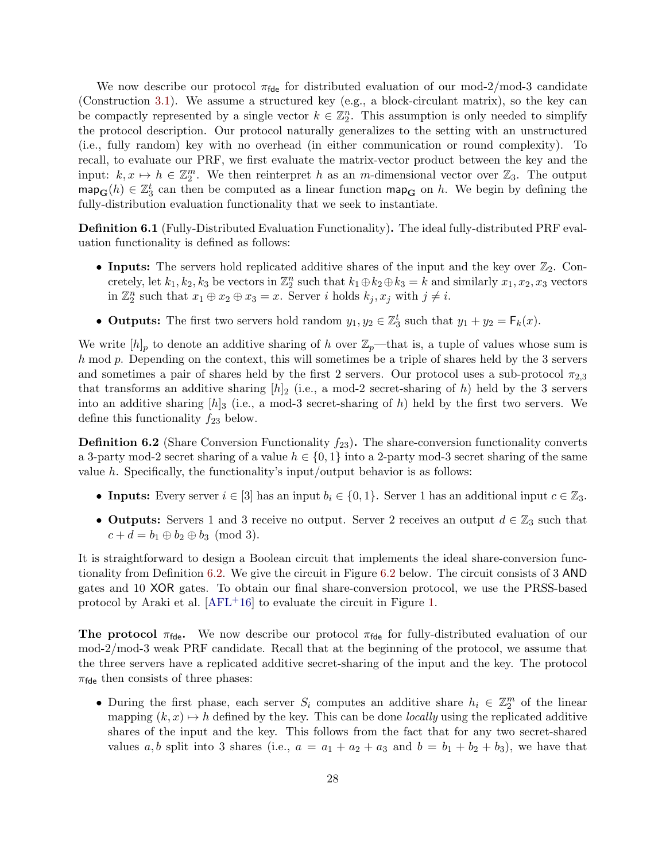We now describe our protocol  $\pi_{\text{fde}}$  for distributed evaluation of our mod-2/mod-3 candidate (Construction [3.1\)](#page-13-1). We assume a structured key (e.g., a block-circulant matrix), so the key can be compactly represented by a single vector  $k \in \mathbb{Z}_2^n$ . This assumption is only needed to simplify the protocol description. Our protocol naturally generalizes to the setting with an unstructured (i.e., fully random) key with no overhead (in either communication or round complexity). To recall, to evaluate our PRF, we first evaluate the matrix-vector product between the key and the input:  $k, x \mapsto h \in \mathbb{Z}_2^m$ . We then reinterpret h as an m-dimensional vector over  $\mathbb{Z}_3$ . The output  $\mathsf{map}_{\mathbf{G}}(h) \in \mathbb{Z}_3^t$  can then be computed as a linear function  $\mathsf{map}_{\mathbf{G}}$  on h. We begin by defining the fully-distribution evaluation functionality that we seek to instantiate.

Definition 6.1 (Fully-Distributed Evaluation Functionality). The ideal fully-distributed PRF evaluation functionality is defined as follows:

- Inputs: The servers hold replicated additive shares of the input and the key over  $\mathbb{Z}_2$ . Concretely, let  $k_1, k_2, k_3$  be vectors in  $\mathbb{Z}_2^n$  such that  $k_1 \oplus k_2 \oplus k_3 = k$  and similarly  $x_1, x_2, x_3$  vectors in  $\mathbb{Z}_2^n$  such that  $x_1 \oplus x_2 \oplus x_3 = x$ . Server *i* holds  $k_j, x_j$  with  $j \neq i$ .
- Outputs: The first two servers hold random  $y_1, y_2 \in \mathbb{Z}_3^t$  such that  $y_1 + y_2 = F_k(x)$ .

We write  $[h]_p$  to denote an additive sharing of h over  $\mathbb{Z}_p$ —that is, a tuple of values whose sum is h mod p. Depending on the context, this will sometimes be a triple of shares held by the 3 servers and sometimes a pair of shares held by the first 2 servers. Our protocol uses a sub-protocol  $\pi_{2,3}$ that transforms an additive sharing  $|h_2|$  (i.e., a mod-2 secret-sharing of h) held by the 3 servers into an additive sharing  $[h]_3$  (i.e., a mod-3 secret-sharing of h) held by the first two servers. We define this functionality  $f_{23}$  below.

<span id="page-27-0"></span>**Definition 6.2** (Share Conversion Functionality  $f_{23}$ ). The share-conversion functionality converts a 3-party mod-2 secret sharing of a value  $h \in \{0, 1\}$  into a 2-party mod-3 secret sharing of the same value h. Specifically, the functionality's input/output behavior is as follows:

- Inputs: Every server  $i \in [3]$  has an input  $b_i \in \{0,1\}$ . Server 1 has an additional input  $c \in \mathbb{Z}_3$ .
- Outputs: Servers 1 and 3 receive no output. Server 2 receives an output  $d \in \mathbb{Z}_3$  such that  $c + d = b_1 \oplus b_2 \oplus b_3 \pmod{3}.$

It is straightforward to design a Boolean circuit that implements the ideal share-conversion functionality from Definition [6.2.](#page-27-0) We give the circuit in Figure [6.2](#page-27-0) below. The circuit consists of 3 AND gates and 10 XOR gates. To obtain our final share-conversion protocol, we use the PRSS-based protocol by Araki et al.  $[AFL+16]$  $[AFL+16]$  to evaluate the circuit in Figure [1.](#page-28-1)

**The protocol**  $\pi_{\text{fde}}$ . We now describe our protocol  $\pi_{\text{fde}}$  for fully-distributed evaluation of our mod-2/mod-3 weak PRF candidate. Recall that at the beginning of the protocol, we assume that the three servers have a replicated additive secret-sharing of the input and the key. The protocol  $\pi_{\text{fde}}$  then consists of three phases:

• During the first phase, each server  $S_i$  computes an additive share  $h_i \in \mathbb{Z}_2^m$  of the linear mapping  $(k, x) \mapsto h$  defined by the key. This can be done *locally* using the replicated additive shares of the input and the key. This follows from the fact that for any two secret-shared values a, b split into 3 shares (i.e.,  $a = a_1 + a_2 + a_3$  and  $b = b_1 + b_2 + b_3$ ), we have that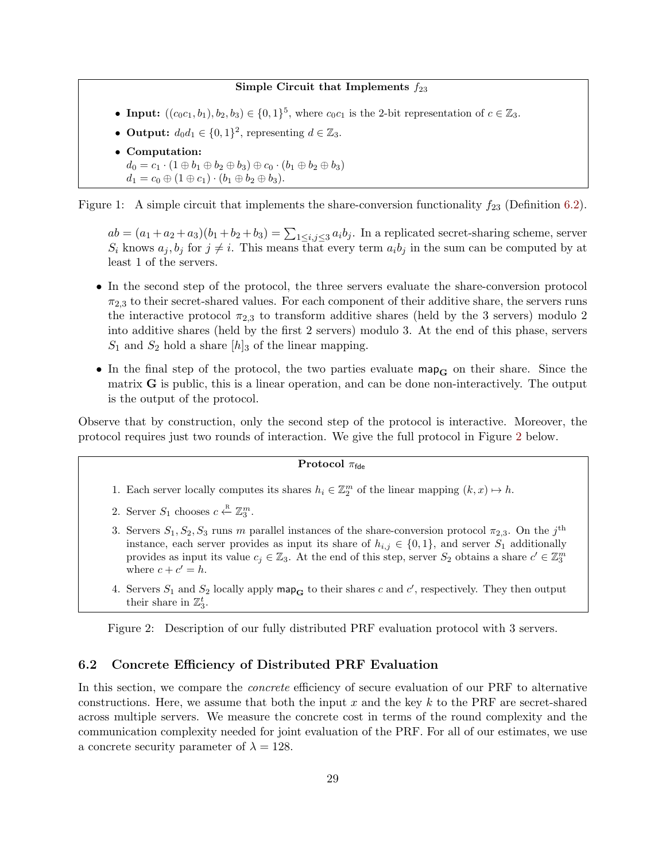#### Simple Circuit that Implements  $f_{23}$

- Input:  $((c_0c_1, b_1), b_2, b_3) \in \{0, 1\}^5$ , where  $c_0c_1$  is the 2-bit representation of  $c \in \mathbb{Z}_3$ .
- Output:  $d_0d_1 \in \{0,1\}^2$ , representing  $d \in \mathbb{Z}_3$ .
- Computation:  $d_0 = c_1 \cdot (1 \oplus b_1 \oplus b_2 \oplus b_3) \oplus c_0 \cdot (b_1 \oplus b_2 \oplus b_3)$  $d_1 = c_0 \oplus (1 \oplus c_1) \cdot (b_1 \oplus b_2 \oplus b_3).$

Figure 1: A simple circuit that implements the share-conversion functionality  $f_{23}$  (Definition [6.2\)](#page-27-0).

<span id="page-28-1"></span> $ab = (a_1 + a_2 + a_3)(b_1 + b_2 + b_3) = \sum_{1 \leq i,j \leq 3} a_i b_j$ . In a replicated secret-sharing scheme, server  $S_i$  knows  $a_j, b_j$  for  $j \neq i$ . This means that every term  $a_i b_j$  in the sum can be computed by at least 1 of the servers.

- In the second step of the protocol, the three servers evaluate the share-conversion protocol  $\pi_{2,3}$  to their secret-shared values. For each component of their additive share, the servers runs the interactive protocol  $\pi_{2,3}$  to transform additive shares (held by the 3 servers) modulo 2 into additive shares (held by the first 2 servers) modulo 3. At the end of this phase, servers  $S_1$  and  $S_2$  hold a share  $[h]_3$  of the linear mapping.
- In the final step of the protocol, the two parties evaluate  $\mathsf{map}_{\mathbf{G}}$  on their share. Since the matrix  $\bf{G}$  is public, this is a linear operation, and can be done non-interactively. The output is the output of the protocol.

Observe that by construction, only the second step of the protocol is interactive. Moreover, the protocol requires just two rounds of interaction. We give the full protocol in Figure [2](#page-28-2) below.

#### Protocol  $\pi_{\text{fde}}$

- 1. Each server locally computes its shares  $h_i \in \mathbb{Z}_2^m$  of the linear mapping  $(k, x) \mapsto h$ .
- 2. Server  $S_1$  chooses  $c \stackrel{\text{R}}{\leftarrow} \mathbb{Z}_3^m$ .
- 3. Servers  $S_1, S_2, S_3$  runs m parallel instances of the share-conversion protocol  $\pi_{2,3}$ . On the j<sup>th</sup> instance, each server provides as input its share of  $h_{i,j} \in \{0,1\}$ , and server  $S_1$  additionally provides as input its value  $c_j \in \mathbb{Z}_3$ . At the end of this step, server  $S_2$  obtains a share  $c' \in \mathbb{Z}_3^m$ where  $c + c' = h$ .
- 4. Servers  $S_1$  and  $S_2$  locally apply map<sub>G</sub> to their shares c and c', respectively. They then output their share in  $\mathbb{Z}_3^t$ .

<span id="page-28-2"></span>Figure 2: Description of our fully distributed PRF evaluation protocol with 3 servers.

#### <span id="page-28-0"></span>6.2 Concrete Efficiency of Distributed PRF Evaluation

In this section, we compare the *concrete* efficiency of secure evaluation of our PRF to alternative constructions. Here, we assume that both the input x and the key k to the PRF are secret-shared across multiple servers. We measure the concrete cost in terms of the round complexity and the communication complexity needed for joint evaluation of the PRF. For all of our estimates, we use a concrete security parameter of  $\lambda = 128$ .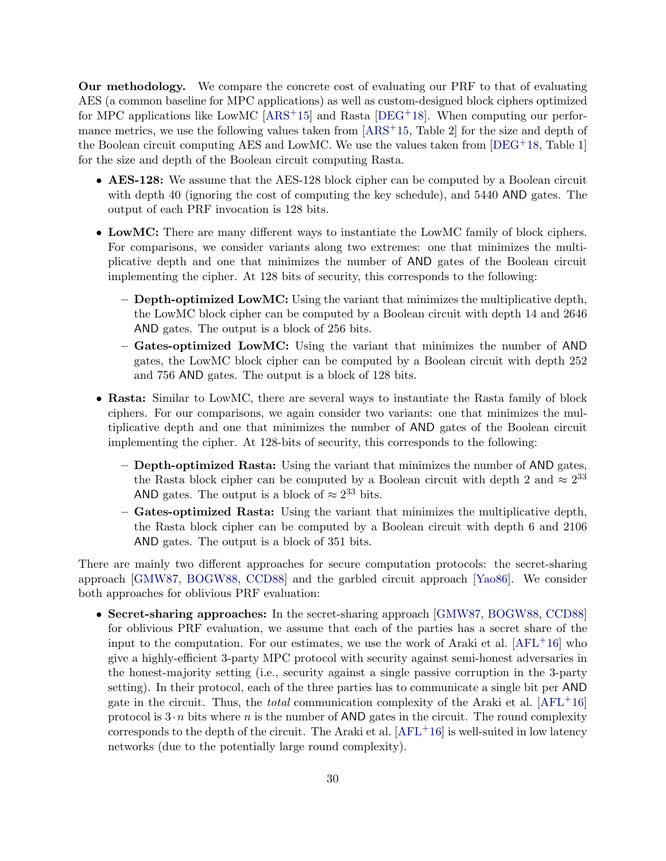Our methodology. We compare the concrete cost of evaluating our PRF to that of evaluating AES (a common baseline for MPC applications) as well as custom-designed block ciphers optimized for MPC applications like LowMC  $[ARS<sup>+15</sup>]$  $[ARS<sup>+15</sup>]$  and Rasta  $[DEG<sup>+18</sup>]$  $[DEG<sup>+18</sup>]$ . When computing our performance metrics, we use the following values taken from  $[ARS^+15, Table 2]$  $[ARS^+15, Table 2]$  for the size and depth of the Boolean circuit computing AES and LowMC. We use the values taken from  $[DEG^+18, Table 1]$  $[DEG^+18, Table 1]$ for the size and depth of the Boolean circuit computing Rasta.

- AES-128: We assume that the AES-128 block cipher can be computed by a Boolean circuit with depth 40 (ignoring the cost of computing the key schedule), and 5440 AND gates. The output of each PRF invocation is 128 bits.
- LowMC: There are many different ways to instantiate the LowMC family of block ciphers. For comparisons, we consider variants along two extremes: one that minimizes the multiplicative depth and one that minimizes the number of AND gates of the Boolean circuit implementing the cipher. At 128 bits of security, this corresponds to the following:
	- $-$  **Depth-optimized LowMC:** Using the variant that minimizes the multiplicative depth, the LowMC block cipher can be computed by a Boolean circuit with depth 14 and 2646 AND gates. The output is a block of 256 bits.
	- Gates-optimized LowMC: Using the variant that minimizes the number of AND gates, the LowMC block cipher can be computed by a Boolean circuit with depth 252 and 756 AND gates. The output is a block of 128 bits.
- Rasta: Similar to LowMC, there are several ways to instantiate the Rasta family of block ciphers. For our comparisons, we again consider two variants: one that minimizes the multiplicative depth and one that minimizes the number of AND gates of the Boolean circuit implementing the cipher. At 128-bits of security, this corresponds to the following:
	- Depth-optimized Rasta: Using the variant that minimizes the number of AND gates, the Rasta block cipher can be computed by a Boolean circuit with depth 2 and  $\approx 2^{33}$ AND gates. The output is a block of  $\approx 2^{33}$  bits.
	- Gates-optimized Rasta: Using the variant that minimizes the multiplicative depth, the Rasta block cipher can be computed by a Boolean circuit with depth 6 and 2106 AND gates. The output is a block of 351 bits.

There are mainly two different approaches for secure computation protocols: the secret-sharing approach [\[GMW87,](#page-52-9) [BOGW88,](#page-51-12) [CCD88\]](#page-51-13) and the garbled circuit approach [\[Yao86\]](#page-55-3). We consider both approaches for oblivious PRF evaluation:

• Secret-sharing approaches: In the secret-sharing approach [\[GMW87,](#page-52-9) [BOGW88,](#page-51-12) [CCD88\]](#page-51-13) for oblivious PRF evaluation, we assume that each of the parties has a secret share of the input to the computation. For our estimates, we use the work of Araki et al.  $[AFL+16]$  $[AFL+16]$  who give a highly-efficient 3-party MPC protocol with security against semi-honest adversaries in the honest-majority setting (i.e., security against a single passive corruption in the 3-party setting). In their protocol, each of the three parties has to communicate a single bit per AND gate in the circuit. Thus, the *total* communication complexity of the Araki et al.  $[AFL+16]$  $[AFL+16]$ protocol is  $3 \cdot n$  bits where n is the number of AND gates in the circuit. The round complexity corresponds to the depth of the circuit. The Araki et al.  $[AFL+16]$  $[AFL+16]$  is well-suited in low latency networks (due to the potentially large round complexity).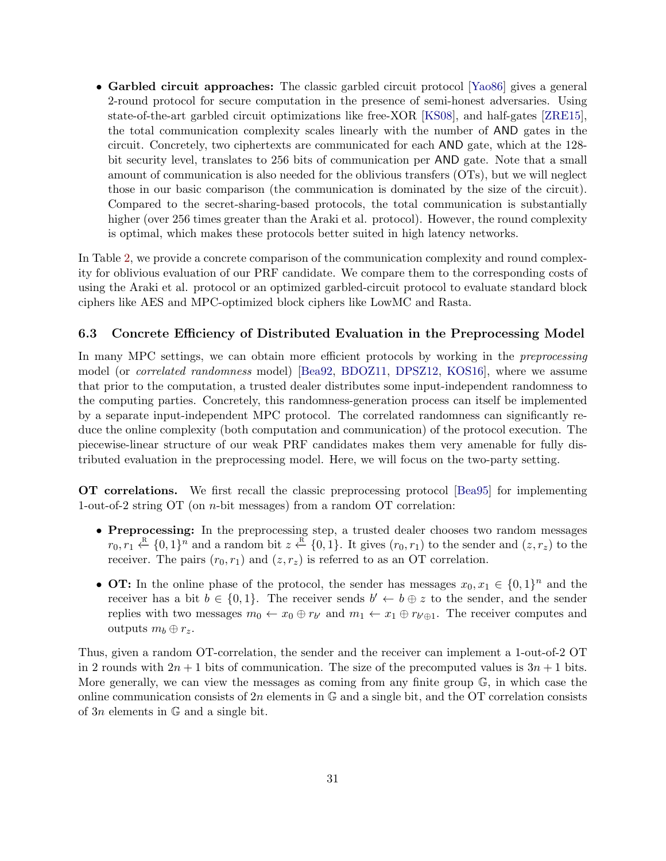• Garbled circuit approaches: The classic garbled circuit protocol [\[Yao86\]](#page-55-3) gives a general 2-round protocol for secure computation in the presence of semi-honest adversaries. Using state-of-the-art garbled circuit optimizations like free-XOR [\[KS08\]](#page-54-3), and half-gates [\[ZRE15\]](#page-55-11), the total communication complexity scales linearly with the number of AND gates in the circuit. Concretely, two ciphertexts are communicated for each AND gate, which at the 128 bit security level, translates to 256 bits of communication per AND gate. Note that a small amount of communication is also needed for the oblivious transfers (OTs), but we will neglect those in our basic comparison (the communication is dominated by the size of the circuit). Compared to the secret-sharing-based protocols, the total communication is substantially higher (over 256 times greater than the Araki et al. protocol). However, the round complexity is optimal, which makes these protocols better suited in high latency networks.

In Table [2,](#page-9-0) we provide a concrete comparison of the communication complexity and round complexity for oblivious evaluation of our PRF candidate. We compare them to the corresponding costs of using the Araki et al. protocol or an optimized garbled-circuit protocol to evaluate standard block ciphers like AES and MPC-optimized block ciphers like LowMC and Rasta.

#### <span id="page-30-0"></span>6.3 Concrete Efficiency of Distributed Evaluation in the Preprocessing Model

In many MPC settings, we can obtain more efficient protocols by working in the *preprocessing* model (or correlated randomness model) [\[Bea92,](#page-50-5) [BDOZ11,](#page-50-6) [DPSZ12,](#page-52-5) [KOS16\]](#page-54-11), where we assume that prior to the computation, a trusted dealer distributes some input-independent randomness to the computing parties. Concretely, this randomness-generation process can itself be implemented by a separate input-independent MPC protocol. The correlated randomness can significantly reduce the online complexity (both computation and communication) of the protocol execution. The piecewise-linear structure of our weak PRF candidates makes them very amenable for fully distributed evaluation in the preprocessing model. Here, we will focus on the two-party setting.

OT correlations. We first recall the classic preprocessing protocol [\[Bea95\]](#page-50-9) for implementing 1-out-of-2 string OT (on n-bit messages) from a random OT correlation:

- Preprocessing: In the preprocessing step, a trusted dealer chooses two random messages  $r_0, r_1 \stackrel{\text{R}}{\leftarrow} \{0,1\}^n$  and a random bit  $z \stackrel{\text{R}}{\leftarrow} \{0,1\}$ . It gives  $(r_0, r_1)$  to the sender and  $(z, r_z)$  to the receiver. The pairs  $(r_0, r_1)$  and  $(z, r_z)$  is referred to as an OT correlation.
- OT: In the online phase of the protocol, the sender has messages  $x_0, x_1 \in \{0, 1\}^n$  and the receiver has a bit  $b \in \{0,1\}$ . The receiver sends  $b' \leftarrow b \oplus z$  to the sender, and the sender replies with two messages  $m_0 \leftarrow x_0 \oplus r_{b'}$  and  $m_1 \leftarrow x_1 \oplus r_{b'} \oplus r_1$ . The receiver computes and outputs  $m_b \oplus r_z$ .

Thus, given a random OT-correlation, the sender and the receiver can implement a 1-out-of-2 OT in 2 rounds with  $2n + 1$  bits of communication. The size of the precomputed values is  $3n + 1$  bits. More generally, we can view the messages as coming from any finite group  $\mathbb{G}$ , in which case the online communication consists of  $2n$  elements in  $\mathbb{G}$  and a single bit, and the OT correlation consists of  $3n$  elements in  $\mathbb G$  and a single bit.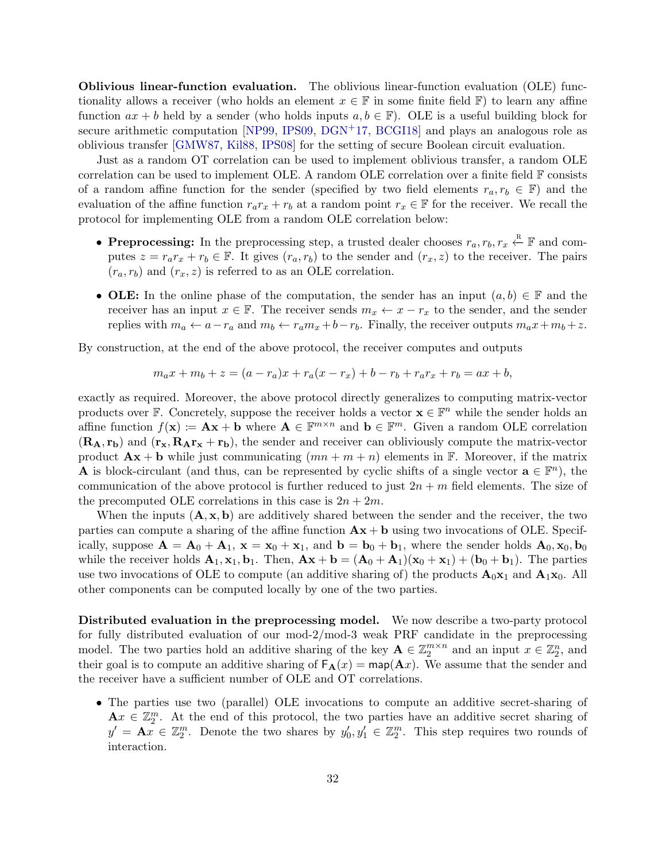Oblivious linear-function evaluation. The oblivious linear-function evaluation (OLE) functionality allows a receiver (who holds an element  $x \in \mathbb{F}$  in some finite field  $\mathbb{F}$ ) to learn any affine function  $ax + b$  held by a sender (who holds inputs  $a, b \in \mathbb{F}$ ). OLE is a useful building block for secure arithmetic computation [\[NP99,](#page-54-12) [IPS09,](#page-53-9) [DGN](#page-52-10)+17, [BCGI18\]](#page-50-10) and plays an analogous role as oblivious transfer [\[GMW87,](#page-52-9) [Kil88,](#page-53-10) [IPS08\]](#page-53-11) for the setting of secure Boolean circuit evaluation.

Just as a random OT correlation can be used to implement oblivious transfer, a random OLE correlation can be used to implement OLE. A random OLE correlation over a finite field  $\mathbb F$  consists of a random affine function for the sender (specified by two field elements  $r_a, r_b \in \mathbb{F}$ ) and the evaluation of the affine function  $r_a r_x + r_b$  at a random point  $r_x \in \mathbb{F}$  for the receiver. We recall the protocol for implementing OLE from a random OLE correlation below:

- Preprocessing: In the preprocessing step, a trusted dealer chooses  $r_a, r_b, r_x \stackrel{\text{R}}{\leftarrow} \mathbb{F}$  and computes  $z = r_a r_x + r_b \in \mathbb{F}$ . It gives  $(r_a, r_b)$  to the sender and  $(r_x, z)$  to the receiver. The pairs  $(r_a, r_b)$  and  $(r_x, z)$  is referred to as an OLE correlation.
- OLE: In the online phase of the computation, the sender has an input  $(a, b) \in \mathbb{F}$  and the receiver has an input  $x \in \mathbb{F}$ . The receiver sends  $m_x \leftarrow x - r_x$  to the sender, and the sender replies with  $m_a \leftarrow a - r_a$  and  $m_b \leftarrow r_a m_x + b - r_b$ . Finally, the receiver outputs  $m_a x + m_b + z$ .

By construction, at the end of the above protocol, the receiver computes and outputs

$$
m_a x + m_b + z = (a - r_a)x + r_a(x - r_x) + b - r_b + r_a r_x + r_b = ax + b,
$$

exactly as required. Moreover, the above protocol directly generalizes to computing matrix-vector products over  $\mathbb{F}$ . Concretely, suppose the receiver holds a vector  $\mathbf{x} \in \mathbb{F}^n$  while the sender holds an affine function  $f(\mathbf{x}) \coloneqq \mathbf{A}\mathbf{x} + \mathbf{b}$  where  $\mathbf{A} \in \mathbb{F}^{m \times n}$  and  $\mathbf{b} \in \mathbb{F}^m$ . Given a random OLE correlation  $(R_A, r_b)$  and  $(r_x, R_Ar_x + r_b)$ , the sender and receiver can obliviously compute the matrix-vector product  $\mathbf{A}\mathbf{x} + \mathbf{b}$  while just communicating  $(mn + m + n)$  elements in F. Moreover, if the matrix **A** is block-circulant (and thus, can be represented by cyclic shifts of a single vector  $\mathbf{a} \in \mathbb{F}^n$ ), the communication of the above protocol is further reduced to just  $2n + m$  field elements. The size of the precomputed OLE correlations in this case is  $2n + 2m$ .

When the inputs  $(A, x, b)$  are additively shared between the sender and the receiver, the two parties can compute a sharing of the affine function  $\mathbf{A}\mathbf{x} + \mathbf{b}$  using two invocations of OLE. Specifically, suppose  $\mathbf{A} = \mathbf{A}_0 + \mathbf{A}_1$ ,  $\mathbf{x} = \mathbf{x}_0 + \mathbf{x}_1$ , and  $\mathbf{b} = \mathbf{b}_0 + \mathbf{b}_1$ , where the sender holds  $\mathbf{A}_0$ ,  $\mathbf{x}_0$ ,  $\mathbf{b}_0$ while the receiver holds  $\mathbf{A}_1, \mathbf{x}_1, \mathbf{b}_1$ . Then,  $\mathbf{A}\mathbf{x} + \mathbf{b} = (\mathbf{A}_0 + \mathbf{A}_1)(\mathbf{x}_0 + \mathbf{x}_1) + (\mathbf{b}_0 + \mathbf{b}_1)$ . The parties use two invocations of OLE to compute (an additive sharing of) the products  $\mathbf{A}_0\mathbf{x}_1$  and  $\mathbf{A}_1\mathbf{x}_0$ . All other components can be computed locally by one of the two parties.

Distributed evaluation in the preprocessing model. We now describe a two-party protocol for fully distributed evaluation of our mod-2/mod-3 weak PRF candidate in the preprocessing model. The two parties hold an additive sharing of the key  $\mathbf{A} \in \mathbb{Z}_2^{m \times n}$  and an input  $x \in \mathbb{Z}_2^n$ , and their goal is to compute an additive sharing of  $F_{\mathbf{A}}(x) = \text{map}(\mathbf{A}x)$ . We assume that the sender and the receiver have a sufficient number of OLE and OT correlations.

• The parties use two (parallel) OLE invocations to compute an additive secret-sharing of  $\mathbf{A}x \in \mathbb{Z}_2^m$ . At the end of this protocol, the two parties have an additive secret sharing of  $y' = \mathbf{A}x \in \mathbb{Z}_2^m$ . Denote the two shares by  $y'_0, y'_1 \in \mathbb{Z}_2^m$ . This step requires two rounds of interaction.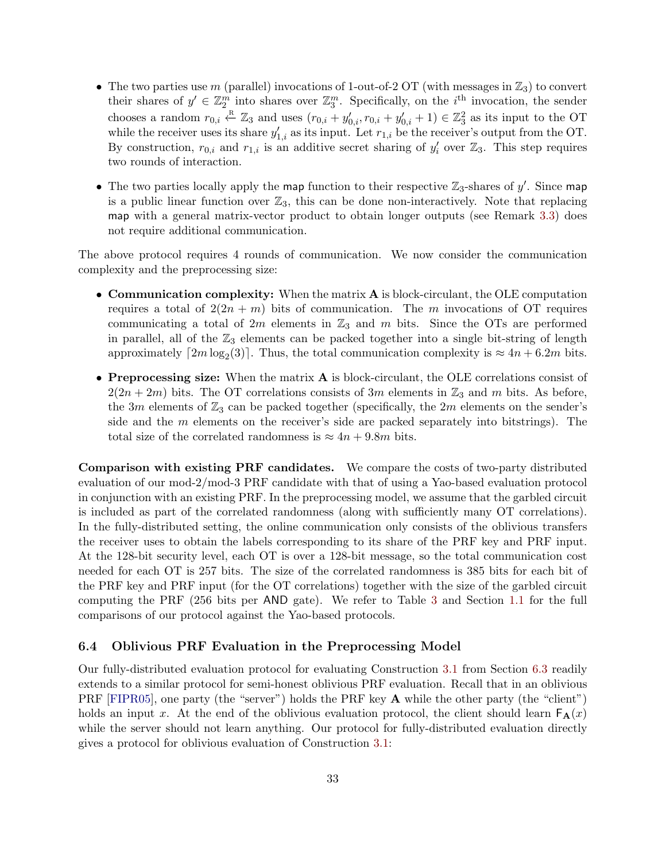- The two parties use m (parallel) invocations of 1-out-of-2 OT (with messages in  $\mathbb{Z}_3$ ) to convert their shares of  $y' \in \mathbb{Z}_2^m$  into shares over  $\mathbb{Z}_3^m$ . Specifically, on the *i*<sup>th</sup> invocation, the sender chooses a random  $r_{0,i} \stackrel{\text{R}}{\leftarrow} \mathbb{Z}_3$  and uses  $(r_{0,i} + y'_{0,i}, r_{0,i} + y'_{0,i} + 1) \in \mathbb{Z}_3^2$  as its input to the OT while the receiver uses its share  $y'_{1,i}$  as its input. Let  $r_{1,i}$  be the receiver's output from the OT. By construction,  $r_{0,i}$  and  $r_{1,i}$  is an additive secret sharing of  $y_i'$  over  $\mathbb{Z}_3$ . This step requires two rounds of interaction.
- The two parties locally apply the map function to their respective  $\mathbb{Z}_3$ -shares of  $y'$ . Since map is a public linear function over  $\mathbb{Z}_3$ , this can be done non-interactively. Note that replacing map with a general matrix-vector product to obtain longer outputs (see Remark [3.3\)](#page-14-0) does not require additional communication.

The above protocol requires 4 rounds of communication. We now consider the communication complexity and the preprocessing size:

- Communication complexity: When the matrix A is block-circulant, the OLE computation requires a total of  $2(2n + m)$  bits of communication. The m invocations of OT requires communicating a total of 2m elements in  $\mathbb{Z}_3$  and m bits. Since the OTs are performed in parallel, all of the  $\mathbb{Z}_3$  elements can be packed together into a single bit-string of length approximately  $\lceil 2m \log_2(3) \rceil$ . Thus, the total communication complexity is  $\approx 4n + 6.2m$  bits.
- Preprocessing size: When the matrix A is block-circulant, the OLE correlations consist of  $2(2n + 2m)$  bits. The OT correlations consists of 3m elements in  $\mathbb{Z}_3$  and m bits. As before, the 3m elements of  $\mathbb{Z}_3$  can be packed together (specifically, the 2m elements on the sender's side and the m elements on the receiver's side are packed separately into bitstrings). The total size of the correlated randomness is  $\approx 4n + 9.8m$  bits.

Comparison with existing PRF candidates. We compare the costs of two-party distributed evaluation of our mod-2/mod-3 PRF candidate with that of using a Yao-based evaluation protocol in conjunction with an existing PRF. In the preprocessing model, we assume that the garbled circuit is included as part of the correlated randomness (along with sufficiently many OT correlations). In the fully-distributed setting, the online communication only consists of the oblivious transfers the receiver uses to obtain the labels corresponding to its share of the PRF key and PRF input. At the 128-bit security level, each OT is over a 128-bit message, so the total communication cost needed for each OT is 257 bits. The size of the correlated randomness is 385 bits for each bit of the PRF key and PRF input (for the OT correlations) together with the size of the garbled circuit computing the PRF (256 bits per AND gate). We refer to Table [3](#page-10-0) and Section [1.1](#page-4-2) for the full comparisons of our protocol against the Yao-based protocols.

#### <span id="page-32-0"></span>6.4 Oblivious PRF Evaluation in the Preprocessing Model

Our fully-distributed evaluation protocol for evaluating Construction [3.1](#page-13-1) from Section [6.3](#page-30-0) readily extends to a similar protocol for semi-honest oblivious PRF evaluation. Recall that in an oblivious PRF [\[FIPR05\]](#page-52-6), one party (the "server") holds the PRF key **A** while the other party (the "client") holds an input x. At the end of the oblivious evaluation protocol, the client should learn  $F_{\mathbf{A}}(x)$ while the server should not learn anything. Our protocol for fully-distributed evaluation directly gives a protocol for oblivious evaluation of Construction [3.1:](#page-13-1)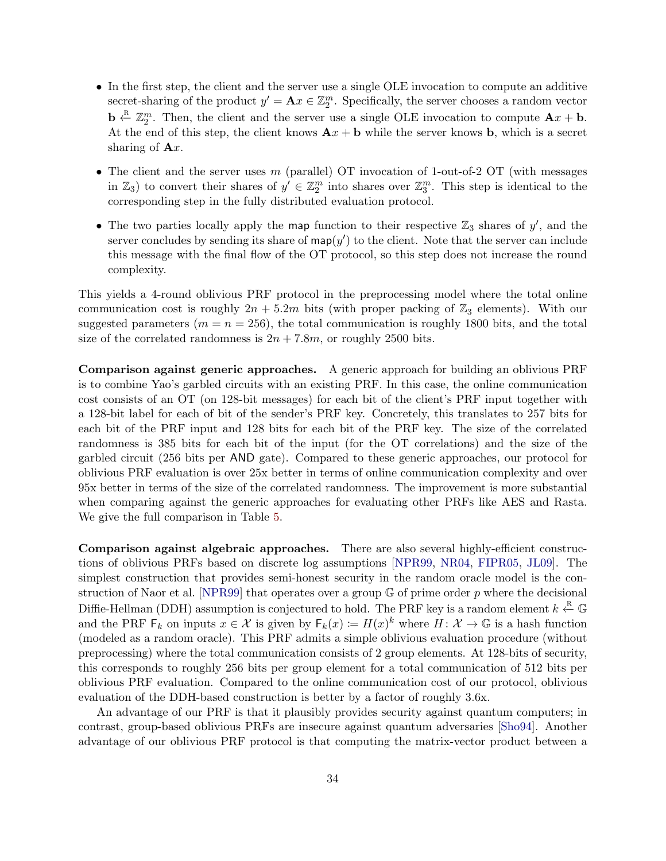- In the first step, the client and the server use a single OLE invocation to compute an additive secret-sharing of the product  $y' = \mathbf{A}x \in \mathbb{Z}_2^m$ . Specifically, the server chooses a random vector  $\mathbf{b} \leftarrow \mathbb{Z}_2^m$ . Then, the client and the server use a single OLE invocation to compute  $\mathbf{A}x + \mathbf{b}$ . At the end of this step, the client knows  $A x + b$  while the server knows b, which is a secret sharing of  $\mathbf{A}x$ .
- The client and the server uses m (parallel) OT invocation of 1-out-of-2 OT (with messages in  $\mathbb{Z}_3$ ) to convert their shares of  $y' \in \mathbb{Z}_2^m$  into shares over  $\mathbb{Z}_3^m$ . This step is identical to the corresponding step in the fully distributed evaluation protocol.
- The two parties locally apply the map function to their respective  $\mathbb{Z}_3$  shares of  $y'$ , and the server concludes by sending its share of  $\mathsf{map}(y')$  to the client. Note that the server can include this message with the final flow of the OT protocol, so this step does not increase the round complexity.

This yields a 4-round oblivious PRF protocol in the preprocessing model where the total online communication cost is roughly  $2n + 5.2m$  bits (with proper packing of  $\mathbb{Z}_3$  elements). With our suggested parameters ( $m = n = 256$ ), the total communication is roughly 1800 bits, and the total size of the correlated randomness is  $2n + 7.8m$ , or roughly 2500 bits.

Comparison against generic approaches. A generic approach for building an oblivious PRF is to combine Yao's garbled circuits with an existing PRF. In this case, the online communication cost consists of an OT (on 128-bit messages) for each bit of the client's PRF input together with a 128-bit label for each of bit of the sender's PRF key. Concretely, this translates to 257 bits for each bit of the PRF input and 128 bits for each bit of the PRF key. The size of the correlated randomness is 385 bits for each bit of the input (for the OT correlations) and the size of the garbled circuit (256 bits per AND gate). Compared to these generic approaches, our protocol for oblivious PRF evaluation is over 25x better in terms of online communication complexity and over 95x better in terms of the size of the correlated randomness. The improvement is more substantial when comparing against the generic approaches for evaluating other PRFs like AES and Rasta. We give the full comparison in Table [5.](#page-34-2)

Comparison against algebraic approaches. There are also several highly-efficient constructions of oblivious PRFs based on discrete log assumptions [\[NPR99,](#page-54-13) [NR04,](#page-54-5) [FIPR05,](#page-52-6) [JL09\]](#page-53-12). The simplest construction that provides semi-honest security in the random oracle model is the con-struction of Naor et al. [\[NPR99\]](#page-54-13) that operates over a group  $\mathbb{G}$  of prime order p where the decisional Diffie-Hellman (DDH) assumption is conjectured to hold. The PRF key is a random element  $k \stackrel{\text{R}}{\leftarrow} \mathbb{G}$ and the PRF  $\mathsf{F}_k$  on inputs  $x \in \mathcal{X}$  is given by  $\mathsf{F}_k(x) := H(x)^k$  where  $H: \mathcal{X} \to \mathbb{G}$  is a hash function (modeled as a random oracle). This PRF admits a simple oblivious evaluation procedure (without preprocessing) where the total communication consists of 2 group elements. At 128-bits of security, this corresponds to roughly 256 bits per group element for a total communication of 512 bits per oblivious PRF evaluation. Compared to the online communication cost of our protocol, oblivious evaluation of the DDH-based construction is better by a factor of roughly 3.6x.

An advantage of our PRF is that it plausibly provides security against quantum computers; in contrast, group-based oblivious PRFs are insecure against quantum adversaries [\[Sho94\]](#page-55-15). Another advantage of our oblivious PRF protocol is that computing the matrix-vector product between a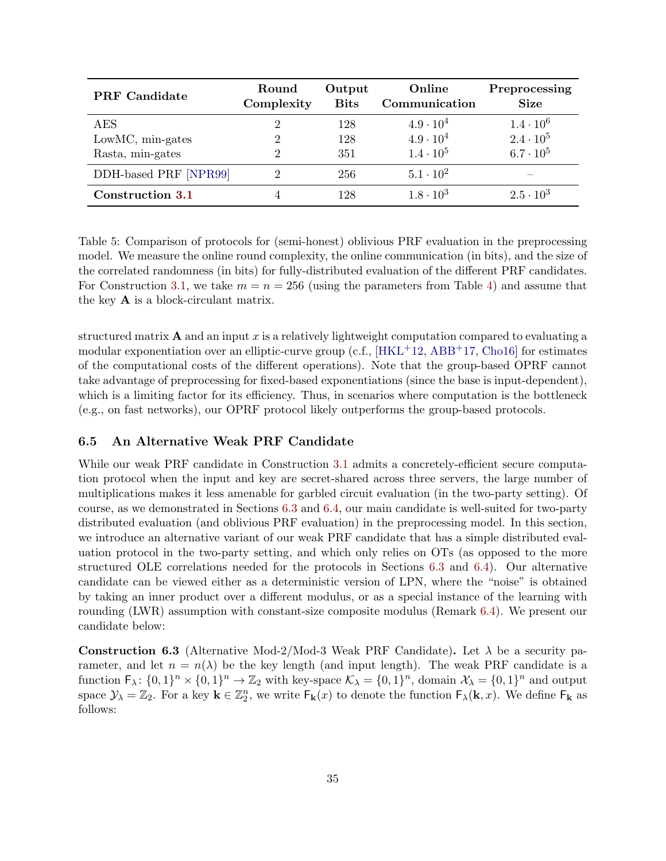| <b>PRF</b> Candidate  | Round<br>Complexity | Output<br><b>Bits</b> | Online<br>Communication | Preprocessing<br><b>Size</b> |
|-----------------------|---------------------|-----------------------|-------------------------|------------------------------|
| AES                   |                     | 128                   | $4.9 \cdot 10^{4}$      | $1.4 \cdot 10^6$             |
| LowMC, min-gates      | 2                   | 128                   | $4.9 \cdot 10^{4}$      | $2.4 \cdot 10^5$             |
| Rasta, min-gates      |                     | 351                   | $1.4 \cdot 10^5$        | $6.7 \cdot 10^5$             |
| DDH-based PRF [NPR99] |                     | 256                   | $5.1 \cdot 10^{2}$      |                              |
| Construction 3.1      |                     | 128                   | $1.8 \cdot 10^{3}$      | $2.5 \cdot 10^3$             |

<span id="page-34-2"></span>Table 5: Comparison of protocols for (semi-honest) oblivious PRF evaluation in the preprocessing model. We measure the online round complexity, the online communication (in bits), and the size of the correlated randomness (in bits) for fully-distributed evaluation of the different PRF candidates. For Construction [3.1,](#page-13-1) we take  $m = n = 256$  (using the parameters from Table [4\)](#page-21-1) and assume that the key  $A$  is a block-circulant matrix.

structured matrix  $\bf{A}$  and an input x is a relatively lightweight computation compared to evaluating a modular exponentiation over an elliptic-curve group (c.f.,  $[HKL+12, ABB+17, Chol6]$  $[HKL+12, ABB+17, Chol6]$  $[HKL+12, ABB+17, Chol6]$  $[HKL+12, ABB+17, Chol6]$  for estimates of the computational costs of the different operations). Note that the group-based OPRF cannot take advantage of preprocessing for fixed-based exponentiations (since the base is input-dependent), which is a limiting factor for its efficiency. Thus, in scenarios where computation is the bottleneck (e.g., on fast networks), our OPRF protocol likely outperforms the group-based protocols.

#### <span id="page-34-0"></span>6.5 An Alternative Weak PRF Candidate

While our weak PRF candidate in Construction [3.1](#page-13-1) admits a concretely-efficient secure computation protocol when the input and key are secret-shared across three servers, the large number of multiplications makes it less amenable for garbled circuit evaluation (in the two-party setting). Of course, as we demonstrated in Sections [6.3](#page-30-0) and [6.4,](#page-32-0) our main candidate is well-suited for two-party distributed evaluation (and oblivious PRF evaluation) in the preprocessing model. In this section, we introduce an alternative variant of our weak PRF candidate that has a simple distributed evaluation protocol in the two-party setting, and which only relies on OTs (as opposed to the more structured OLE correlations needed for the protocols in Sections [6.3](#page-30-0) and [6.4\)](#page-32-0). Our alternative candidate can be viewed either as a deterministic version of LPN, where the "noise" is obtained by taking an inner product over a different modulus, or as a special instance of the learning with rounding (LWR) assumption with constant-size composite modulus (Remark [6.4\)](#page-35-0). We present our candidate below:

<span id="page-34-1"></span>**Construction 6.3** (Alternative Mod-2/Mod-3 Weak PRF Candidate). Let  $\lambda$  be a security parameter, and let  $n = n(\lambda)$  be the key length (and input length). The weak PRF candidate is a function  $\mathsf{F}_{\lambda}$ :  $\{0,1\}^n \times \{0,1\}^n \to \mathbb{Z}_2$  with key-space  $\mathcal{K}_{\lambda} = \{0,1\}^n$ , domain  $\mathcal{X}_{\lambda} = \{0,1\}^n$  and output space  $\mathcal{Y}_{\lambda} = \mathbb{Z}_2$ . For a key  $\mathbf{k} \in \mathbb{Z}_2^n$ , we write  $\mathsf{F}_{\mathbf{k}}(x)$  to denote the function  $\mathsf{F}_{\lambda}(\mathbf{k},x)$ . We define  $\mathsf{F}_{\mathbf{k}}$  as follows: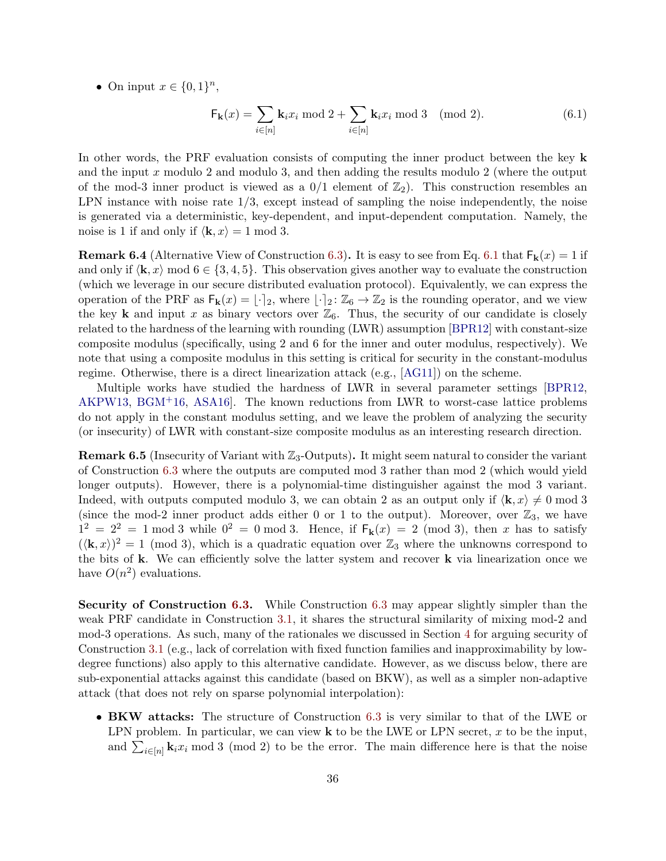• On input  $x \in \{0,1\}^n$ ,

<span id="page-35-1"></span>
$$
\mathsf{F}_{\mathbf{k}}(x) = \sum_{i \in [n]} \mathbf{k}_i x_i \bmod 2 + \sum_{i \in [n]} \mathbf{k}_i x_i \bmod 3 \pmod{2}.
$$
 (6.1)

In other words, the PRF evaluation consists of computing the inner product between the key k and the input  $x$  modulo 2 and modulo 3, and then adding the results modulo 2 (where the output of the mod-3 inner product is viewed as a  $0/1$  element of  $\mathbb{Z}_2$ ). This construction resembles an LPN instance with noise rate  $1/3$ , except instead of sampling the noise independently, the noise is generated via a deterministic, key-dependent, and input-dependent computation. Namely, the noise is 1 if and only if  $\langle \mathbf{k}, x \rangle = 1 \text{ mod } 3$ .

<span id="page-35-0"></span>**Remark 6.4** (Alternative View of Construction [6.3\)](#page-34-1). It is easy to see from Eq. [6.1](#page-35-1) that  $F_k(x) = 1$  if and only if  $\langle \mathbf{k}, x \rangle$  mod  $6 \in \{3, 4, 5\}$ . This observation gives another way to evaluate the construction (which we leverage in our secure distributed evaluation protocol). Equivalently, we can express the operation of the PRF as  $F_k(x) = \lfloor \cdot \rfloor_2$ , where  $\lfloor \cdot \rfloor_2 : \mathbb{Z}_6 \to \mathbb{Z}_2$  is the rounding operator, and we view the key k and input x as binary vectors over  $\mathbb{Z}_6$ . Thus, the security of our candidate is closely related to the hardness of the learning with rounding (LWR) assumption [\[BPR12\]](#page-51-4) with constant-size composite modulus (specifically, using 2 and 6 for the inner and outer modulus, respectively). We note that using a composite modulus in this setting is critical for security in the constant-modulus regime. Otherwise, there is a direct linearization attack (e.g., [\[AG11\]](#page-49-1)) on the scheme.

Multiple works have studied the hardness of LWR in several parameter settings [\[BPR12,](#page-51-4) [AKPW13,](#page-50-11) [BGM](#page-50-12)+16, [ASA16\]](#page-50-13). The known reductions from LWR to worst-case lattice problems do not apply in the constant modulus setting, and we leave the problem of analyzing the security (or insecurity) of LWR with constant-size composite modulus as an interesting research direction.

**Remark 6.5** (Insecurity of Variant with  $\mathbb{Z}_3$ -Outputs). It might seem natural to consider the variant of Construction [6.3](#page-34-1) where the outputs are computed mod 3 rather than mod 2 (which would yield longer outputs). However, there is a polynomial-time distinguisher against the mod 3 variant. Indeed, with outputs computed modulo 3, we can obtain 2 as an output only if  $\langle \mathbf{k}, x \rangle \neq 0 \text{ mod } 3$ (since the mod-2 inner product adds either 0 or 1 to the output). Moreover, over  $\mathbb{Z}_3$ , we have  $1^2 = 2^2 = 1 \mod 3$  while  $0^2 = 0 \mod 3$ . Hence, if  $F_k(x) = 2 \pmod{3}$ , then x has to satisfy  $(\langle \mathbf{k}, x \rangle)^2 = 1 \pmod{3}$ , which is a quadratic equation over  $\mathbb{Z}_3$  where the unknowns correspond to the bits of  $k$ . We can efficiently solve the latter system and recover  $k$  via linearization once we have  $O(n^2)$  evaluations.

Security of Construction [6.3.](#page-34-1) While Construction [6.3](#page-34-1) may appear slightly simpler than the weak PRF candidate in Construction [3.1,](#page-13-1) it shares the structural similarity of mixing mod-2 and mod-3 operations. As such, many of the rationales we discussed in Section [4](#page-18-0) for arguing security of Construction [3.1](#page-13-1) (e.g., lack of correlation with fixed function families and inapproximability by lowdegree functions) also apply to this alternative candidate. However, as we discuss below, there are sub-exponential attacks against this candidate (based on BKW), as well as a simpler non-adaptive attack (that does not rely on sparse polynomial interpolation):

• BKW attacks: The structure of Construction [6.3](#page-34-1) is very similar to that of the LWE or LPN problem. In particular, we can view  $\bf{k}$  to be the LWE or LPN secret, x to be the input, and  $\sum_{i\in[n]} \mathbf{k}_i x_i \mod 3 \pmod{2}$  to be the error. The main difference here is that the noise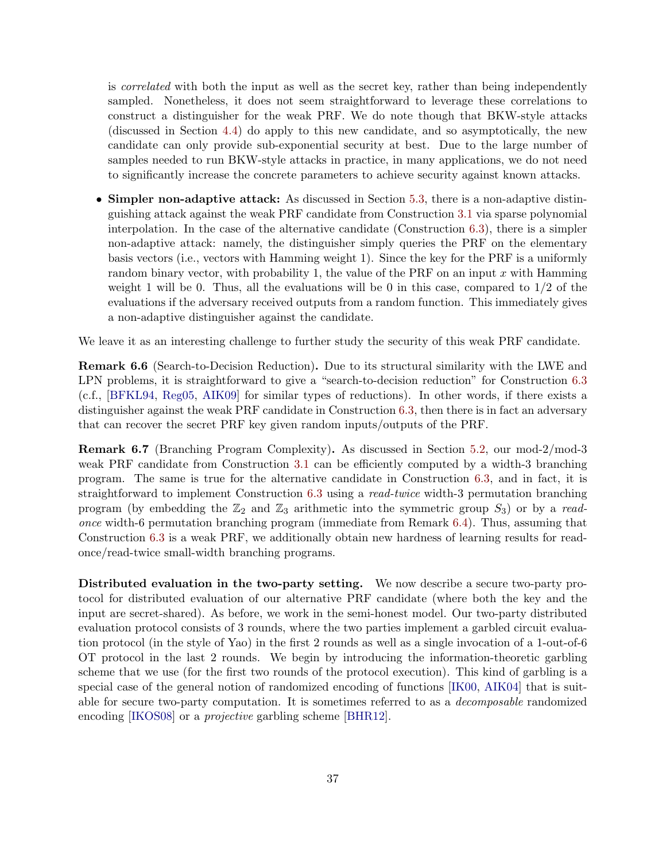is correlated with both the input as well as the secret key, rather than being independently sampled. Nonetheless, it does not seem straightforward to leverage these correlations to construct a distinguisher for the weak PRF. We do note though that BKW-style attacks (discussed in Section [4.4\)](#page-20-0) do apply to this new candidate, and so asymptotically, the new candidate can only provide sub-exponential security at best. Due to the large number of samples needed to run BKW-style attacks in practice, in many applications, we do not need to significantly increase the concrete parameters to achieve security against known attacks.

• Simpler non-adaptive attack: As discussed in Section [5.3,](#page-24-0) there is a non-adaptive distinguishing attack against the weak PRF candidate from Construction [3.1](#page-13-1) via sparse polynomial interpolation. In the case of the alternative candidate (Construction [6.3\)](#page-34-1), there is a simpler non-adaptive attack: namely, the distinguisher simply queries the PRF on the elementary basis vectors (i.e., vectors with Hamming weight 1). Since the key for the PRF is a uniformly random binary vector, with probability 1, the value of the PRF on an input  $x$  with Hamming weight 1 will be 0. Thus, all the evaluations will be 0 in this case, compared to  $1/2$  of the evaluations if the adversary received outputs from a random function. This immediately gives a non-adaptive distinguisher against the candidate.

We leave it as an interesting challenge to further study the security of this weak PRF candidate.

Remark 6.6 (Search-to-Decision Reduction). Due to its structural similarity with the LWE and LPN problems, it is straightforward to give a "search-to-decision reduction" for Construction [6.3](#page-34-1) (c.f., [\[BFKL94,](#page-50-8) [Reg05,](#page-55-14) [AIK09\]](#page-50-14) for similar types of reductions). In other words, if there exists a distinguisher against the weak PRF candidate in Construction [6.3,](#page-34-1) then there is in fact an adversary that can recover the secret PRF key given random inputs/outputs of the PRF.

Remark 6.7 (Branching Program Complexity). As discussed in Section [5.2,](#page-23-0) our mod-2/mod-3 weak PRF candidate from Construction [3.1](#page-13-1) can be efficiently computed by a width-3 branching program. The same is true for the alternative candidate in Construction [6.3,](#page-34-1) and in fact, it is straightforward to implement Construction [6.3](#page-34-1) using a read-twice width-3 permutation branching program (by embedding the  $\mathbb{Z}_2$  and  $\mathbb{Z}_3$  arithmetic into the symmetric group  $S_3$ ) or by a readonce width-6 permutation branching program (immediate from Remark [6.4\)](#page-35-0). Thus, assuming that Construction [6.3](#page-34-1) is a weak PRF, we additionally obtain new hardness of learning results for readonce/read-twice small-width branching programs.

Distributed evaluation in the two-party setting. We now describe a secure two-party protocol for distributed evaluation of our alternative PRF candidate (where both the key and the input are secret-shared). As before, we work in the semi-honest model. Our two-party distributed evaluation protocol consists of 3 rounds, where the two parties implement a garbled circuit evaluation protocol (in the style of Yao) in the first 2 rounds as well as a single invocation of a 1-out-of-6 OT protocol in the last 2 rounds. We begin by introducing the information-theoretic garbling scheme that we use (for the first two rounds of the protocol execution). This kind of garbling is a special case of the general notion of randomized encoding of functions [\[IK00,](#page-53-14) [AIK04\]](#page-49-7) that is suitable for secure two-party computation. It is sometimes referred to as a decomposable randomized encoding [\[IKOS08\]](#page-53-4) or a *projective* garbling scheme [\[BHR12\]](#page-50-15).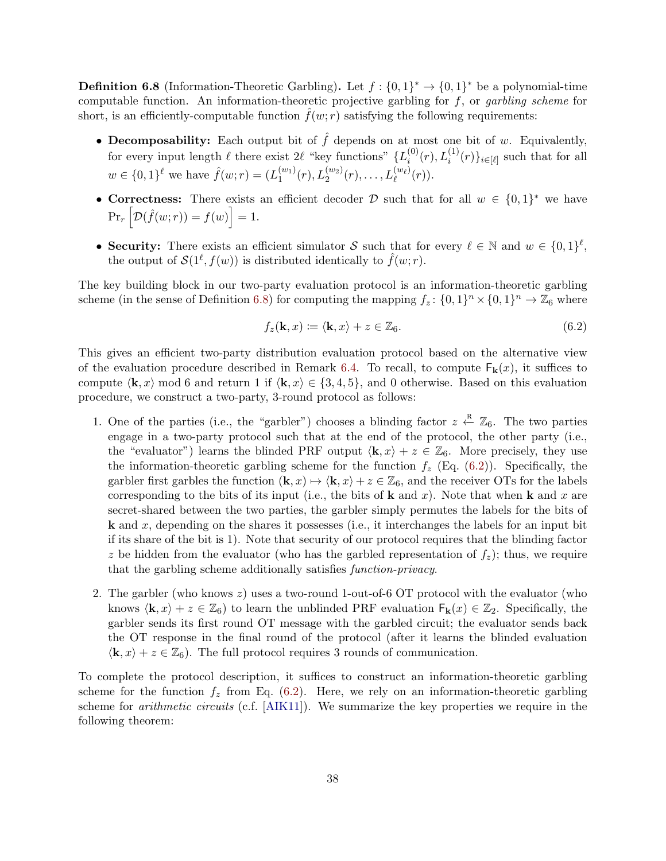<span id="page-37-0"></span>**Definition 6.8** (Information-Theoretic Garbling). Let  $f: \{0,1\}^* \to \{0,1\}^*$  be a polynomial-time computable function. An information-theoretic projective garbling for  $f$ , or garbling scheme for short, is an efficiently-computable function  $f(w; r)$  satisfying the following requirements:

- Decomposability: Each output bit of  $\hat{f}$  depends on at most one bit of w. Equivalently, for every input length  $\ell$  there exist 2 $\ell$  "key functions"  $\{L_i^{(0)}\}$  $i^{(0)}(r), L_i^{(1)}(r)\}_i \in [\ell]$  such that for all  $w \in \{0,1\}^{\ell}$  we have  $\hat{f}(w; r) = (L_1^{(w_1)})$  $L_1^{(w_1)}(r), L_2^{(w_2)}(r), \ldots, L_\ell^{(w_\ell)}(r)).$
- Correctness: There exists an efficient decoder  $\mathcal D$  such that for all  $w \in \{0,1\}^*$  we have  $\Pr_r \left[ \mathcal{D}(\hat{f}(w;r)) = f(w) \right] = 1.$
- Security: There exists an efficient simulator S such that for every  $\ell \in \mathbb{N}$  and  $w \in \{0,1\}^{\ell}$ , the output of  $\mathcal{S}(1^{\ell}, f(w))$  is distributed identically to  $\hat{f}(w; r)$ .

The key building block in our two-party evaluation protocol is an information-theoretic garbling scheme (in the sense of Definition [6.8\)](#page-37-0) for computing the mapping  $f_z$ :  $\{0,1\}^n \times \{0,1\}^n \to \mathbb{Z}_6$  where

<span id="page-37-1"></span>
$$
f_z(\mathbf{k}, x) \coloneqq \langle \mathbf{k}, x \rangle + z \in \mathbb{Z}_6. \tag{6.2}
$$

This gives an efficient two-party distribution evaluation protocol based on the alternative view of the evaluation procedure described in Remark [6.4.](#page-35-0) To recall, to compute  $F_k(x)$ , it suffices to compute  $\langle \mathbf{k}, x \rangle$  mod 6 and return 1 if  $\langle \mathbf{k}, x \rangle \in \{3, 4, 5\}$ , and 0 otherwise. Based on this evaluation procedure, we construct a two-party, 3-round protocol as follows:

- 1. One of the parties (i.e., the "garbler") chooses a blinding factor  $z \stackrel{R}{\leftarrow} \mathbb{Z}_6$ . The two parties engage in a two-party protocol such that at the end of the protocol, the other party (i.e., the "evaluator") learns the blinded PRF output  $\langle \mathbf{k}, x \rangle + z \in \mathbb{Z}_6$ . More precisely, they use the information-theoretic garbling scheme for the function  $f_z$  (Eq. [\(6.2\)](#page-37-1)). Specifically, the garbler first garbles the function  $(\mathbf{k}, x) \mapsto \langle \mathbf{k}, x \rangle + z \in \mathbb{Z}_6$ , and the receiver OTs for the labels corresponding to the bits of its input (i.e., the bits of  $\bf{k}$  and x). Note that when  $\bf{k}$  and x are secret-shared between the two parties, the garbler simply permutes the labels for the bits of **k** and x, depending on the shares it possesses (i.e., it interchanges the labels for an input bit if its share of the bit is 1). Note that security of our protocol requires that the blinding factor z be hidden from the evaluator (who has the garbled representation of  $f_z$ ); thus, we require that the garbling scheme additionally satisfies function-privacy.
- 2. The garbler (who knows z) uses a two-round 1-out-of-6 OT protocol with the evaluator (who knows  $\langle \mathbf{k}, x \rangle + z \in \mathbb{Z}_6$ ) to learn the unblinded PRF evaluation  $\mathsf{F}_{\mathbf{k}}(x) \in \mathbb{Z}_2$ . Specifically, the garbler sends its first round OT message with the garbled circuit; the evaluator sends back the OT response in the final round of the protocol (after it learns the blinded evaluation  $\langle \mathbf{k}, x \rangle + z \in \mathbb{Z}_6$ . The full protocol requires 3 rounds of communication.

To complete the protocol description, it suffices to construct an information-theoretic garbling scheme for the function  $f_z$  from Eq. [\(6.2\)](#page-37-1). Here, we rely on an information-theoretic garbling scheme for *arithmetic circuits* (c.f. [\[AIK11\]](#page-50-7)). We summarize the key properties we require in the following theorem: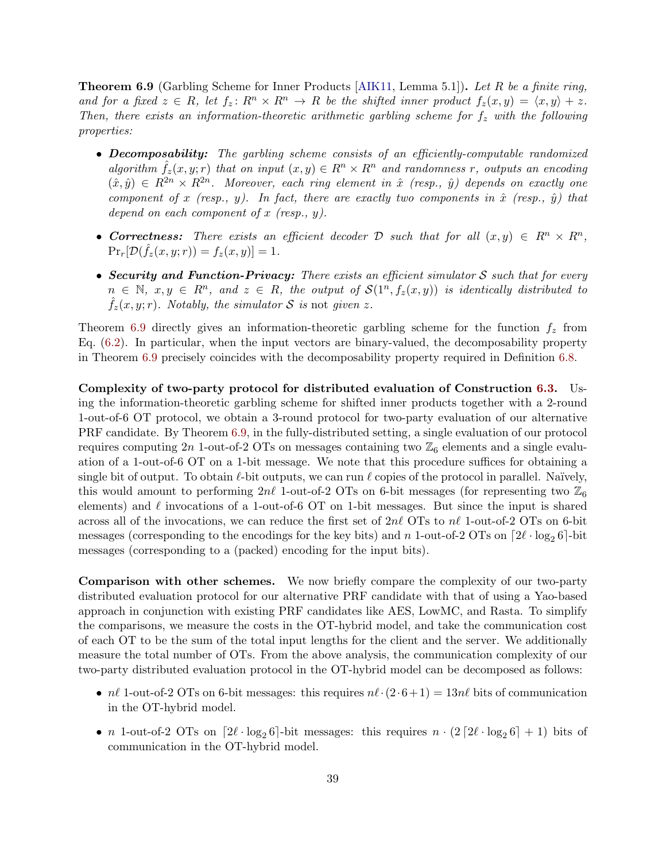<span id="page-38-0"></span>**Theorem 6.9** (Garbling Scheme for Inner Products [\[AIK11,](#page-50-7) Lemma 5.1]). Let R be a finite ring, and for a fixed  $z \in R$ , let  $f_z \colon R^n \times R^n \to R$  be the shifted inner product  $f_z(x, y) = \langle x, y \rangle + z$ . Then, there exists an information-theoretic arithmetic garbling scheme for  $f<sub>z</sub>$  with the following properties:

- Decomposability: The garbling scheme consists of an efficiently-computable randomized algorithm  $\hat{f}_z(x, y; r)$  that on input  $(x, y) \in R^n \times R^n$  and randomness r, outputs an encoding  $(\hat{x}, \hat{y}) \in R^{2n} \times R^{2n}$ . Moreover, each ring element in  $\hat{x}$  (resp.,  $\hat{y}$ ) depends on exactly one component of x (resp., y). In fact, there are exactly two components in  $\hat{x}$  (resp.,  $\hat{y}$ ) that depend on each component of x (resp.,  $y$ ).
- Correctness: There exists an efficient decoder  $D$  such that for all  $(x, y) \in R^n \times R^n$ ,  $Pr_r[\mathcal{D}(\hat{f}_z(x, y; r)) = f_z(x, y)] = 1.$
- Security and Function-Privacy: There exists an efficient simulator  $S$  such that for every  $n \in \mathbb{N}, x, y \in R^n$ , and  $z \in R$ , the output of  $\mathcal{S}(1^n, f_z(x, y))$  is identically distributed to  $\hat{f}_z(x, y; r)$ . Notably, the simulator S is not given z.

Theorem [6.9](#page-38-0) directly gives an information-theoretic garbling scheme for the function  $f<sub>z</sub>$  from Eq. [\(6.2\)](#page-37-1). In particular, when the input vectors are binary-valued, the decomposability property in Theorem [6.9](#page-38-0) precisely coincides with the decomposability property required in Definition [6.8.](#page-37-0)

Complexity of two-party protocol for distributed evaluation of Construction [6.3.](#page-34-1) Using the information-theoretic garbling scheme for shifted inner products together with a 2-round 1-out-of-6 OT protocol, we obtain a 3-round protocol for two-party evaluation of our alternative PRF candidate. By Theorem [6.9,](#page-38-0) in the fully-distributed setting, a single evaluation of our protocol requires computing  $2n$  1-out-of-2 OTs on messages containing two  $\mathbb{Z}_6$  elements and a single evaluation of a 1-out-of-6 OT on a 1-bit message. We note that this procedure suffices for obtaining a single bit of output. To obtain  $\ell$ -bit outputs, we can run  $\ell$  copies of the protocol in parallel. Naïvely, this would amount to performing  $2n\ell$  1-out-of-2 OTs on 6-bit messages (for representing two  $\mathbb{Z}_6$ elements) and  $\ell$  invocations of a 1-out-of-6 OT on 1-bit messages. But since the input is shared across all of the invocations, we can reduce the first set of  $2n\ell$  OTs to  $n\ell$  1-out-of-2 OTs on 6-bit messages (corresponding to the encodings for the key bits) and n 1-out-of-2 OTs on  $[2\ell \cdot \log_2 6]$ -bit messages (corresponding to a (packed) encoding for the input bits).

Comparison with other schemes. We now briefly compare the complexity of our two-party distributed evaluation protocol for our alternative PRF candidate with that of using a Yao-based approach in conjunction with existing PRF candidates like AES, LowMC, and Rasta. To simplify the comparisons, we measure the costs in the OT-hybrid model, and take the communication cost of each OT to be the sum of the total input lengths for the client and the server. We additionally measure the total number of OTs. From the above analysis, the communication complexity of our two-party distributed evaluation protocol in the OT-hybrid model can be decomposed as follows:

- $n\ell$  1-out-of-2 OTs on 6-bit messages: this requires  $n\ell \cdot (2\cdot 6+1) = 13n\ell$  bits of communication in the OT-hybrid model.
- *n* 1-out-of-2 OTs on  $\left[2\ell \cdot \log_2 6\right]$ -bit messages: this requires  $n \cdot (2 \left[2\ell \cdot \log_2 6\right] + 1)$  bits of communication in the OT-hybrid model.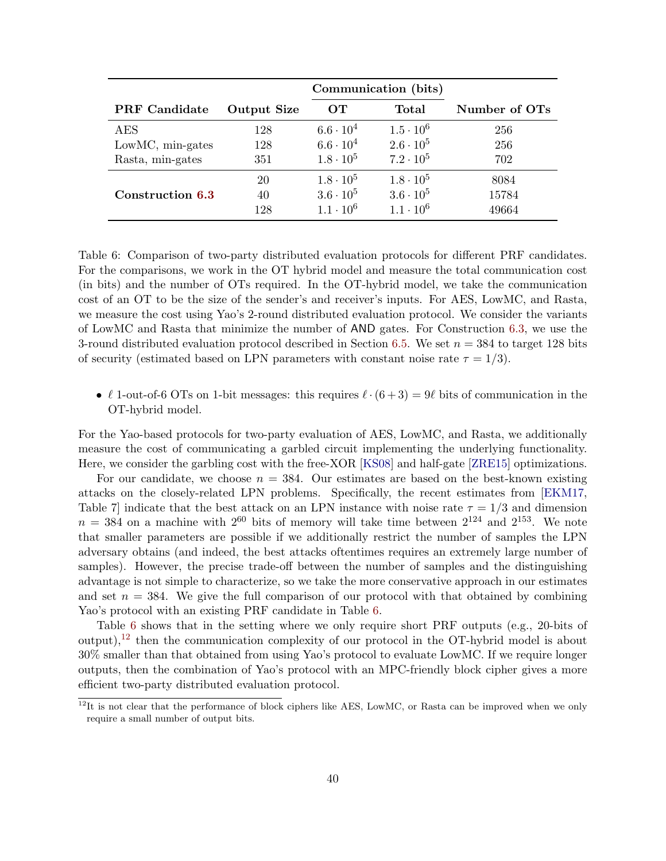|                      |                    | Communication (bits) |                  |               |
|----------------------|--------------------|----------------------|------------------|---------------|
| <b>PRF</b> Candidate | <b>Output Size</b> | OТ                   | Total            | Number of OTs |
| AES                  | 128                | $6.6 \cdot 10^{4}$   | $1.5 \cdot 10^6$ | 256           |
| LowMC, min-gates     | 128                | $6.6 \cdot 10^{4}$   | $2.6 \cdot 10^5$ | 256           |
| Rasta, min-gates     | 351                | $1.8 \cdot 10^5$     | $7.2 \cdot 10^5$ | 702           |
|                      | 20                 | $1.8 \cdot 10^5$     | $1.8 \cdot 10^5$ | 8084          |
| Construction 6.3     | 40                 | $3.6 \cdot 10^5$     | $3.6 \cdot 10^5$ | 15784         |
|                      | 128                | $1.1 \cdot 10^6$     | $1.1 \cdot 10^6$ | 49664         |

<span id="page-39-0"></span>Table 6: Comparison of two-party distributed evaluation protocols for different PRF candidates. For the comparisons, we work in the OT hybrid model and measure the total communication cost (in bits) and the number of OTs required. In the OT-hybrid model, we take the communication cost of an OT to be the size of the sender's and receiver's inputs. For AES, LowMC, and Rasta, we measure the cost using Yao's 2-round distributed evaluation protocol. We consider the variants of LowMC and Rasta that minimize the number of AND gates. For Construction [6.3,](#page-34-1) we use the 3-round distributed evaluation protocol described in Section [6.5.](#page-34-0) We set  $n = 384$  to target 128 bits of security (estimated based on LPN parameters with constant noise rate  $\tau = 1/3$ ).

•  $\ell$  1-out-of-6 OTs on 1-bit messages: this requires  $\ell \cdot (6 + 3) = 9\ell$  bits of communication in the OT-hybrid model.

For the Yao-based protocols for two-party evaluation of AES, LowMC, and Rasta, we additionally measure the cost of communicating a garbled circuit implementing the underlying functionality. Here, we consider the garbling cost with the free-XOR [\[KS08\]](#page-54-3) and half-gate [\[ZRE15\]](#page-55-11) optimizations.

For our candidate, we choose  $n = 384$ . Our estimates are based on the best-known existing attacks on the closely-related LPN problems. Specifically, the recent estimates from [\[EKM17,](#page-52-8) Table 7] indicate that the best attack on an LPN instance with noise rate  $\tau = 1/3$  and dimension  $n = 384$  on a machine with  $2^{60}$  bits of memory will take time between  $2^{124}$  and  $2^{153}$ . We note that smaller parameters are possible if we additionally restrict the number of samples the LPN adversary obtains (and indeed, the best attacks oftentimes requires an extremely large number of samples). However, the precise trade-off between the number of samples and the distinguishing advantage is not simple to characterize, so we take the more conservative approach in our estimates and set  $n = 384$ . We give the full comparison of our protocol with that obtained by combining Yao's protocol with an existing PRF candidate in Table [6.](#page-39-0)

Table [6](#page-39-0) shows that in the setting where we only require short PRF outputs (e.g., 20-bits of output), $^{12}$  $^{12}$  $^{12}$  then the communication complexity of our protocol in the OT-hybrid model is about 30% smaller than that obtained from using Yao's protocol to evaluate LowMC. If we require longer outputs, then the combination of Yao's protocol with an MPC-friendly block cipher gives a more efficient two-party distributed evaluation protocol.

<span id="page-39-1"></span><sup>&</sup>lt;sup>12</sup>It is not clear that the performance of block ciphers like AES, LowMC, or Rasta can be improved when we only require a small number of output bits.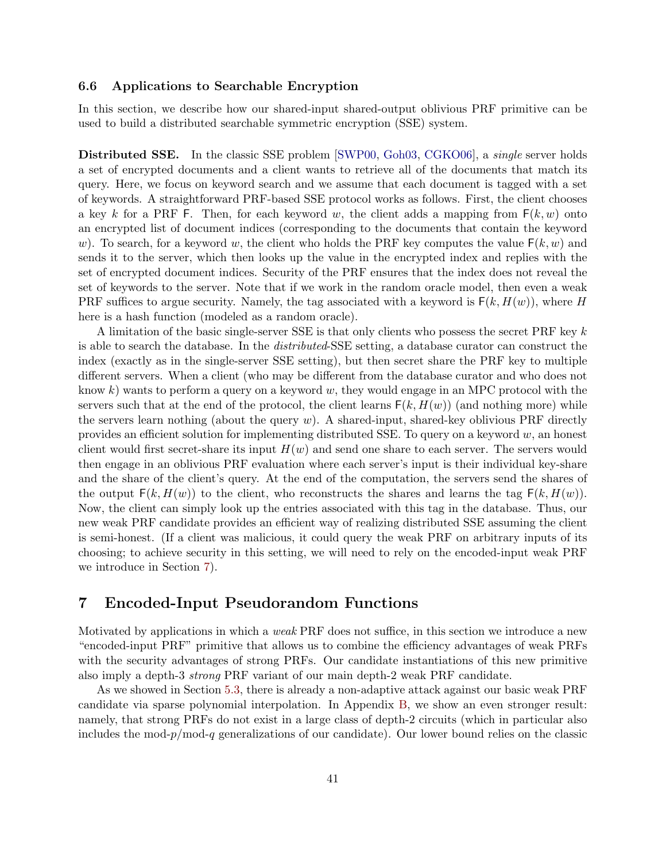#### <span id="page-40-0"></span>6.6 Applications to Searchable Encryption

In this section, we describe how our shared-input shared-output oblivious PRF primitive can be used to build a distributed searchable symmetric encryption (SSE) system.

Distributed SSE. In the classic SSE problem [\[SWP00,](#page-55-16) [Goh03,](#page-52-12) [CGKO06\]](#page-52-13), a single server holds a set of encrypted documents and a client wants to retrieve all of the documents that match its query. Here, we focus on keyword search and we assume that each document is tagged with a set of keywords. A straightforward PRF-based SSE protocol works as follows. First, the client chooses a key k for a PRF F. Then, for each keyword w, the client adds a mapping from  $F(k, w)$  onto an encrypted list of document indices (corresponding to the documents that contain the keyword w). To search, for a keyword w, the client who holds the PRF key computes the value  $F(k, w)$  and sends it to the server, which then looks up the value in the encrypted index and replies with the set of encrypted document indices. Security of the PRF ensures that the index does not reveal the set of keywords to the server. Note that if we work in the random oracle model, then even a weak PRF suffices to argue security. Namely, the tag associated with a keyword is  $F(k, H(w))$ , where H here is a hash function (modeled as a random oracle).

A limitation of the basic single-server SSE is that only clients who possess the secret PRF key k is able to search the database. In the distributed-SSE setting, a database curator can construct the index (exactly as in the single-server SSE setting), but then secret share the PRF key to multiple different servers. When a client (who may be different from the database curator and who does not know k) wants to perform a query on a keyword w, they would engage in an MPC protocol with the servers such that at the end of the protocol, the client learns  $F(k, H(w))$  (and nothing more) while the servers learn nothing (about the query  $w$ ). A shared-input, shared-key oblivious PRF directly provides an efficient solution for implementing distributed SSE. To query on a keyword  $w$ , an honest client would first secret-share its input  $H(w)$  and send one share to each server. The servers would then engage in an oblivious PRF evaluation where each server's input is their individual key-share and the share of the client's query. At the end of the computation, the servers send the shares of the output  $F(k, H(w))$  to the client, who reconstructs the shares and learns the tag  $F(k, H(w))$ . Now, the client can simply look up the entries associated with this tag in the database. Thus, our new weak PRF candidate provides an efficient way of realizing distributed SSE assuming the client is semi-honest. (If a client was malicious, it could query the weak PRF on arbitrary inputs of its choosing; to achieve security in this setting, we will need to rely on the encoded-input weak PRF we introduce in Section [7\)](#page-40-1).

### <span id="page-40-1"></span>7 Encoded-Input Pseudorandom Functions

Motivated by applications in which a weak PRF does not suffice, in this section we introduce a new "encoded-input PRF" primitive that allows us to combine the efficiency advantages of weak PRFs with the security advantages of strong PRFs. Our candidate instantiations of this new primitive also imply a depth-3 strong PRF variant of our main depth-2 weak PRF candidate.

As we showed in Section [5.3,](#page-24-0) there is already a non-adaptive attack against our basic weak PRF candidate via sparse polynomial interpolation. In Appendix [B,](#page-58-1) we show an even stronger result: namely, that strong PRFs do not exist in a large class of depth-2 circuits (which in particular also includes the mod- $p/mod{-q}$  generalizations of our candidate). Our lower bound relies on the classic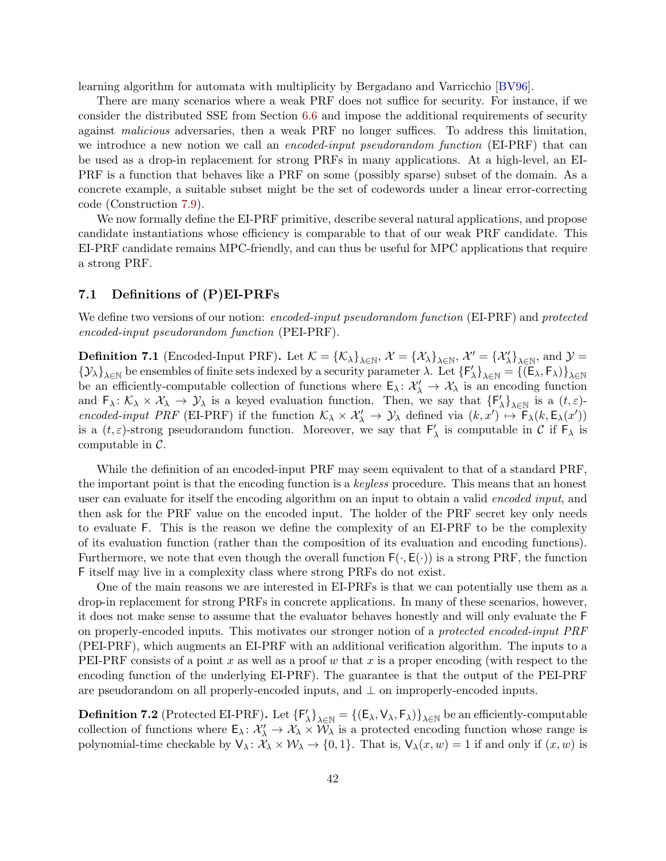learning algorithm for automata with multiplicity by Bergadano and Varricchio [\[BV96\]](#page-51-3).

There are many scenarios where a weak PRF does not suffice for security. For instance, if we consider the distributed SSE from Section [6.6](#page-40-0) and impose the additional requirements of security against malicious adversaries, then a weak PRF no longer suffices. To address this limitation, we introduce a new notion we call an *encoded-input pseudorandom function* (EI-PRF) that can be used as a drop-in replacement for strong PRFs in many applications. At a high-level, an EI-PRF is a function that behaves like a PRF on some (possibly sparse) subset of the domain. As a concrete example, a suitable subset might be the set of codewords under a linear error-correcting code (Construction [7.9\)](#page-46-0).

We now formally define the EI-PRF primitive, describe several natural applications, and propose candidate instantiations whose efficiency is comparable to that of our weak PRF candidate. This EI-PRF candidate remains MPC-friendly, and can thus be useful for MPC applications that require a strong PRF.

#### 7.1 Definitions of (P)EI-PRFs

We define two versions of our notion: encoded-input pseudorandom function (EI-PRF) and protected encoded-input pseudorandom function (PEI-PRF).

**Definition 7.1** (Encoded-Input PRF). Let  $\mathcal{K} = {\{\mathcal{K}_{\lambda}\}}_{\lambda \in \mathbb{N}}, \mathcal{X} = {\{\mathcal{X}_{\lambda}\}}_{\lambda \in \mathbb{N}}, \mathcal{X}' = {\{\mathcal{X}_{\lambda}'\}}_{\lambda \in \mathbb{N}}, \text{ and } \mathcal{Y} =$  ${\{\mathcal{Y}_\lambda\}}_{\lambda\in\mathbb{N}}$  be ensembles of finite sets indexed by a security parameter  $\lambda$ . Let  ${F'_\lambda\}}_{\lambda\in\mathbb{N}} = {\{\widetilde{E}_\lambda,\mathsf{F}_\lambda\}}_{\lambda\in\mathbb{N}}$ be an efficiently-computable collection of functions where  $E_{\lambda} : \mathcal{X}'_{\lambda} \to \mathcal{X}_{\lambda}$  is an encoding function and  $F_{\lambda} \colon \mathcal{K}_{\lambda} \times \mathcal{X}_{\lambda} \to \mathcal{Y}_{\lambda}$  is a keyed evaluation function. Then, we say that  $\{F'_{\lambda}\}_{\lambda \in \mathbb{N}}$  is a  $(t, \varepsilon)$ encoded-input PRF (EI-PRF) if the function  $K_{\lambda} \times \mathcal{X}'_{\lambda} \to \mathcal{Y}_{\lambda}$  defined via  $(k, x') \mapsto F_{\lambda}(k, E_{\lambda}(x'))$ is a  $(t, \varepsilon)$ -strong pseudorandom function. Moreover, we say that  $F'_{\lambda}$  is computable in C if  $F_{\lambda}$  is computable in  $\mathcal{C}$ .

While the definition of an encoded-input PRF may seem equivalent to that of a standard PRF, the important point is that the encoding function is a keyless procedure. This means that an honest user can evaluate for itself the encoding algorithm on an input to obtain a valid encoded input, and then ask for the PRF value on the encoded input. The holder of the PRF secret key only needs to evaluate F. This is the reason we define the complexity of an EI-PRF to be the complexity of its evaluation function (rather than the composition of its evaluation and encoding functions). Furthermore, we note that even though the overall function  $F(\cdot, E(\cdot))$  is a strong PRF, the function F itself may live in a complexity class where strong PRFs do not exist.

One of the main reasons we are interested in EI-PRFs is that we can potentially use them as a drop-in replacement for strong PRFs in concrete applications. In many of these scenarios, however, it does not make sense to assume that the evaluator behaves honestly and will only evaluate the F on properly-encoded inputs. This motivates our stronger notion of a protected encoded-input PRF (PEI-PRF), which augments an EI-PRF with an additional verification algorithm. The inputs to a PEI-PRF consists of a point x as well as a proof w that x is a proper encoding (with respect to the encoding function of the underlying EI-PRF). The guarantee is that the output of the PEI-PRF are pseudorandom on all properly-encoded inputs, and  $\perp$  on improperly-encoded inputs.

**Definition 7.2** (Protected EI-PRF). Let  ${F'_{\lambda}}_{\lambda \in \mathbb{N}} = {(E_{\lambda}, V_{\lambda}, F_{\lambda})}_{\lambda \in \mathbb{N}}$  be an efficiently-computable collection of functions where  $E_\lambda: \mathcal{X}'_\lambda \to \mathcal{X}_\lambda \times \mathcal{W}_\lambda$  is a protected encoding function whose range is polynomial-time checkable by  $\mathsf{V}_{\lambda} : \mathcal{X}_{\lambda} \times \mathcal{W}_{\lambda} \to \{0,1\}$ . That is,  $\mathsf{V}_{\lambda}(x,w) = 1$  if and only if  $(x, w)$  is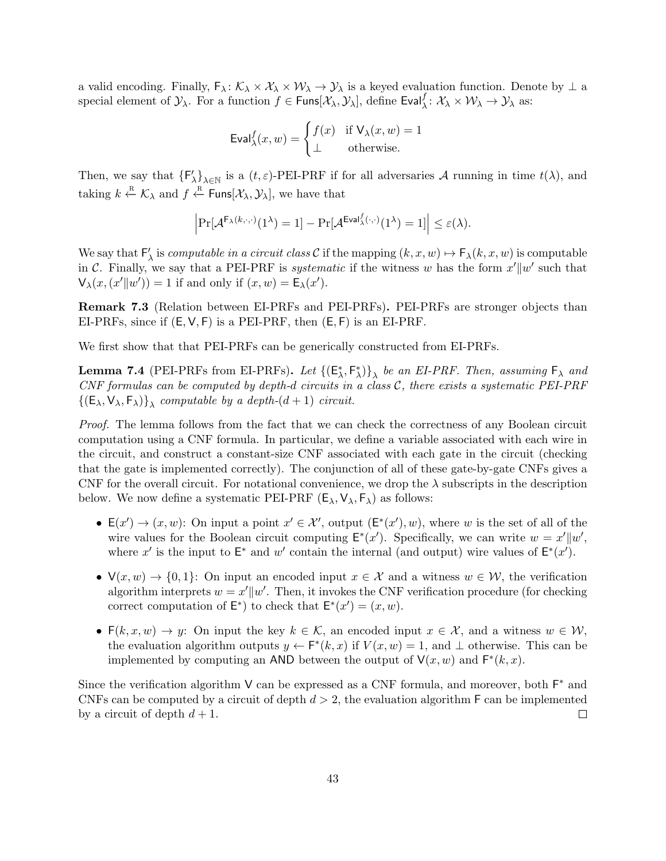a valid encoding. Finally,  $F_\lambda: \mathcal{K}_\lambda \times \mathcal{X}_\lambda \times \mathcal{W}_\lambda \to \mathcal{Y}_\lambda$  is a keyed evaluation function. Denote by  $\perp$  a special element of  $\mathcal{Y}_\lambda$ . For a function  $f \in \text{Funs}[\mathcal{X}_\lambda, \mathcal{Y}_\lambda]$ , define  $\text{Eval}^f_\lambda \colon \mathcal{X}_\lambda \times \mathcal{W}_\lambda \to \mathcal{Y}_\lambda$  as:

$$
\text{Eval}_{\lambda}^{f}(x, w) = \begin{cases} f(x) & \text{if } \mathsf{V}_{\lambda}(x, w) = 1 \\ \bot & \text{otherwise.} \end{cases}
$$

Then, we say that  $\{\mathsf{F}'_{\lambda}\}_{\lambda \in \mathbb{N}}$  is a  $(t, \varepsilon)$ -PEI-PRF if for all adversaries A running in time  $t(\lambda)$ , and taking  $k \stackrel{R}{\leftarrow} \mathcal{K}_{\lambda}$  and  $f \stackrel{R}{\leftarrow} \text{Funs}[\mathcal{X}_{\lambda}, \mathcal{Y}_{\lambda}]$ , we have that

$$
\left|\Pr[\mathcal{A}^{\mathsf{F}_{\lambda}(k,\cdot,\cdot)}(1^{\lambda})=1]-\Pr[\mathcal{A}^{\mathsf{Eval}_{\lambda}^f(\cdot,\cdot)}(1^{\lambda})=1]\right|\leq \varepsilon(\lambda).
$$

We say that  $\mathsf{F}'_{\lambda}$  is *computable in a circuit class C* if the mapping  $(k, x, w) \mapsto \mathsf{F}_{\lambda}(k, x, w)$  is computable in C. Finally, we say that a PEI-PRF is *systematic* if the witness w has the form  $x'||w'$  such that  $\mathsf{V}_{\lambda}(x,(x'||w'))=1$  if and only if  $(x,w)=\mathsf{E}_{\lambda}(x')$ .

Remark 7.3 (Relation between EI-PRFs and PEI-PRFs). PEI-PRFs are stronger objects than EI-PRFs, since if  $(E, V, F)$  is a PEI-PRF, then  $(E, F)$  is an EI-PRF.

We first show that that PEI-PRFs can be generically constructed from EI-PRFs.

<span id="page-42-0"></span>**Lemma 7.4** (PEI-PRFs from EI-PRFs). Let  $\{(\mathsf{E}^*_\lambda, \mathsf{F}^*_\lambda)\}_\lambda$  be an EI-PRF. Then, assuming  $\mathsf{F}_\lambda$  and  $CNF$  formulas can be computed by depth-d circuits in a class  $C$ , there exists a systematic PEI-PRF  ${(\mathsf{E}_\lambda,\mathsf{V}_\lambda,\mathsf{F}_\lambda)}$  computable by a depth- $(d+1)$  circuit.

Proof. The lemma follows from the fact that we can check the correctness of any Boolean circuit computation using a CNF formula. In particular, we define a variable associated with each wire in the circuit, and construct a constant-size CNF associated with each gate in the circuit (checking that the gate is implemented correctly). The conjunction of all of these gate-by-gate CNFs gives a CNF for the overall circuit. For notational convenience, we drop the  $\lambda$  subscripts in the description below. We now define a systematic PEI-PRF  $(E_{\lambda}, V_{\lambda}, F_{\lambda})$  as follows:

- $E(x') \to (x, w)$ : On input a point  $x' \in \mathcal{X}'$ , output  $(E^*(x'), w)$ , where w is the set of all of the wire values for the Boolean circuit computing  $E^*(x')$ . Specifically, we can write  $w = x' \| w'$ , where x' is the input to  $E^*$  and w' contain the internal (and output) wire values of  $E^*(x')$ .
- $\mathsf{V}(x, w) \to \{0, 1\}$ : On input an encoded input  $x \in \mathcal{X}$  and a witness  $w \in \mathcal{W}$ , the verification algorithm interprets  $w = x' || w'$ . Then, it invokes the CNF verification procedure (for checking correct computation of  $\mathsf{E}^*$ ) to check that  $\mathsf{E}^*(x') = (x, w)$ .
- $F(k, x, w) \rightarrow y$ : On input the key  $k \in \mathcal{K}$ , an encoded input  $x \in \mathcal{X}$ , and a witness  $w \in \mathcal{W}$ . the evaluation algorithm outputs  $y \leftarrow \mathsf{F}^*(k, x)$  if  $V(x, w) = 1$ , and  $\perp$  otherwise. This can be implemented by computing an AND between the output of  $\mathsf{V}(x, w)$  and  $\mathsf{F}^*(k, x)$ .

Since the verification algorithm  $V$  can be expressed as a CNF formula, and moreover, both  $F^*$  and CNFs can be computed by a circuit of depth  $d > 2$ , the evaluation algorithm F can be implemented by a circuit of depth  $d+1$ .  $\Box$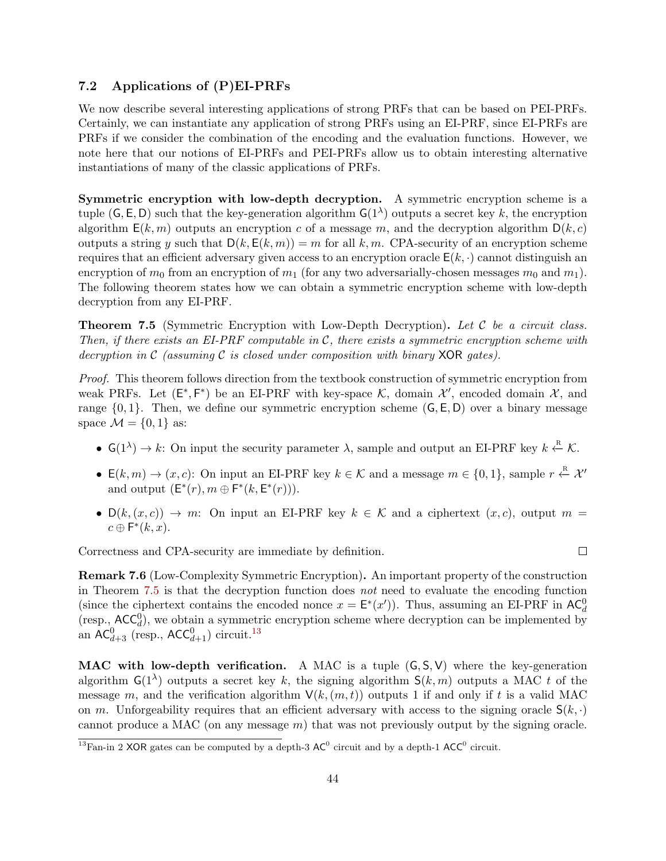#### <span id="page-43-2"></span>7.2 Applications of (P)EI-PRFs

We now describe several interesting applications of strong PRFs that can be based on PEI-PRFs. Certainly, we can instantiate any application of strong PRFs using an EI-PRF, since EI-PRFs are PRFs if we consider the combination of the encoding and the evaluation functions. However, we note here that our notions of EI-PRFs and PEI-PRFs allow us to obtain interesting alternative instantiations of many of the classic applications of PRFs.

Symmetric encryption with low-depth decryption. A symmetric encryption scheme is a tuple (G, E, D) such that the key-generation algorithm  $G(1^{\lambda})$  outputs a secret key k, the encryption algorithm  $E(k, m)$  outputs an encryption c of a message m, and the decryption algorithm  $D(k, c)$ outputs a string y such that  $D(k, E(k, m)) = m$  for all k, m. CPA-security of an encryption scheme requires that an efficient adversary given access to an encryption oracle  $E(k, \cdot)$  cannot distinguish an encryption of  $m_0$  from an encryption of  $m_1$  (for any two adversarially-chosen messages  $m_0$  and  $m_1$ ). The following theorem states how we can obtain a symmetric encryption scheme with low-depth decryption from any EI-PRF.

<span id="page-43-0"></span>**Theorem 7.5** (Symmetric Encryption with Low-Depth Decryption). Let  $\mathcal{C}$  be a circuit class. Then, if there exists an EI-PRF computable in  $\mathcal{C}$ , there exists a symmetric encryption scheme with decryption in C (assuming C is closed under composition with binary  $XOR$  gates).

Proof. This theorem follows direction from the textbook construction of symmetric encryption from weak PRFs. Let  $(E^*, F^*)$  be an EI-PRF with key-space K, domain  $\mathcal{X}'$ , encoded domain  $\mathcal{X}$ , and range  $\{0, 1\}$ . Then, we define our symmetric encryption scheme  $(G, E, D)$  over a binary message space  $\mathcal{M} = \{0, 1\}$  as:

- $G(1^{\lambda}) \to k$ : On input the security parameter  $\lambda$ , sample and output an EI-PRF key  $k \stackrel{R}{\leftarrow} K$ .
- $E(k, m) \to (x, c)$ : On input an EI-PRF key  $k \in \mathcal{K}$  and a message  $m \in \{0, 1\}$ , sample  $r \stackrel{\text{R}}{\leftarrow} \mathcal{X}'$ and output  $(E^*(r), m \oplus F^*(k, E^*(r)))$ .
- $D(k,(x,c)) \rightarrow m$ : On input an EI-PRF key  $k \in \mathcal{K}$  and a ciphertext  $(x, c)$ , output  $m =$  $c \oplus F^*(k, x)$ .

Correctness and CPA-security are immediate by definition.

 $\Box$ 

Remark 7.6 (Low-Complexity Symmetric Encryption). An important property of the construction in Theorem [7.5](#page-43-0) is that the decryption function does not need to evaluate the encoding function (since the ciphertext contains the encoded nonce  $x = \mathsf{E}^*(x')$ ). Thus, assuming an EI-PRF in  $\mathsf{AC}_d^0$ (resp.,  $ACC_d^0$ ), we obtain a symmetric encryption scheme where decryption can be implemented by an AC $_{d+3}^{0}$  (resp., ACC $_{d+1}^{0}$ ) circuit.<sup>[13](#page-43-1)</sup>

**MAC** with low-depth verification. A MAC is a tuple  $(G, S, V)$  where the key-generation algorithm  $G(1^{\lambda})$  outputs a secret key k, the signing algorithm  $S(k,m)$  outputs a MAC t of the message m, and the verification algorithm  $V(k,(m,t))$  outputs 1 if and only if t is a valid MAC on m. Unforgeability requires that an efficient adversary with access to the signing oracle  $S(k, \cdot)$ cannot produce a MAC (on any message  $m$ ) that was not previously output by the signing oracle.

<span id="page-43-1"></span><sup>&</sup>lt;sup>13</sup>Fan-in 2 XOR gates can be computed by a depth-3  $AC^0$  circuit and by a depth-1  $ACC^0$  circuit.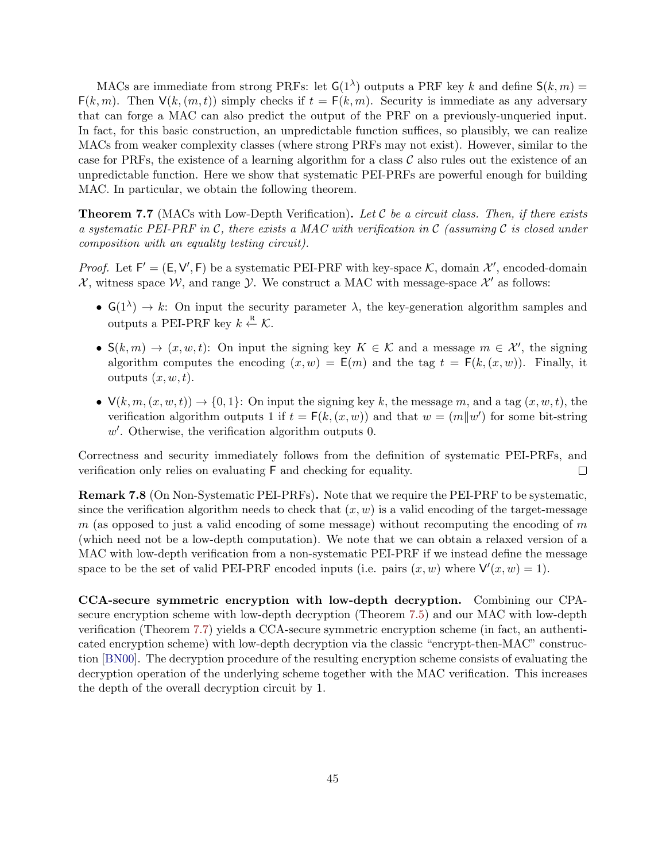MACs are immediate from strong PRFs: let  $G(1^{\lambda})$  outputs a PRF key k and define  $S(k, m) =$  $F(k, m)$ . Then  $V(k, (m, t))$  simply checks if  $t = F(k, m)$ . Security is immediate as any adversary that can forge a MAC can also predict the output of the PRF on a previously-unqueried input. In fact, for this basic construction, an unpredictable function suffices, so plausibly, we can realize MACs from weaker complexity classes (where strong PRFs may not exist). However, similar to the case for PRFs, the existence of a learning algorithm for a class  $\mathcal C$  also rules out the existence of an unpredictable function. Here we show that systematic PEI-PRFs are powerful enough for building MAC. In particular, we obtain the following theorem.

<span id="page-44-0"></span>**Theorem 7.7** (MACs with Low-Depth Verification). Let C be a circuit class. Then, if there exists a systematic PEI-PRF in  $\mathcal C$ , there exists a MAC with verification in  $\mathcal C$  (assuming  $\mathcal C$  is closed under composition with an equality testing circuit).

*Proof.* Let  $F' = (E, V', F)$  be a systematic PEI-PRF with key-space K, domain  $\mathcal{X}'$ , encoded-domain  $\mathcal{X}$ , witness space  $\mathcal{W}$ , and range  $\mathcal{Y}$ . We construct a MAC with message-space  $\mathcal{X}'$  as follows:

- $G(1^{\lambda}) \to k$ : On input the security parameter  $\lambda$ , the key-generation algorithm samples and outputs a PEI-PRF key  $k \stackrel{\text{R}}{\leftarrow} \mathcal{K}$ .
- $S(k,m) \to (x,w,t)$ : On input the signing key  $K \in \mathcal{K}$  and a message  $m \in \mathcal{X}'$ , the signing algorithm computes the encoding  $(x, w) = E(m)$  and the tag  $t = F(k, (x, w))$ . Finally, it outputs  $(x, w, t)$ .
- $V(k, m, (x, w, t)) \rightarrow \{0, 1\}$ : On input the signing key k, the message m, and a tag  $(x, w, t)$ , the verification algorithm outputs 1 if  $t = F(k, (x, w))$  and that  $w = (m||w')$  for some bit-string  $w'$ . Otherwise, the verification algorithm outputs 0.

Correctness and security immediately follows from the definition of systematic PEI-PRFs, and verification only relies on evaluating F and checking for equality.  $\Box$ 

Remark 7.8 (On Non-Systematic PEI-PRFs). Note that we require the PEI-PRF to be systematic, since the verification algorithm needs to check that  $(x, w)$  is a valid encoding of the target-message m (as opposed to just a valid encoding of some message) without recomputing the encoding of  $m$ (which need not be a low-depth computation). We note that we can obtain a relaxed version of a MAC with low-depth verification from a non-systematic PEI-PRF if we instead define the message space to be the set of valid PEI-PRF encoded inputs (i.e. pairs  $(x, w)$  where  $V'(x, w) = 1$ ).

CCA-secure symmetric encryption with low-depth decryption. Combining our CPAsecure encryption scheme with low-depth decryption (Theorem [7.5\)](#page-43-0) and our MAC with low-depth verification (Theorem [7.7\)](#page-44-0) yields a CCA-secure symmetric encryption scheme (in fact, an authenticated encryption scheme) with low-depth decryption via the classic "encrypt-then-MAC" construction [\[BN00\]](#page-51-14). The decryption procedure of the resulting encryption scheme consists of evaluating the decryption operation of the underlying scheme together with the MAC verification. This increases the depth of the overall decryption circuit by 1.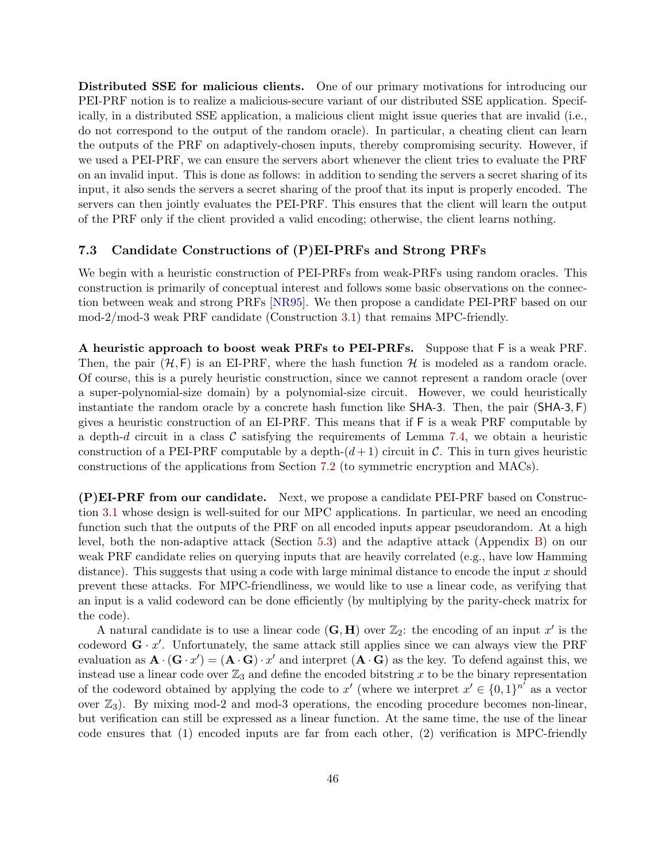Distributed SSE for malicious clients. One of our primary motivations for introducing our PEI-PRF notion is to realize a malicious-secure variant of our distributed SSE application. Specifically, in a distributed SSE application, a malicious client might issue queries that are invalid (i.e., do not correspond to the output of the random oracle). In particular, a cheating client can learn the outputs of the PRF on adaptively-chosen inputs, thereby compromising security. However, if we used a PEI-PRF, we can ensure the servers abort whenever the client tries to evaluate the PRF on an invalid input. This is done as follows: in addition to sending the servers a secret sharing of its input, it also sends the servers a secret sharing of the proof that its input is properly encoded. The servers can then jointly evaluates the PEI-PRF. This ensures that the client will learn the output of the PRF only if the client provided a valid encoding; otherwise, the client learns nothing.

#### <span id="page-45-0"></span>7.3 Candidate Constructions of (P)EI-PRFs and Strong PRFs

We begin with a heuristic construction of PEI-PRFs from weak-PRFs using random oracles. This construction is primarily of conceptual interest and follows some basic observations on the connection between weak and strong PRFs [\[NR95\]](#page-54-14). We then propose a candidate PEI-PRF based on our mod-2/mod-3 weak PRF candidate (Construction [3.1\)](#page-13-1) that remains MPC-friendly.

A heuristic approach to boost weak PRFs to PEI-PRFs. Suppose that F is a weak PRF. Then, the pair  $(\mathcal{H}, \mathsf{F})$  is an EI-PRF, where the hash function  $\mathcal{H}$  is modeled as a random oracle. Of course, this is a purely heuristic construction, since we cannot represent a random oracle (over a super-polynomial-size domain) by a polynomial-size circuit. However, we could heuristically instantiate the random oracle by a concrete hash function like SHA-3. Then, the pair (SHA-3, F) gives a heuristic construction of an EI-PRF. This means that if F is a weak PRF computable by a depth-d circuit in a class  $\mathcal C$  satisfying the requirements of Lemma [7.4,](#page-42-0) we obtain a heuristic construction of a PEI-PRF computable by a depth- $(d+1)$  circuit in C. This in turn gives heuristic constructions of the applications from Section [7.2](#page-43-2) (to symmetric encryption and MACs).

(P)EI-PRF from our candidate. Next, we propose a candidate PEI-PRF based on Construction [3.1](#page-13-1) whose design is well-suited for our MPC applications. In particular, we need an encoding function such that the outputs of the PRF on all encoded inputs appear pseudorandom. At a high level, both the non-adaptive attack (Section [5.3\)](#page-24-0) and the adaptive attack (Appendix [B\)](#page-58-1) on our weak PRF candidate relies on querying inputs that are heavily correlated (e.g., have low Hamming distance). This suggests that using a code with large minimal distance to encode the input  $x$  should prevent these attacks. For MPC-friendliness, we would like to use a linear code, as verifying that an input is a valid codeword can be done efficiently (by multiplying by the parity-check matrix for the code).

A natural candidate is to use a linear code  $(G, H)$  over  $\mathbb{Z}_2$ : the encoding of an input x' is the codeword  $\mathbf{G} \cdot x'$ . Unfortunately, the same attack still applies since we can always view the PRF evaluation as  $\mathbf{A} \cdot (\mathbf{G} \cdot x') = (\mathbf{A} \cdot \mathbf{G}) \cdot x'$  and interpret  $(\mathbf{A} \cdot \mathbf{G})$  as the key. To defend against this, we instead use a linear code over  $\mathbb{Z}_3$  and define the encoded bitstring x to be the binary representation of the codeword obtained by applying the code to x' (where we interpret  $x' \in \{0,1\}^{n'}$  as a vector over  $\mathbb{Z}_3$ ). By mixing mod-2 and mod-3 operations, the encoding procedure becomes non-linear, but verification can still be expressed as a linear function. At the same time, the use of the linear code ensures that (1) encoded inputs are far from each other, (2) verification is MPC-friendly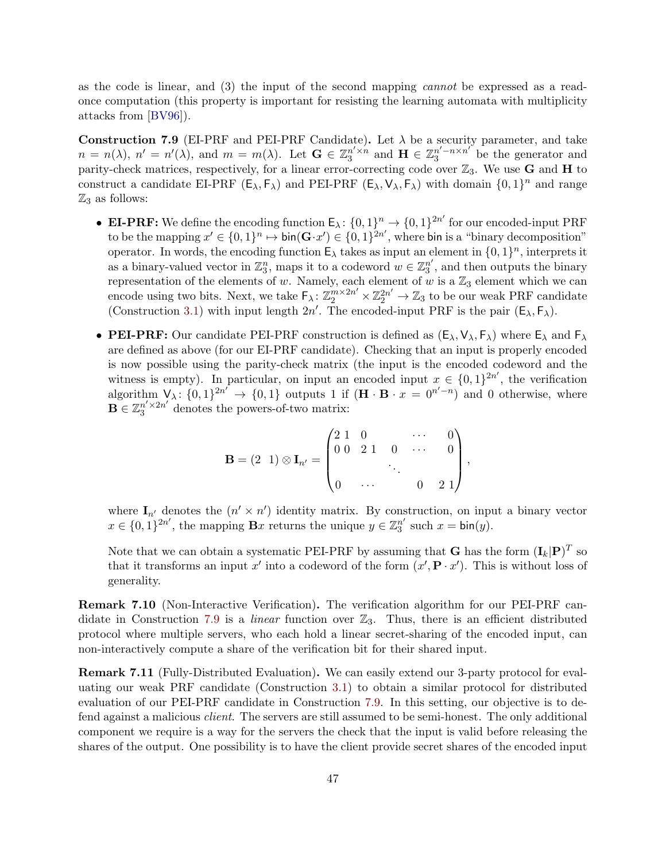as the code is linear, and (3) the input of the second mapping cannot be expressed as a readonce computation (this property is important for resisting the learning automata with multiplicity attacks from [\[BV96\]](#page-51-3)).

<span id="page-46-0"></span>**Construction 7.9** (EI-PRF and PEI-PRF Candidate). Let  $\lambda$  be a security parameter, and take  $n = n(\lambda)$ ,  $n' = n'(\lambda)$ , and  $m = m(\lambda)$ . Let  $\mathbf{G} \in \mathbb{Z}_3^{n' \times n}$  and  $\mathbf{H} \in \mathbb{Z}_3^{n'-n \times n'}$  $\frac{n'-n\times n'}{3}$  be the generator and parity-check matrices, respectively, for a linear error-correcting code over  $\mathbb{Z}_3$ . We use **G** and **H** to construct a candidate EI-PRF  $(E_{\lambda}, F_{\lambda})$  and PEI-PRF  $(E_{\lambda}, V_{\lambda}, F_{\lambda})$  with domain  $\{0, 1\}^n$  and range  $\mathbb{Z}_3$  as follows:

- EI-PRF: We define the encoding function  $\mathsf{E}_{\lambda}$ :  $\{0,1\}^n \to \{0,1\}^{2n'}$  for our encoded-input PRF to be the mapping  $x' \in \{0,1\}^n \mapsto \text{bin}(\mathbf{G}\cdot x') \in \{0,1\}^{2n'}$ , where bin is a "binary decomposition" operator. In words, the encoding function  $\mathsf{E}_{\lambda}$  takes as input an element in  $\{0,1\}^n$ , interprets it as a binary-valued vector in  $\mathbb{Z}_3^n$ , maps it to a codeword  $w \in \mathbb{Z}_3^{n'}$  $n_3$ <sup>"</sup>, and then outputs the binary representation of the elements of w. Namely, each element of w is a  $\mathbb{Z}_3$  element which we can encode using two bits. Next, we take  $F_{\lambda}$ :  $\mathbb{Z}_2^{m \times 2n'} \times \mathbb{Z}_2^{2n'} \to \mathbb{Z}_3$  to be our weak PRF candidate (Construction [3.1\)](#page-13-1) with input length  $2n'$ . The encoded-input PRF is the pair  $(E_{\lambda}, F_{\lambda})$ .
- PEI-PRF: Our candidate PEI-PRF construction is defined as  $(E_{\lambda}, V_{\lambda}, F_{\lambda})$  where  $E_{\lambda}$  and  $F_{\lambda}$ are defined as above (for our EI-PRF candidate). Checking that an input is properly encoded is now possible using the parity-check matrix (the input is the encoded codeword and the witness is empty). In particular, on input an encoded input  $x \in \{0,1\}^{2n'}$ , the verification algorithm  $V_\lambda$ :  $\{0,1\}^{2n} \to \{0,1\}$  outputs 1 if  $(\mathbf{H} \cdot \mathbf{B} \cdot x = 0^{n'-n})$  and 0 otherwise, where  $\mathbf{B} \in \mathbb{Z}_3^{n' \times 2n'}$  $n \times 2n'$  denotes the powers-of-two matrix:

$$
\mathbf{B} = (2 \ 1) \otimes \mathbf{I}_{n'} = \begin{pmatrix} 2 & 1 & 0 & \cdots & 0 \\ 0 & 0 & 2 & 1 & 0 & \cdots & 0 \\ & & & \ddots & & \\ 0 & \cdots & & 0 & 2 & 1 \end{pmatrix},
$$

where  $I_{n'}$  denotes the  $(n' \times n')$  identity matrix. By construction, on input a binary vector  $x \in \{0,1\}^{2n'}$ , the mapping **B**x returns the unique  $y \in \mathbb{Z}_3^{n'}$  $y_3^{n'}$  such  $x = \text{bin}(y)$ .

Note that we can obtain a systematic PEI-PRF by assuming that **G** has the form  $(\mathbf{I}_k|\mathbf{P})^T$  so that it transforms an input  $x'$  into a codeword of the form  $(x', P \cdot x')$ . This is without loss of generality.

<span id="page-46-1"></span>Remark 7.10 (Non-Interactive Verification). The verification algorithm for our PEI-PRF can-didate in Construction [7.9](#page-46-0) is a *linear* function over  $\mathbb{Z}_3$ . Thus, there is an efficient distributed protocol where multiple servers, who each hold a linear secret-sharing of the encoded input, can non-interactively compute a share of the verification bit for their shared input.

<span id="page-46-2"></span>Remark 7.11 (Fully-Distributed Evaluation). We can easily extend our 3-party protocol for evaluating our weak PRF candidate (Construction [3.1\)](#page-13-1) to obtain a similar protocol for distributed evaluation of our PEI-PRF candidate in Construction [7.9.](#page-46-0) In this setting, our objective is to defend against a malicious *client*. The servers are still assumed to be semi-honest. The only additional component we require is a way for the servers the check that the input is valid before releasing the shares of the output. One possibility is to have the client provide secret shares of the encoded input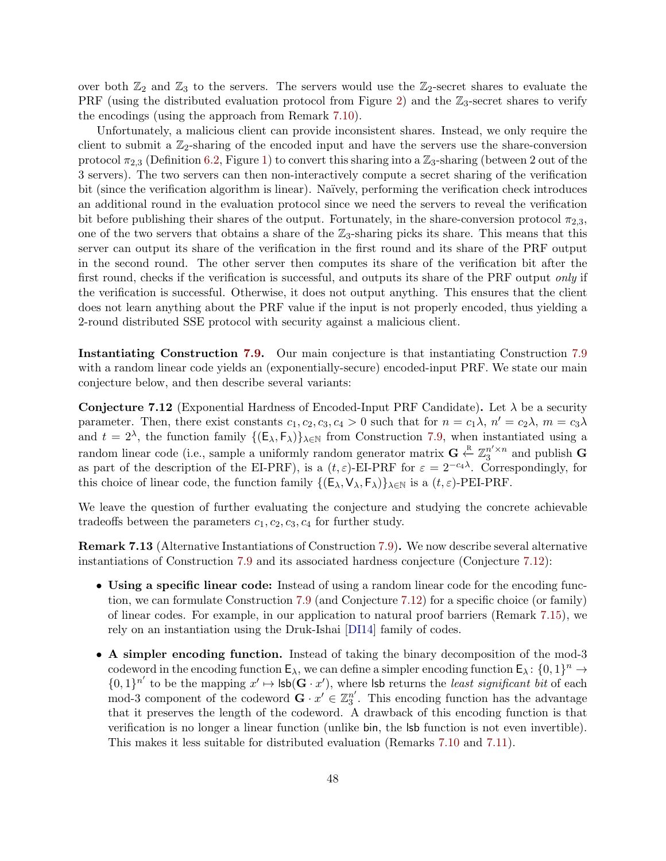over both  $\mathbb{Z}_2$  and  $\mathbb{Z}_3$  to the servers. The servers would use the  $\mathbb{Z}_2$ -secret shares to evaluate the PRF (using the distributed evaluation protocol from Figure [2\)](#page-28-2) and the  $\mathbb{Z}_3$ -secret shares to verify the encodings (using the approach from Remark [7.10\)](#page-46-1).

Unfortunately, a malicious client can provide inconsistent shares. Instead, we only require the client to submit a  $\mathbb{Z}_2$ -sharing of the encoded input and have the servers use the share-conversion protocol  $\pi_{2,3}$  (Definition [6.2,](#page-27-0) Figure [1\)](#page-28-1) to convert this sharing into a  $\mathbb{Z}_3$ -sharing (between 2 out of the 3 servers). The two servers can then non-interactively compute a secret sharing of the verification bit (since the verification algorithm is linear). Naïvely, performing the verification check introduces an additional round in the evaluation protocol since we need the servers to reveal the verification bit before publishing their shares of the output. Fortunately, in the share-conversion protocol  $\pi_{2,3}$ , one of the two servers that obtains a share of the  $\mathbb{Z}_3$ -sharing picks its share. This means that this server can output its share of the verification in the first round and its share of the PRF output in the second round. The other server then computes its share of the verification bit after the first round, checks if the verification is successful, and outputs its share of the PRF output only if the verification is successful. Otherwise, it does not output anything. This ensures that the client does not learn anything about the PRF value if the input is not properly encoded, thus yielding a 2-round distributed SSE protocol with security against a malicious client.

Instantiating Construction [7.9.](#page-46-0) Our main conjecture is that instantiating Construction [7.9](#page-46-0) with a random linear code yields an (exponentially-secure) encoded-input PRF. We state our main conjecture below, and then describe several variants:

<span id="page-47-0"></span>Conjecture 7.12 (Exponential Hardness of Encoded-Input PRF Candidate). Let  $\lambda$  be a security parameter. Then, there exist constants  $c_1, c_2, c_3, c_4 > 0$  such that for  $n = c_1 \lambda$ ,  $n' = c_2 \lambda$ ,  $m = c_3 \lambda$ and  $t = 2^{\lambda}$ , the function family  ${(\mathsf{E}_{\lambda}, \mathsf{F}_{\lambda})}_{\lambda \in \mathbb{N}}$  from Construction [7.9,](#page-46-0) when instantiated using a random linear code (i.e., sample a uniformly random generator matrix  $\mathbf{G} \leftarrow \mathbb{Z}_3^{n' \times n}$  and publish  $\mathbf{G}$ as part of the description of the EI-PRF), is a  $(t, \varepsilon)$ -EI-PRF for  $\varepsilon = 2^{-c_4 \lambda}$ . Correspondingly, for this choice of linear code, the function family  $\{(\mathsf{E}_{\lambda}, \mathsf{V}_{\lambda}, \mathsf{F}_{\lambda})\}_{\lambda \in \mathbb{N}}$  is a  $(t, \varepsilon)$ -PEI-PRF.

We leave the question of further evaluating the conjecture and studying the concrete achievable tradeoffs between the parameters  $c_1, c_2, c_3, c_4$  for further study.

Remark 7.13 (Alternative Instantiations of Construction [7.9\)](#page-46-0). We now describe several alternative instantiations of Construction [7.9](#page-46-0) and its associated hardness conjecture (Conjecture [7.12\)](#page-47-0):

- Using a specific linear code: Instead of using a random linear code for the encoding function, we can formulate Construction [7.9](#page-46-0) (and Conjecture [7.12\)](#page-47-0) for a specific choice (or family) of linear codes. For example, in our application to natural proof barriers (Remark [7.15\)](#page-48-1), we rely on an instantiation using the Druk-Ishai [\[DI14\]](#page-52-14) family of codes.
- A simpler encoding function. Instead of taking the binary decomposition of the mod-3 codeword in the encoding function  $\mathsf{E}_{\lambda}$ , we can define a simpler encoding function  $\mathsf{E}_{\lambda}$ :  $\{0,1\}^n \to$  $\{0,1\}^{n'}$  to be the mapping  $x' \mapsto \textsf{lsb}(\mathbf{G} \cdot x')$ , where  $\textsf{lsb}$  returns the least significant bit of each mod-3 component of the codeword  $\mathbf{G} \cdot x' \in \mathbb{Z}_3^{n'}$  $j_3^{\prime}$ . This encoding function has the advantage that it preserves the length of the codeword. A drawback of this encoding function is that verification is no longer a linear function (unlike bin, the lsb function is not even invertible). This makes it less suitable for distributed evaluation (Remarks [7.10](#page-46-1) and [7.11\)](#page-46-2).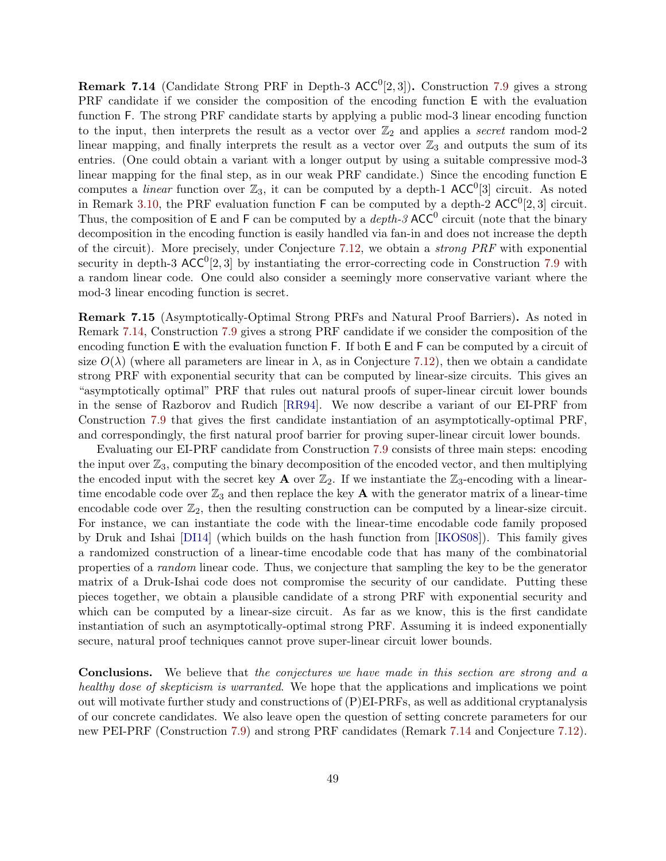<span id="page-48-0"></span>**Remark 7.14** (Candidate Strong PRF in Depth-3  $ACC^{0}[2,3]$ ). Construction [7.9](#page-46-0) gives a strong PRF candidate if we consider the composition of the encoding function E with the evaluation function F. The strong PRF candidate starts by applying a public mod-3 linear encoding function to the input, then interprets the result as a vector over  $\mathbb{Z}_2$  and applies a *secret* random mod-2 linear mapping, and finally interprets the result as a vector over  $\mathbb{Z}_3$  and outputs the sum of its entries. (One could obtain a variant with a longer output by using a suitable compressive mod-3 linear mapping for the final step, as in our weak PRF candidate.) Since the encoding function E computes a *linear* function over  $\mathbb{Z}_3$ , it can be computed by a depth-1 ACC<sup>0</sup>[3] circuit. As noted in Remark [3.10,](#page-15-1) the PRF evaluation function  $\mathsf F$  can be computed by a depth-2  $\mathsf{ACC}^0[2,3]$  circuit. Thus, the composition of  $E$  and  $F$  can be computed by a *depth-3* ACC<sup>0</sup> circuit (note that the binary decomposition in the encoding function is easily handled via fan-in and does not increase the depth of the circuit). More precisely, under Conjecture [7.12,](#page-47-0) we obtain a *strong PRF* with exponential security in depth-3  $ACC^{0}[2,3]$  by instantiating the error-correcting code in Construction [7.9](#page-46-0) with a random linear code. One could also consider a seemingly more conservative variant where the mod-3 linear encoding function is secret.

<span id="page-48-1"></span>Remark 7.15 (Asymptotically-Optimal Strong PRFs and Natural Proof Barriers). As noted in Remark [7.14,](#page-48-0) Construction [7.9](#page-46-0) gives a strong PRF candidate if we consider the composition of the encoding function E with the evaluation function F. If both E and F can be computed by a circuit of size  $O(\lambda)$  (where all parameters are linear in  $\lambda$ , as in Conjecture [7.12\)](#page-47-0), then we obtain a candidate strong PRF with exponential security that can be computed by linear-size circuits. This gives an "asymptotically optimal" PRF that rules out natural proofs of super-linear circuit lower bounds in the sense of Razborov and Rudich [\[RR94\]](#page-55-10). We now describe a variant of our EI-PRF from Construction [7.9](#page-46-0) that gives the first candidate instantiation of an asymptotically-optimal PRF, and correspondingly, the first natural proof barrier for proving super-linear circuit lower bounds.

Evaluating our EI-PRF candidate from Construction [7.9](#page-46-0) consists of three main steps: encoding the input over  $\mathbb{Z}_3$ , computing the binary decomposition of the encoded vector, and then multiplying the encoded input with the secret key  $\bf{A}$  over  $\mathbb{Z}_2$ . If we instantiate the  $\mathbb{Z}_3$ -encoding with a lineartime encodable code over  $\mathbb{Z}_3$  and then replace the key **A** with the generator matrix of a linear-time encodable code over  $\mathbb{Z}_2$ , then the resulting construction can be computed by a linear-size circuit. For instance, we can instantiate the code with the linear-time encodable code family proposed by Druk and Ishai [\[DI14\]](#page-52-14) (which builds on the hash function from [\[IKOS08\]](#page-53-4)). This family gives a randomized construction of a linear-time encodable code that has many of the combinatorial properties of a random linear code. Thus, we conjecture that sampling the key to be the generator matrix of a Druk-Ishai code does not compromise the security of our candidate. Putting these pieces together, we obtain a plausible candidate of a strong PRF with exponential security and which can be computed by a linear-size circuit. As far as we know, this is the first candidate instantiation of such an asymptotically-optimal strong PRF. Assuming it is indeed exponentially secure, natural proof techniques cannot prove super-linear circuit lower bounds.

Conclusions. We believe that the conjectures we have made in this section are strong and a healthy dose of skepticism is warranted. We hope that the applications and implications we point out will motivate further study and constructions of (P)EI-PRFs, as well as additional cryptanalysis of our concrete candidates. We also leave open the question of setting concrete parameters for our new PEI-PRF (Construction [7.9\)](#page-46-0) and strong PRF candidates (Remark [7.14](#page-48-0) and Conjecture [7.12\)](#page-47-0).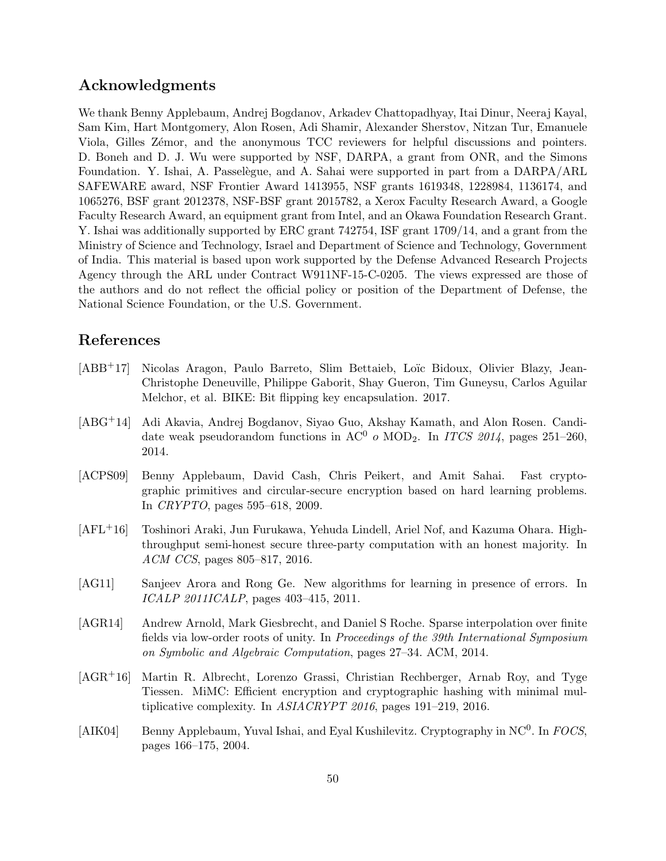### Acknowledgments

We thank Benny Applebaum, Andrej Bogdanov, Arkadev Chattopadhyay, Itai Dinur, Neeraj Kayal, Sam Kim, Hart Montgomery, Alon Rosen, Adi Shamir, Alexander Sherstov, Nitzan Tur, Emanuele Viola, Gilles Zémor, and the anonymous TCC reviewers for helpful discussions and pointers. D. Boneh and D. J. Wu were supported by NSF, DARPA, a grant from ONR, and the Simons Foundation. Y. Ishai, A. Passelègue, and A. Sahai were supported in part from a DARPA/ARL SAFEWARE award, NSF Frontier Award 1413955, NSF grants 1619348, 1228984, 1136174, and 1065276, BSF grant 2012378, NSF-BSF grant 2015782, a Xerox Faculty Research Award, a Google Faculty Research Award, an equipment grant from Intel, and an Okawa Foundation Research Grant. Y. Ishai was additionally supported by ERC grant 742754, ISF grant 1709/14, and a grant from the Ministry of Science and Technology, Israel and Department of Science and Technology, Government of India. This material is based upon work supported by the Defense Advanced Research Projects Agency through the ARL under Contract W911NF-15-C-0205. The views expressed are those of the authors and do not reflect the official policy or position of the Department of Defense, the National Science Foundation, or the U.S. Government.

# References

- <span id="page-49-5"></span>[ABB<sup>+</sup>17] Nicolas Aragon, Paulo Barreto, Slim Bettaieb, Loïc Bidoux, Olivier Blazy, Jean-Christophe Deneuville, Philippe Gaborit, Shay Gueron, Tim Guneysu, Carlos Aguilar Melchor, et al. BIKE: Bit flipping key encapsulation. 2017.
- <span id="page-49-0"></span>[ABG+14] Adi Akavia, Andrej Bogdanov, Siyao Guo, Akshay Kamath, and Alon Rosen. Candidate weak pseudorandom functions in AC<sup>0</sup>  $\alpha$  MOD<sub>2</sub>. In *ITCS 2014*, pages 251–260, 2014.
- <span id="page-49-6"></span>[ACPS09] Benny Applebaum, David Cash, Chris Peikert, and Amit Sahai. Fast cryptographic primitives and circular-secure encryption based on hard learning problems. In CRYPTO, pages 595–618, 2009.
- <span id="page-49-3"></span>[AFL+16] Toshinori Araki, Jun Furukawa, Yehuda Lindell, Ariel Nof, and Kazuma Ohara. Highthroughput semi-honest secure three-party computation with an honest majority. In ACM CCS, pages 805–817, 2016.
- <span id="page-49-1"></span>[AG11] Sanjeev Arora and Rong Ge. New algorithms for learning in presence of errors. In ICALP 2011ICALP, pages 403–415, 2011.
- <span id="page-49-2"></span>[AGR14] Andrew Arnold, Mark Giesbrecht, and Daniel S Roche. Sparse interpolation over finite fields via low-order roots of unity. In *Proceedings of the 39th International Symposium* on Symbolic and Algebraic Computation, pages 27–34. ACM, 2014.
- <span id="page-49-4"></span>[AGR+16] Martin R. Albrecht, Lorenzo Grassi, Christian Rechberger, Arnab Roy, and Tyge Tiessen. MiMC: Efficient encryption and cryptographic hashing with minimal multiplicative complexity. In ASIACRYPT 2016, pages 191–219, 2016.
- <span id="page-49-7"></span>[AIK04] Benny Applebaum, Yuval Ishai, and Eyal Kushilevitz. Cryptography in NC<sup>0</sup>. In FOCS, pages 166–175, 2004.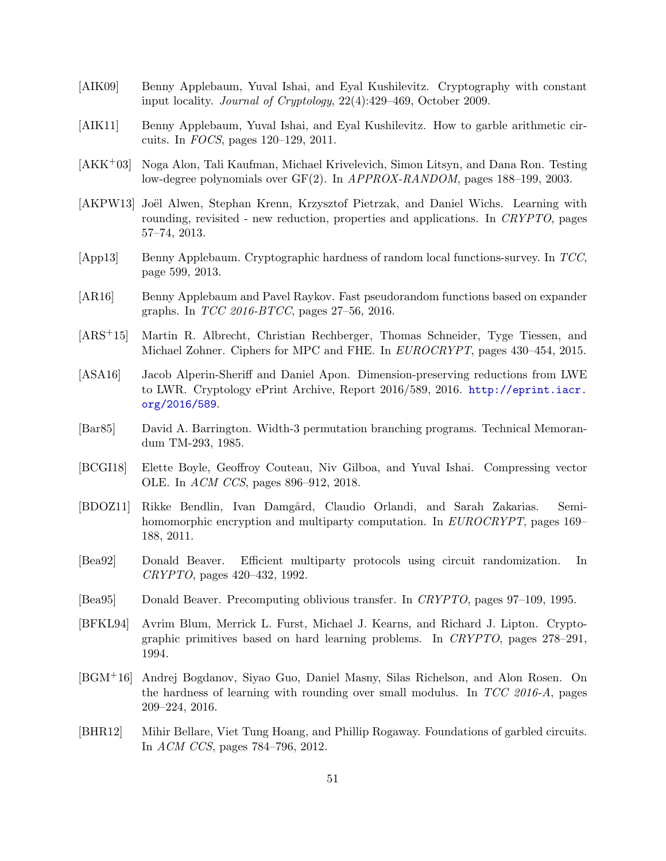- <span id="page-50-14"></span>[AIK09] Benny Applebaum, Yuval Ishai, and Eyal Kushilevitz. Cryptography with constant input locality. Journal of Cryptology, 22(4):429–469, October 2009.
- <span id="page-50-7"></span>[AIK11] Benny Applebaum, Yuval Ishai, and Eyal Kushilevitz. How to garble arithmetic circuits. In FOCS, pages 120–129, 2011.
- <span id="page-50-4"></span>[AKK+03] Noga Alon, Tali Kaufman, Michael Krivelevich, Simon Litsyn, and Dana Ron. Testing low-degree polynomials over GF(2). In APPROX-RANDOM, pages 188–199, 2003.
- <span id="page-50-11"></span>[AKPW13] Joël Alwen, Stephan Krenn, Krzysztof Pietrzak, and Daniel Wichs. Learning with rounding, revisited - new reduction, properties and applications. In CRYPTO, pages 57–74, 2013.
- <span id="page-50-0"></span>[App13] Benny Applebaum. Cryptographic hardness of random local functions-survey. In TCC, page 599, 2013.
- <span id="page-50-2"></span>[AR16] Benny Applebaum and Pavel Raykov. Fast pseudorandom functions based on expander graphs. In TCC 2016-BTCC, pages 27–56, 2016.
- <span id="page-50-1"></span>[ARS+15] Martin R. Albrecht, Christian Rechberger, Thomas Schneider, Tyge Tiessen, and Michael Zohner. Ciphers for MPC and FHE. In EUROCRYPT, pages 430–454, 2015.
- <span id="page-50-13"></span>[ASA16] Jacob Alperin-Sheriff and Daniel Apon. Dimension-preserving reductions from LWE to LWR. Cryptology ePrint Archive, Report 2016/589, 2016. [http://eprint.iacr.](http://eprint.iacr.org/2016/589) [org/2016/589](http://eprint.iacr.org/2016/589).
- <span id="page-50-3"></span>[Bar85] David A. Barrington. Width-3 permutation branching programs. Technical Memorandum TM-293, 1985.
- <span id="page-50-10"></span>[BCGI18] Elette Boyle, Geoffroy Couteau, Niv Gilboa, and Yuval Ishai. Compressing vector OLE. In ACM CCS, pages 896–912, 2018.
- <span id="page-50-6"></span>[BDOZ11] Rikke Bendlin, Ivan Damg˚ard, Claudio Orlandi, and Sarah Zakarias. Semihomomorphic encryption and multiparty computation. In EUROCRYPT, pages 169– 188, 2011.
- <span id="page-50-5"></span>[Bea92] Donald Beaver. Efficient multiparty protocols using circuit randomization. In CRYPTO, pages 420–432, 1992.
- <span id="page-50-9"></span>[Bea95] Donald Beaver. Precomputing oblivious transfer. In CRYPTO, pages 97–109, 1995.
- <span id="page-50-8"></span>[BFKL94] Avrim Blum, Merrick L. Furst, Michael J. Kearns, and Richard J. Lipton. Cryptographic primitives based on hard learning problems. In CRYPTO, pages 278–291, 1994.
- <span id="page-50-12"></span>[BGM+16] Andrej Bogdanov, Siyao Guo, Daniel Masny, Silas Richelson, and Alon Rosen. On the hardness of learning with rounding over small modulus. In  $TCC$  2016-A, pages 209–224, 2016.
- <span id="page-50-15"></span>[BHR12] Mihir Bellare, Viet Tung Hoang, and Phillip Rogaway. Foundations of garbled circuits. In ACM CCS, pages 784–796, 2012.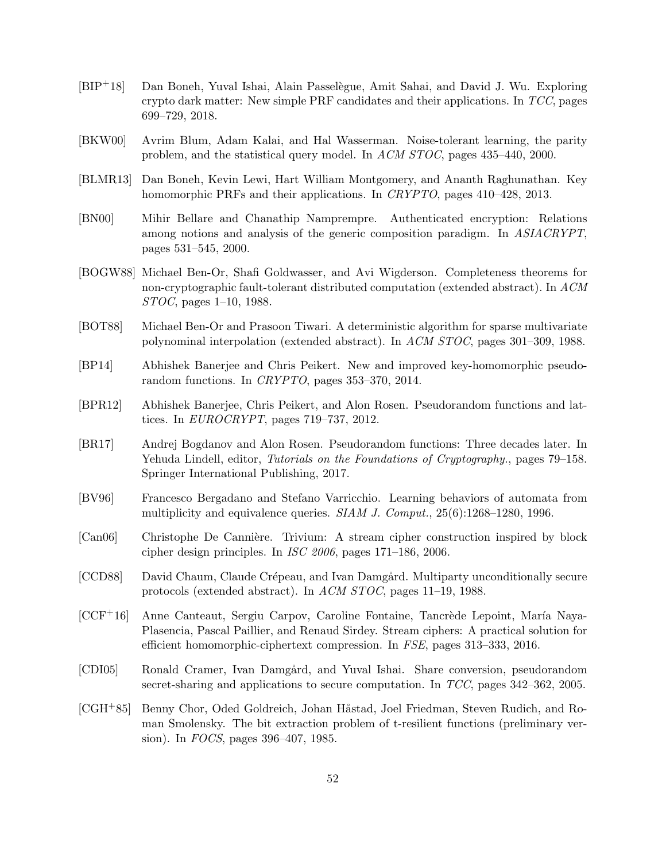- <span id="page-51-0"></span>[BIP+18] Dan Boneh, Yuval Ishai, Alain Passelègue, Amit Sahai, and David J. Wu. Exploring crypto dark matter: New simple PRF candidates and their applications. In TCC, pages 699–729, 2018.
- <span id="page-51-10"></span>[BKW00] Avrim Blum, Adam Kalai, and Hal Wasserman. Noise-tolerant learning, the parity problem, and the statistical query model. In ACM STOC, pages 435–440, 2000.
- <span id="page-51-5"></span>[BLMR13] Dan Boneh, Kevin Lewi, Hart William Montgomery, and Ananth Raghunathan. Key homomorphic PRFs and their applications. In CRYPTO, pages 410–428, 2013.
- <span id="page-51-14"></span>[BN00] Mihir Bellare and Chanathip Namprempre. Authenticated encryption: Relations among notions and analysis of the generic composition paradigm. In ASIACRYPT, pages 531–545, 2000.
- <span id="page-51-12"></span>[BOGW88] Michael Ben-Or, Shafi Goldwasser, and Avi Wigderson. Completeness theorems for non-cryptographic fault-tolerant distributed computation (extended abstract). In ACM STOC, pages 1–10, 1988.
- <span id="page-51-2"></span>[BOT88] Michael Ben-Or and Prasoon Tiwari. A deterministic algorithm for sparse multivariate polynominal interpolation (extended abstract). In ACM STOC, pages 301–309, 1988.
- <span id="page-51-6"></span>[BP14] Abhishek Banerjee and Chris Peikert. New and improved key-homomorphic pseudorandom functions. In CRYPTO, pages 353–370, 2014.
- <span id="page-51-4"></span>[BPR12] Abhishek Banerjee, Chris Peikert, and Alon Rosen. Pseudorandom functions and lattices. In EUROCRYPT, pages 719–737, 2012.
- <span id="page-51-1"></span>[BR17] Andrej Bogdanov and Alon Rosen. Pseudorandom functions: Three decades later. In Yehuda Lindell, editor, Tutorials on the Foundations of Cryptography., pages 79–158. Springer International Publishing, 2017.
- <span id="page-51-3"></span>[BV96] Francesco Bergadano and Stefano Varricchio. Learning behaviors of automata from multiplicity and equivalence queries.  $SIAM J. Comput.$ ,  $25(6):1268-1280, 1996.$
- <span id="page-51-7"></span>[Can06] Christophe De Cannière. Trivium: A stream cipher construction inspired by block cipher design principles. In ISC 2006, pages 171–186, 2006.
- <span id="page-51-13"></span>[CCD88] David Chaum, Claude Crépeau, and Ivan Damgård. Multiparty unconditionally secure protocols (extended abstract). In ACM STOC, pages 11–19, 1988.
- <span id="page-51-8"></span> $[CCF<sup>+</sup>16]$  Anne Canteaut, Sergiu Carpov, Caroline Fontaine, Tancrède Lepoint, María Naya-Plasencia, Pascal Paillier, and Renaud Sirdey. Stream ciphers: A practical solution for efficient homomorphic-ciphertext compression. In FSE, pages 313–333, 2016.
- <span id="page-51-11"></span>[CDI05] Ronald Cramer, Ivan Damgård, and Yuval Ishai. Share conversion, pseudorandom secret-sharing and applications to secure computation. In TCC, pages 342–362, 2005.
- <span id="page-51-9"></span>[CGH<sup>+85]</sup> Benny Chor, Oded Goldreich, Johan Håstad, Joel Friedman, Steven Rudich, and Roman Smolensky. The bit extraction problem of t-resilient functions (preliminary version). In FOCS, pages 396–407, 1985.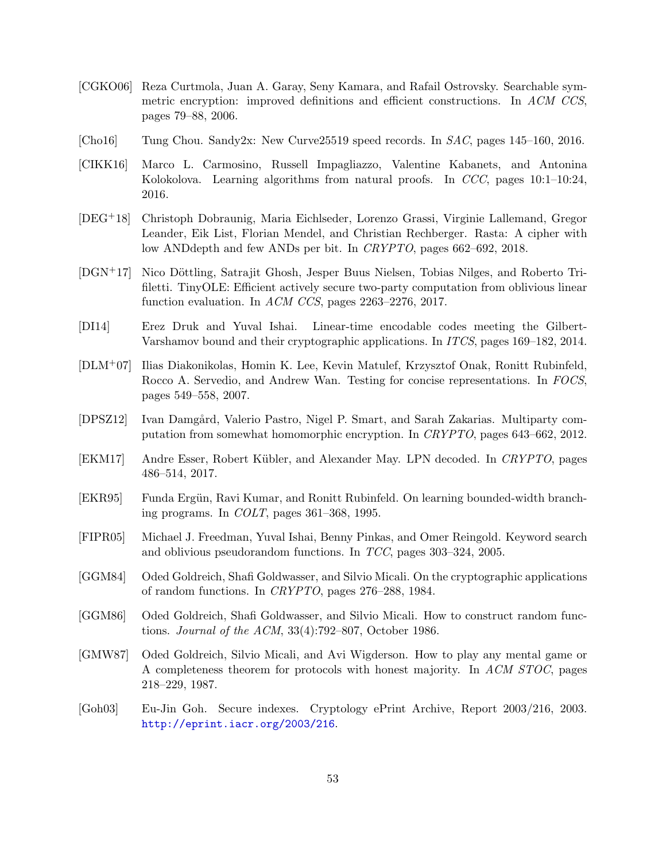- <span id="page-52-13"></span>[CGKO06] Reza Curtmola, Juan A. Garay, Seny Kamara, and Rafail Ostrovsky. Searchable symmetric encryption: improved definitions and efficient constructions. In ACM CCS, pages 79–88, 2006.
- <span id="page-52-11"></span>[Cho16] Tung Chou. Sandy2x: New Curve25519 speed records. In SAC, pages 145–160, 2016.
- <span id="page-52-2"></span>[CIKK16] Marco L. Carmosino, Russell Impagliazzo, Valentine Kabanets, and Antonina Kolokolova. Learning algorithms from natural proofs. In CCC, pages 10:1–10:24, 2016.
- <span id="page-52-1"></span>[DEG+18] Christoph Dobraunig, Maria Eichlseder, Lorenzo Grassi, Virginie Lallemand, Gregor Leander, Eik List, Florian Mendel, and Christian Rechberger. Rasta: A cipher with low ANDdepth and few ANDs per bit. In CRYPTO, pages 662–692, 2018.
- <span id="page-52-10"></span>[DGN<sup>+</sup>17] Nico Döttling, Satrajit Ghosh, Jesper Buus Nielsen, Tobias Nilges, and Roberto Trifiletti. TinyOLE: Efficient actively secure two-party computation from oblivious linear function evaluation. In *ACM CCS*, pages 2263–2276, 2017.
- <span id="page-52-14"></span>[DI14] Erez Druk and Yuval Ishai. Linear-time encodable codes meeting the Gilbert-Varshamov bound and their cryptographic applications. In ITCS, pages 169–182, 2014.
- <span id="page-52-4"></span>[DLM+07] Ilias Diakonikolas, Homin K. Lee, Kevin Matulef, Krzysztof Onak, Ronitt Rubinfeld, Rocco A. Servedio, and Andrew Wan. Testing for concise representations. In FOCS, pages 549–558, 2007.
- <span id="page-52-5"></span>[DPSZ12] Ivan Damgård, Valerio Pastro, Nigel P. Smart, and Sarah Zakarias. Multiparty computation from somewhat homomorphic encryption. In CRYPTO, pages 643–662, 2012.
- <span id="page-52-8"></span>[EKM17] Andre Esser, Robert Kübler, and Alexander May. LPN decoded. In CRYPTO, pages 486–514, 2017.
- <span id="page-52-3"></span>[EKR95] Funda Ergün, Ravi Kumar, and Ronitt Rubinfeld. On learning bounded-width branching programs. In COLT, pages 361–368, 1995.
- <span id="page-52-6"></span>[FIPR05] Michael J. Freedman, Yuval Ishai, Benny Pinkas, and Omer Reingold. Keyword search and oblivious pseudorandom functions. In TCC, pages 303–324, 2005.
- <span id="page-52-7"></span>[GGM84] Oded Goldreich, Shafi Goldwasser, and Silvio Micali. On the cryptographic applications of random functions. In CRYPTO, pages 276–288, 1984.
- <span id="page-52-0"></span>[GGM86] Oded Goldreich, Shafi Goldwasser, and Silvio Micali. How to construct random functions. Journal of the ACM, 33(4):792–807, October 1986.
- <span id="page-52-9"></span>[GMW87] Oded Goldreich, Silvio Micali, and Avi Wigderson. How to play any mental game or A completeness theorem for protocols with honest majority. In ACM STOC, pages 218–229, 1987.
- <span id="page-52-12"></span>[Goh03] Eu-Jin Goh. Secure indexes. Cryptology ePrint Archive, Report 2003/216, 2003. <http://eprint.iacr.org/2003/216>.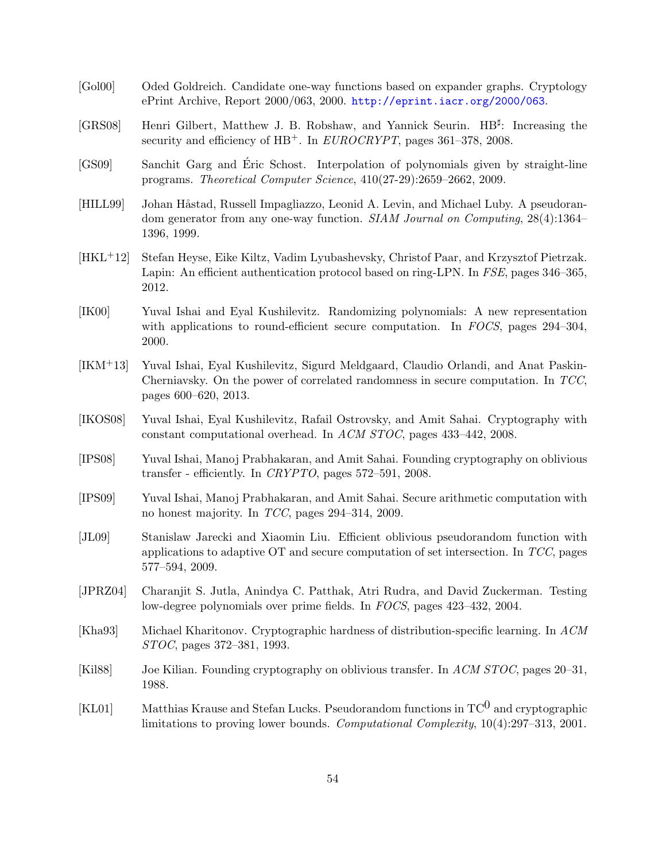- <span id="page-53-0"></span>[Gol00] Oded Goldreich. Candidate one-way functions based on expander graphs. Cryptology ePrint Archive, Report 2000/063, 2000. <http://eprint.iacr.org/2000/063>.
- <span id="page-53-7"></span>[GRS08] Henri Gilbert, Matthew J. B. Robshaw, and Yannick Seurin. HB<sup>‡</sup>: Increasing the security and efficiency of HB<sup>+</sup>. In EUROCRYPT, pages 361-378, 2008.
- <span id="page-53-2"></span>[GS09] Sanchit Garg and Eric Schost. Interpolation of polynomials given by straight-line ´ programs. Theoretical Computer Science, 410(27-29):2659–2662, 2009.
- <span id="page-53-6"></span>[HILL99] Johan Håstad, Russell Impagliazzo, Leonid A. Levin, and Michael Luby. A pseudorandom generator from any one-way function. SIAM Journal on Computing, 28(4):1364– 1396, 1999.
- <span id="page-53-13"></span>[HKL+12] Stefan Heyse, Eike Kiltz, Vadim Lyubashevsky, Christof Paar, and Krzysztof Pietrzak. Lapin: An efficient authentication protocol based on ring-LPN. In FSE, pages 346–365, 2012.
- <span id="page-53-14"></span>[IK00] Yuval Ishai and Eyal Kushilevitz. Randomizing polynomials: A new representation with applications to round-efficient secure computation. In FOCS, pages 294–304, 2000.
- <span id="page-53-5"></span>[IKM+13] Yuval Ishai, Eyal Kushilevitz, Sigurd Meldgaard, Claudio Orlandi, and Anat Paskin-Cherniavsky. On the power of correlated randomness in secure computation. In TCC, pages 600–620, 2013.
- <span id="page-53-4"></span>[IKOS08] Yuval Ishai, Eyal Kushilevitz, Rafail Ostrovsky, and Amit Sahai. Cryptography with constant computational overhead. In ACM STOC, pages 433–442, 2008.
- <span id="page-53-11"></span>[IPS08] Yuval Ishai, Manoj Prabhakaran, and Amit Sahai. Founding cryptography on oblivious transfer - efficiently. In CRYPTO, pages 572–591, 2008.
- <span id="page-53-9"></span>[IPS09] Yuval Ishai, Manoj Prabhakaran, and Amit Sahai. Secure arithmetic computation with no honest majority. In TCC, pages 294–314, 2009.
- <span id="page-53-12"></span>[JL09] Stanislaw Jarecki and Xiaomin Liu. Efficient oblivious pseudorandom function with applications to adaptive  $\overline{OT}$  and secure computation of set intersection. In  $TCC$ , pages 577–594, 2009.
- <span id="page-53-3"></span>[JPRZ04] Charanjit S. Jutla, Anindya C. Patthak, Atri Rudra, and David Zuckerman. Testing low-degree polynomials over prime fields. In FOCS, pages 423–432, 2004.
- <span id="page-53-1"></span>[Kha93] Michael Kharitonov. Cryptographic hardness of distribution-specific learning. In ACM STOC, pages 372–381, 1993.
- <span id="page-53-10"></span>[Kil88] Joe Kilian. Founding cryptography on oblivious transfer. In ACM STOC, pages 20–31, 1988.
- <span id="page-53-8"></span>[KL01] Matthias Krause and Stefan Lucks. Pseudorandom functions in  $TC^0$  and cryptographic limitations to proving lower bounds. Computational Complexity, 10(4):297–313, 2001.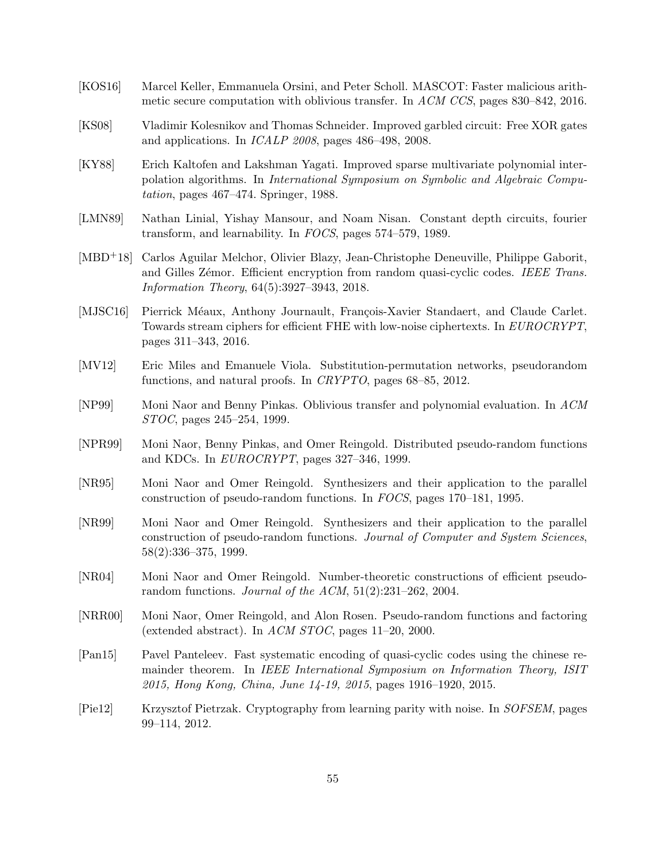- <span id="page-54-11"></span>[KOS16] Marcel Keller, Emmanuela Orsini, and Peter Scholl. MASCOT: Faster malicious arithmetic secure computation with oblivious transfer. In ACM CCS, pages 830–842, 2016.
- <span id="page-54-3"></span>[KS08] Vladimir Kolesnikov and Thomas Schneider. Improved garbled circuit: Free XOR gates and applications. In ICALP 2008, pages 486–498, 2008.
- <span id="page-54-2"></span>[KY88] Erich Kaltofen and Lakshman Yagati. Improved sparse multivariate polynomial interpolation algorithms. In International Symposium on Symbolic and Algebraic Computation, pages 467–474. Springer, 1988.
- <span id="page-54-1"></span>[LMN89] Nathan Linial, Yishay Mansour, and Noam Nisan. Constant depth circuits, fourier transform, and learnability. In FOCS, pages 574–579, 1989.
- <span id="page-54-10"></span>[MBD+18] Carlos Aguilar Melchor, Olivier Blazy, Jean-Christophe Deneuville, Philippe Gaborit, and Gilles Zémor. Efficient encryption from random quasi-cyclic codes. IEEE Trans. Information Theory, 64(5):3927–3943, 2018.
- <span id="page-54-7"></span>[MJSC16] Pierrick Méaux, Anthony Journault, François-Xavier Standaert, and Claude Carlet. Towards stream ciphers for efficient FHE with low-noise ciphertexts. In EUROCRYPT, pages 311–343, 2016.
- <span id="page-54-0"></span>[MV12] Eric Miles and Emanuele Viola. Substitution-permutation networks, pseudorandom functions, and natural proofs. In *CRYPTO*, pages 68–85, 2012.
- <span id="page-54-12"></span>[NP99] Moni Naor and Benny Pinkas. Oblivious transfer and polynomial evaluation. In ACM STOC, pages 245–254, 1999.
- <span id="page-54-13"></span>[NPR99] Moni Naor, Benny Pinkas, and Omer Reingold. Distributed pseudo-random functions and KDCs. In EUROCRYPT, pages 327–346, 1999.
- <span id="page-54-14"></span>[NR95] Moni Naor and Omer Reingold. Synthesizers and their application to the parallel construction of pseudo-random functions. In FOCS, pages 170–181, 1995.
- <span id="page-54-4"></span>[NR99] Moni Naor and Omer Reingold. Synthesizers and their application to the parallel construction of pseudo-random functions. Journal of Computer and System Sciences, 58(2):336–375, 1999.
- <span id="page-54-5"></span>[NR04] Moni Naor and Omer Reingold. Number-theoretic constructions of efficient pseudorandom functions. Journal of the  $ACM$ ,  $51(2):231-262$ ,  $2004$ .
- <span id="page-54-6"></span>[NRR00] Moni Naor, Omer Reingold, and Alon Rosen. Pseudo-random functions and factoring (extended abstract). In ACM STOC, pages 11–20, 2000.
- <span id="page-54-9"></span>[Pan15] Pavel Panteleev. Fast systematic encoding of quasi-cyclic codes using the chinese remainder theorem. In IEEE International Symposium on Information Theory, ISIT 2015, Hong Kong, China, June 14-19, 2015, pages 1916–1920, 2015.
- <span id="page-54-8"></span>[Pie12] Krzysztof Pietrzak. Cryptography from learning parity with noise. In SOFSEM, pages 99–114, 2012.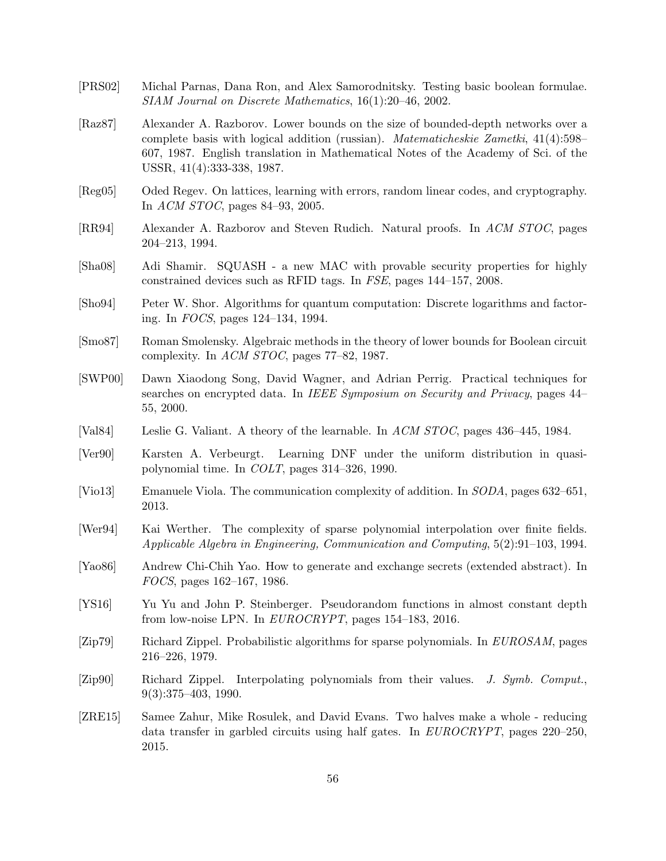- <span id="page-55-9"></span>[PRS02] Michal Parnas, Dana Ron, and Alex Samorodnitsky. Testing basic boolean formulae. SIAM Journal on Discrete Mathematics, 16(1):20–46, 2002.
- <span id="page-55-1"></span>[Raz87] Alexander A. Razborov. Lower bounds on the size of bounded-depth networks over a complete basis with logical addition (russian). Matematicheskie Zametki, 41(4):598– 607, 1987. English translation in Mathematical Notes of the Academy of Sci. of the USSR, 41(4):333-338, 1987.
- <span id="page-55-14"></span>[Reg05] Oded Regev. On lattices, learning with errors, random linear codes, and cryptography. In ACM STOC, pages 84–93, 2005.
- <span id="page-55-10"></span>[RR94] Alexander A. Razborov and Steven Rudich. Natural proofs. In ACM STOC, pages 204–213, 1994.
- <span id="page-55-13"></span>[Sha08] Adi Shamir. SQUASH - a new MAC with provable security properties for highly constrained devices such as RFID tags. In FSE, pages 144–157, 2008.
- <span id="page-55-15"></span>[Sho94] Peter W. Shor. Algorithms for quantum computation: Discrete logarithms and factoring. In FOCS, pages 124–134, 1994.
- <span id="page-55-2"></span>[Smo87] Roman Smolensky. Algebraic methods in the theory of lower bounds for Boolean circuit complexity. In ACM STOC, pages 77–82, 1987.
- <span id="page-55-16"></span>[SWP00] Dawn Xiaodong Song, David Wagner, and Adrian Perrig. Practical techniques for searches on encrypted data. In *IEEE Symposium on Security and Privacy*, pages  $44-$ 55, 2000.
- <span id="page-55-4"></span>[Val84] Leslie G. Valiant. A theory of the learnable. In ACM STOC, pages 436–445, 1984.
- <span id="page-55-5"></span>[Ver90] Karsten A. Verbeurgt. Learning DNF under the uniform distribution in quasipolynomial time. In COLT, pages 314–326, 1990.
- <span id="page-55-0"></span>[Vio13] Emanuele Viola. The communication complexity of addition. In *SODA*, pages 632–651, 2013.
- <span id="page-55-8"></span>[Wer94] Kai Werther. The complexity of sparse polynomial interpolation over finite fields. Applicable Algebra in Engineering, Communication and Computing, 5(2):91–103, 1994.
- <span id="page-55-3"></span>[Yao86] Andrew Chi-Chih Yao. How to generate and exchange secrets (extended abstract). In FOCS, pages 162–167, 1986.
- <span id="page-55-12"></span>[YS16] Yu Yu and John P. Steinberger. Pseudorandom functions in almost constant depth from low-noise LPN. In  $EUROCRYPT$ , pages 154–183, 2016.
- <span id="page-55-6"></span>[Zip79] Richard Zippel. Probabilistic algorithms for sparse polynomials. In EUROSAM, pages 216–226, 1979.
- <span id="page-55-7"></span>[Zip90] Richard Zippel. Interpolating polynomials from their values. J. Symb. Comput., 9(3):375–403, 1990.
- <span id="page-55-11"></span>[ZRE15] Samee Zahur, Mike Rosulek, and David Evans. Two halves make a whole - reducing data transfer in garbled circuits using half gates. In EUROCRYPT, pages 220–250, 2015.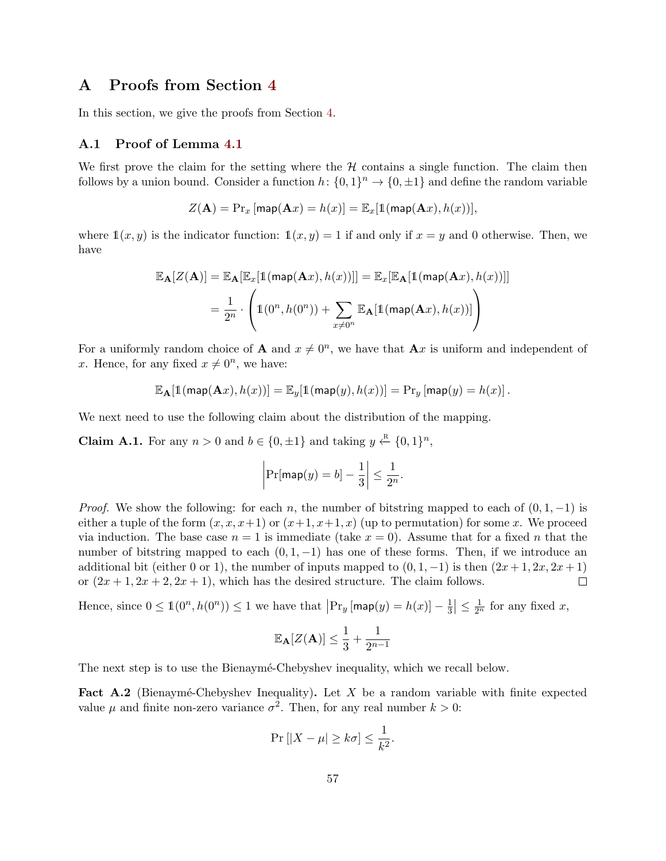# A Proofs from Section [4](#page-18-0)

In this section, we give the proofs from Section [4.](#page-18-0)

#### <span id="page-56-0"></span>A.1 Proof of Lemma [4.1](#page-18-1)

We first prove the claim for the setting where the  $H$  contains a single function. The claim then follows by a union bound. Consider a function  $h: \{0,1\}^n \to \{0,\pm 1\}$  and define the random variable

$$
Z(\mathbf{A}) = \mathrm{Pr}_x \left[ \mathsf{map}(\mathbf{A} x) = h(x) \right] = \mathbb{E}_x [1(\mathsf{map}(\mathbf{A} x), h(x))],
$$

where  $\mathbb{1}(x, y)$  is the indicator function:  $\mathbb{1}(x, y) = 1$  if and only if  $x = y$  and 0 otherwise. Then, we have

$$
\mathbb{E}_{\mathbf{A}}[Z(\mathbf{A})] = \mathbb{E}_{\mathbf{A}}[\mathbb{E}_x[\mathbb{1}(\mathsf{map}(\mathbf{A}x), h(x))]] = \mathbb{E}_x[\mathbb{E}_{\mathbf{A}}[\mathbb{1}(\mathsf{map}(\mathbf{A}x), h(x))]]
$$

$$
= \frac{1}{2^n} \cdot \left( \mathbb{1}(0^n, h(0^n)) + \sum_{x \neq 0^n} \mathbb{E}_{\mathbf{A}}[\mathbb{1}(\mathsf{map}(\mathbf{A}x), h(x))] \right)
$$

For a uniformly random choice of **A** and  $x \neq 0^n$ , we have that **A**x is uniform and independent of x. Hence, for any fixed  $x \neq 0^n$ , we have:

$$
\mathbb{E}_{\mathbf{A}}[\mathbb{1}(\mathrm{map}(\mathbf{A} x),h(x))]=\mathbb{E}_y[\mathbb{1}(\mathrm{map}(y),h(x))]=\mathrm{Pr}_y\left[\mathrm{map}(y)=h(x)\right].
$$

We next need to use the following claim about the distribution of the mapping.

<span id="page-56-1"></span>**Claim A.1.** For any  $n > 0$  and  $b \in \{0, \pm 1\}$  and taking  $y \stackrel{\text{R}}{\leftarrow} \{0, 1\}^n$ ,

$$
\left|\Pr[\mathsf{map}(y) = b] - \frac{1}{3}\right| \le \frac{1}{2^n}.
$$

*Proof.* We show the following: for each n, the number of bitstring mapped to each of  $(0, 1, -1)$  is either a tuple of the form  $(x, x, x+1)$  or  $(x+1, x+1, x)$  (up to permutation) for some x. We proceed via induction. The base case  $n = 1$  is immediate (take  $x = 0$ ). Assume that for a fixed n that the number of bitstring mapped to each  $(0, 1, -1)$  has one of these forms. Then, if we introduce an additional bit (either 0 or 1), the number of inputs mapped to  $(0, 1, -1)$  is then  $(2x + 1, 2x, 2x + 1)$ or  $(2x+1, 2x+2, 2x+1)$ , which has the desired structure. The claim follows.  $\Box$ 

Hence, since  $0 \leq \mathbb{1}(0^n, h(0^n)) \leq 1$  we have that  $\left| \Pr_y \left[ \mathsf{map}(y) = h(x) \right] - \frac{1}{3}$  $\frac{1}{3} \leq \frac{1}{2^n}$  for any fixed x,

$$
\mathbb{E}_{\mathbf{A}}[Z(\mathbf{A})] \le \frac{1}{3} + \frac{1}{2^{n-1}}
$$

The next step is to use the Bienaymé-Chebyshev inequality, which we recall below.

Fact A.2 (Bienaymé-Chebyshev Inequality). Let X be a random variable with finite expected value  $\mu$  and finite non-zero variance  $\sigma^2$ . Then, for any real number  $k > 0$ :

$$
\Pr\left[|X-\mu|\geq k\sigma\right]\leq \frac{1}{k^2}.
$$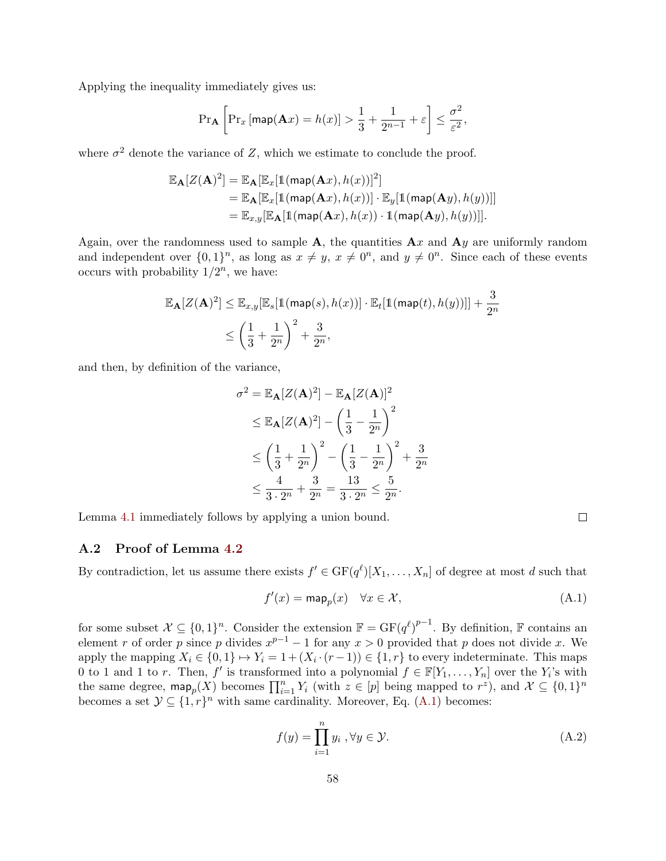Applying the inequality immediately gives us:

$$
\Pr_{\mathbf{A}}\left[\Pr_{x}\left[\mathsf{map}(\mathbf{A}x) = h(x)\right] > \frac{1}{3} + \frac{1}{2^{n-1}} + \varepsilon\right] \leq \frac{\sigma^2}{\varepsilon^2},
$$

where  $\sigma^2$  denote the variance of Z, which we estimate to conclude the proof.

$$
\mathbb{E}_{\mathbf{A}}[Z(\mathbf{A})^2] = \mathbb{E}_{\mathbf{A}}[\mathbb{E}_x[\mathbb{1}(\mathsf{map}(\mathbf{A}x), h(x))]^2]
$$
  
=  $\mathbb{E}_{\mathbf{A}}[\mathbb{E}_x[\mathbb{1}(\mathsf{map}(\mathbf{A}x), h(x))] \cdot \mathbb{E}_y[\mathbb{1}(\mathsf{map}(\mathbf{A}y), h(y))]]$   
=  $\mathbb{E}_{x,y}[\mathbb{E}_{\mathbf{A}}[\mathbb{1}(\mathsf{map}(\mathbf{A}x), h(x)) \cdot \mathbb{1}(\mathsf{map}(\mathbf{A}y), h(y))]].$ 

Again, over the randomness used to sample  $A$ , the quantities  $Ax$  and  $Ay$  are uniformly random and independent over  $\{0,1\}^n$ , as long as  $x \neq y$ ,  $x \neq 0^n$ , and  $y \neq 0^n$ . Since each of these events occurs with probability  $1/2^n$ , we have:

$$
\mathbb{E}_{\mathbf{A}}[Z(\mathbf{A})^2] \leq \mathbb{E}_{x,y}[\mathbb{E}_s[\mathbb{1}(\mathsf{map}(s), h(x))] \cdot \mathbb{E}_t[\mathbb{1}(\mathsf{map}(t), h(y))]] + \frac{3}{2^n}
$$
  

$$
\leq \left(\frac{1}{3} + \frac{1}{2^n}\right)^2 + \frac{3}{2^n},
$$

and then, by definition of the variance,

$$
\sigma^{2} = \mathbb{E}_{\mathbf{A}}[Z(\mathbf{A})^{2}] - \mathbb{E}_{\mathbf{A}}[Z(\mathbf{A})]^{2}
$$
  
\n
$$
\leq \mathbb{E}_{\mathbf{A}}[Z(\mathbf{A})^{2}] - \left(\frac{1}{3} - \frac{1}{2^{n}}\right)^{2}
$$
  
\n
$$
\leq \left(\frac{1}{3} + \frac{1}{2^{n}}\right)^{2} - \left(\frac{1}{3} - \frac{1}{2^{n}}\right)^{2} + \frac{3}{2^{n}}
$$
  
\n
$$
\leq \frac{4}{3 \cdot 2^{n}} + \frac{3}{2^{n}} = \frac{13}{3 \cdot 2^{n}} \leq \frac{5}{2^{n}}.
$$

Lemma [4.1](#page-18-1) immediately follows by applying a union bound.

#### <span id="page-57-0"></span>A.2 Proof of Lemma [4.2](#page-19-1)

By contradiction, let us assume there exists  $f' \in GF(q^{\ell})[X_1, \ldots, X_n]$  of degree at most d such that

<span id="page-57-1"></span>
$$
f'(x) = \mathsf{map}_p(x) \quad \forall x \in \mathcal{X},\tag{A.1}
$$

 $\Box$ 

for some subset  $\mathcal{X} \subseteq \{0,1\}^n$ . Consider the extension  $\mathbb{F} = \mathrm{GF}(q^{\ell})^{p-1}$ . By definition,  $\mathbb{F}$  contains an element r of order p since p divides  $x^{p-1} - 1$  for any  $x > 0$  provided that p does not divide x. We apply the mapping  $X_i \in \{0,1\} \mapsto Y_i = 1 + (X_i \cdot (r-1)) \in \{1,r\}$  to every indeterminate. This maps 0 to 1 and 1 to r. Then, f' is transformed into a polynomial  $f \in \mathbb{F}[Y_1,\ldots,Y_n]$  over the  $Y_i$ 's with the same degree,  $\text{map}_p(X)$  becomes  $\prod_{i=1}^n Y_i$  (with  $z \in [p]$  being mapped to  $r^z$ ), and  $\mathcal{X} \subseteq \{0,1\}^n$ becomes a set  $\mathcal{Y} \subseteq \{1, r\}^n$  with same cardinality. Moreover, Eq. [\(A.1\)](#page-57-1) becomes:

<span id="page-57-2"></span>
$$
f(y) = \prod_{i=1}^{n} y_i, \forall y \in \mathcal{Y}.
$$
 (A.2)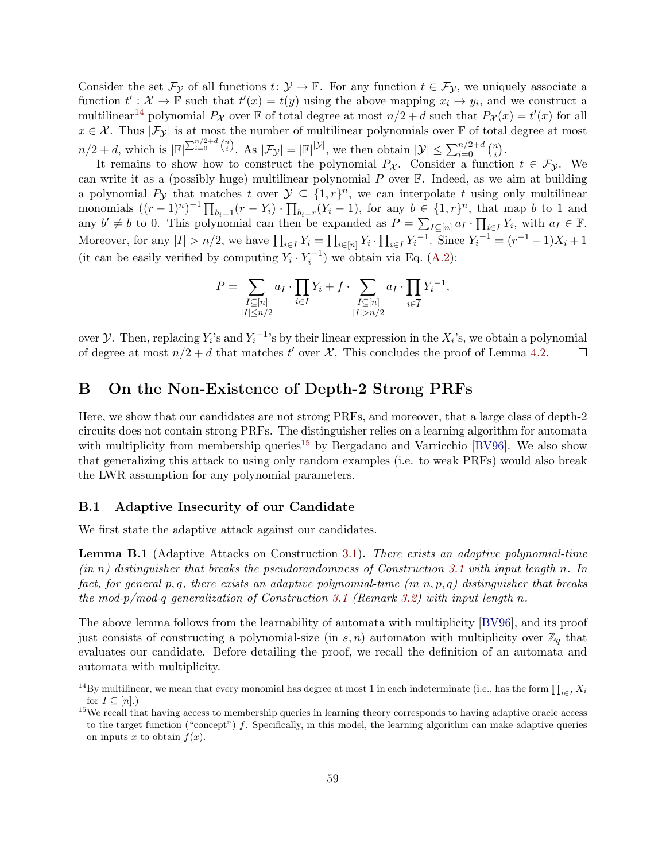Consider the set  $\mathcal{F}_{\mathcal{Y}}$  of all functions  $t: \mathcal{Y} \to \mathbb{F}$ . For any function  $t \in \mathcal{F}_{\mathcal{Y}}$ , we uniquely associate a function  $t': \mathcal{X} \to \mathbb{F}$  such that  $t'(x) = t(y)$  using the above mapping  $x_i \mapsto y_i$ , and we construct a multilinear<sup>[14](#page-58-2)</sup> polynomial  $P_{\mathcal{X}}$  over  $\mathbb F$  of total degree at most  $n/2 + d$  such that  $P_{\mathcal{X}}(x) = t'(x)$  for all  $x \in \mathcal{X}$ . Thus  $|\mathcal{F}_y|$  is at most the number of multilinear polynomials over F of total degree at most  $n/2 + d$ , which is  $|\mathbb{F}^{\sum_{i=0}^{n/2+d} {n \choose i}}$ . As  $|\mathcal{F}_\mathcal{Y}| = |\mathbb{F}^{|\mathcal{Y}|}$ , we then obtain  $|\mathcal{Y}| \leq \sum_{i=0}^{n/2+d} {n \choose i}$  $\binom{n}{i}$  .

It remains to show how to construct the polynomial  $P_{\mathcal{X}}$ . Consider a function  $t \in \mathcal{F}_{\mathcal{Y}}$ . We can write it as a (possibly huge) multilinear polynomial  $P$  over  $\mathbb F$ . Indeed, as we aim at building a polynomial  $P_y$  that matches t over  $y \subseteq \{1,r\}^n$ , we can interpolate t using only multilinear monomials  $((r-1)^n)^{-1} \prod_{b_i=1} (r - Y_i) \cdot \prod_{b_i=r} (Y_i - 1)$ , for any  $b \in \{1, r\}^n$ , that map b to 1 and any  $b' \neq b$  to 0. This polynomial can then be expanded as  $P = \sum_{I \subseteq [n]} a_I \cdot \prod_{i \in I} Y_i$ , with  $a_I \in \mathbb{F}$ . Moreover, for any  $|I| > n/2$ , we have  $\prod_{i \in I} Y_i = \prod_{i \in [n]} Y_i \cdot \prod_{i \in \overline{I}} Y_i^{-1}$ . Since  $Y_i^{-1} = (r^{-1} - 1)X_i + 1$ (it can be easily verified by computing  $Y_i \cdot Y_i^{-1}$ ) we obtain via Eq. [\(A.2\)](#page-57-2):

$$
P = \sum_{\substack{I \subseteq [n] \\ |I| \leq n/2}} a_I \cdot \prod_{i \in I} Y_i + f \cdot \sum_{\substack{I \subseteq [n] \\ |I| > n/2}} a_I \cdot \prod_{i \in \overline{I}} Y_i^{-1},
$$

over  $\mathcal Y$ . Then, replacing  $Y_i$ 's and  $Y_i^{-1}$ 's by their linear expression in the  $X_i$ 's, we obtain a polynomial of degree at most  $n/2 + d$  that matches t' over X. This concludes the proof of Lemma [4.2.](#page-19-1)  $\Box$ 

### <span id="page-58-1"></span>B On the Non-Existence of Depth-2 Strong PRFs

Here, we show that our candidates are not strong PRFs, and moreover, that a large class of depth-2 circuits does not contain strong PRFs. The distinguisher relies on a learning algorithm for automata with multiplicity from membership queries<sup>[15](#page-58-3)</sup> by Bergadano and Varricchio [\[BV96\]](#page-51-3). We also show that generalizing this attack to using only random examples (i.e. to weak PRFs) would also break the LWR assumption for any polynomial parameters.

#### <span id="page-58-0"></span>B.1 Adaptive Insecurity of our Candidate

We first state the adaptive attack against our candidates.

<span id="page-58-4"></span>Lemma B.1 (Adaptive Attacks on Construction [3.1\)](#page-13-1). There exists an adaptive polynomial-time  $(in n)$  distinguisher that breaks the pseudorandomness of Construction [3.1](#page-13-1) with input length n. In fact, for general p, q, there exists an adaptive polynomial-time (in  $n, p, q$ ) distinguisher that breaks the mod-p/mod-q generalization of Construction [3.1](#page-13-1) (Remark [3.2\)](#page-14-2) with input length n.

The above lemma follows from the learnability of automata with multiplicity [\[BV96\]](#page-51-3), and its proof just consists of constructing a polynomial-size (in  $s, n$ ) automaton with multiplicity over  $\mathbb{Z}_q$  that evaluates our candidate. Before detailing the proof, we recall the definition of an automata and automata with multiplicity.

<span id="page-58-2"></span><sup>&</sup>lt;sup>14</sup>By multilinear, we mean that every monomial has degree at most 1 in each indeterminate (i.e., has the form  $\prod_{i\in I} X_i$ for  $I \subseteq [n]$ .)

<span id="page-58-3"></span><sup>&</sup>lt;sup>15</sup>We recall that having access to membership queries in learning theory corresponds to having adaptive oracle access to the target function ("concept") f. Specifically, in this model, the learning algorithm can make adaptive queries on inputs x to obtain  $f(x)$ .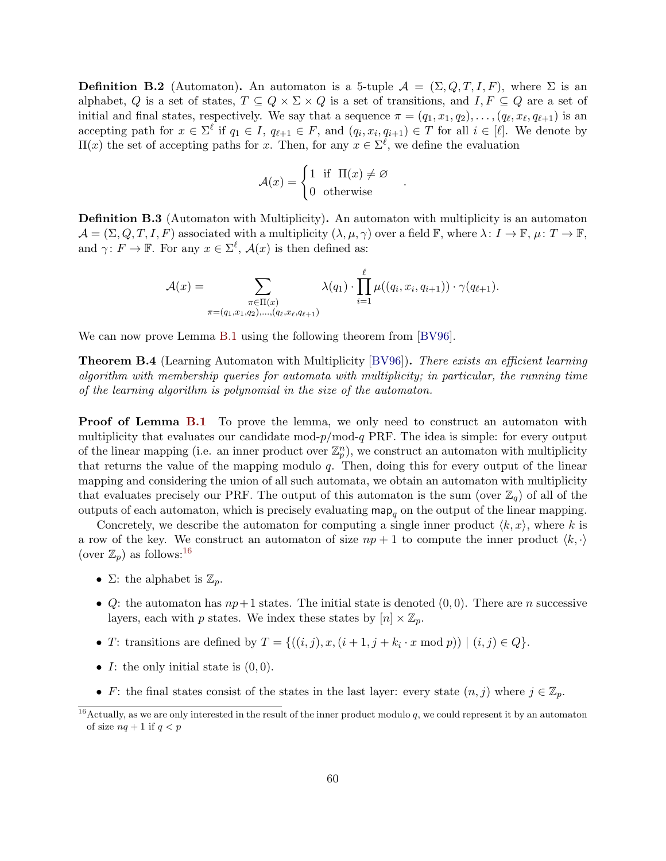**Definition B.2** (Automaton). An automaton is a 5-tuple  $\mathcal{A} = (\Sigma, Q, T, I, F)$ , where  $\Sigma$  is an alphabet, Q is a set of states,  $T \subseteq Q \times \Sigma \times Q$  is a set of transitions, and  $I, F \subseteq Q$  are a set of initial and final states, respectively. We say that a sequence  $\pi = (q_1, x_1, q_2), \ldots, (q_\ell, x_\ell, q_{\ell+1})$  is an accepting path for  $x \in \Sigma^{\ell}$  if  $q_1 \in I$ ,  $q_{\ell+1} \in F$ , and  $(q_i, x_i, q_{i+1}) \in T$  for all  $i \in [\ell]$ . We denote by  $\Pi(x)$  the set of accepting paths for x. Then, for any  $x \in \Sigma^{\ell}$ , we define the evaluation

$$
\mathcal{A}(x) = \begin{cases} 1 & \text{if } \Pi(x) \neq \varnothing \\ 0 & \text{otherwise} \end{cases}
$$

.

Definition B.3 (Automaton with Multiplicity). An automaton with multiplicity is an automaton  $\mathcal{A} = (\Sigma, Q, T, I, F)$  associated with a multiplicity  $(\lambda, \mu, \gamma)$  over a field  $\mathbb{F}$ , where  $\lambda: I \to \mathbb{F}$ ,  $\mu: T \to \mathbb{F}$ , and  $\gamma: F \to \mathbb{F}$ . For any  $x \in \Sigma^{\ell}$ ,  $\mathcal{A}(x)$  is then defined as:

$$
\mathcal{A}(x) = \sum_{\substack{\pi \in \Pi(x) \\ \pi = (q_1, x_1, q_2), \dots, (q_\ell, x_\ell, q_{\ell+1})}} \lambda(q_1) \cdot \prod_{i=1}^\ell \mu((q_i, x_i, q_{i+1})) \cdot \gamma(q_{\ell+1}).
$$

We can now prove Lemma [B.1](#page-58-4) using the following theorem from [\[BV96\]](#page-51-3).

<span id="page-59-1"></span>**Theorem B.4** (Learning Automaton with Multiplicity [\[BV96\]](#page-51-3)). There exists an efficient learning algorithm with membership queries for automata with multiplicity; in particular, the running time of the learning algorithm is polynomial in the size of the automaton.

**Proof of Lemma [B.1](#page-58-4)** To prove the lemma, we only need to construct an automaton with multiplicity that evaluates our candidate mod- $p$ /mod-q PRF. The idea is simple: for every output of the linear mapping (i.e. an inner product over  $\mathbb{Z}_p^n$ ), we construct an automaton with multiplicity that returns the value of the mapping modulo  $q$ . Then, doing this for every output of the linear mapping and considering the union of all such automata, we obtain an automaton with multiplicity that evaluates precisely our PRF. The output of this automaton is the sum (over  $\mathbb{Z}_q$ ) of all of the outputs of each automaton, which is precisely evaluating  $\mathsf{map}_q$  on the output of the linear mapping.

Concretely, we describe the automaton for computing a single inner product  $\langle k, x \rangle$ , where k is a row of the key. We construct an automaton of size  $np + 1$  to compute the inner product  $\langle k, \cdot \rangle$ (over  $\mathbb{Z}_p$ ) as follows:<sup>[16](#page-59-0)</sup>

- $\Sigma$ : the alphabet is  $\mathbb{Z}_p$ .
- Q: the automaton has  $np+1$  states. The initial state is denoted  $(0,0)$ . There are n successive layers, each with p states. We index these states by  $[n] \times \mathbb{Z}_p$ .
- T: transitions are defined by  $T = \{((i, j), x, (i + 1, j + k_i \cdot x \mod p)) \mid (i, j) \in Q\}.$
- I: the only initial state is  $(0,0)$ .
- F: the final states consist of the states in the last layer: every state  $(n, j)$  where  $j \in \mathbb{Z}_p$ .

<span id="page-59-0"></span><sup>&</sup>lt;sup>16</sup> Actually, as we are only interested in the result of the inner product modulo q, we could represent it by an automaton of size  $nq + 1$  if  $q < p$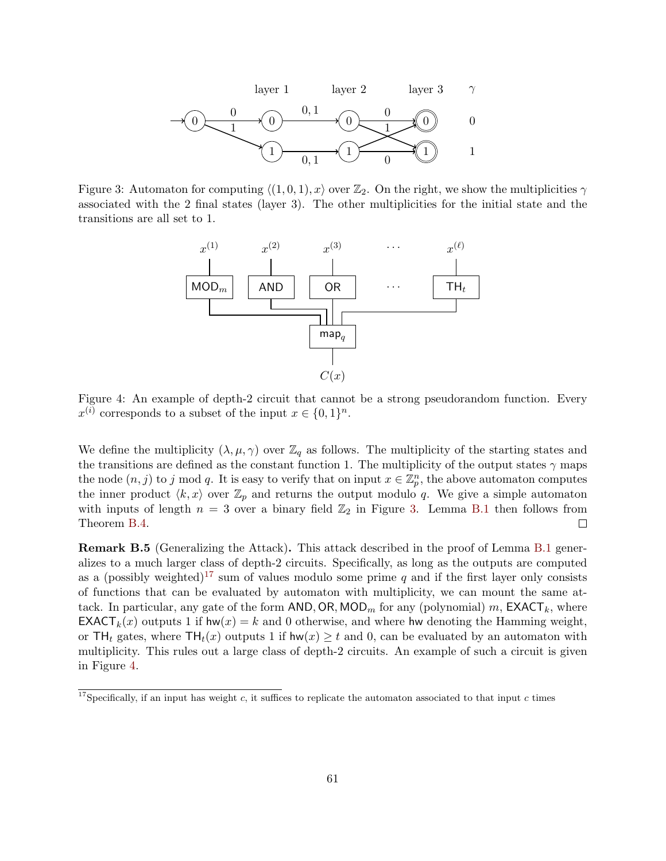

<span id="page-60-0"></span>Figure 3: Automaton for computing  $\langle (1, 0, 1), x \rangle$  over  $\mathbb{Z}_2$ . On the right, we show the multiplicities  $\gamma$ associated with the 2 final states (layer 3). The other multiplicities for the initial state and the transitions are all set to 1.



<span id="page-60-2"></span>Figure 4: An example of depth-2 circuit that cannot be a strong pseudorandom function. Every  $x^{(i)}$  corresponds to a subset of the input  $x \in \{0,1\}^n$ .

We define the multiplicity  $(\lambda, \mu, \gamma)$  over  $\mathbb{Z}_q$  as follows. The multiplicity of the starting states and the transitions are defined as the constant function 1. The multiplicity of the output states  $\gamma$  maps the node  $(n, j)$  to j mod q. It is easy to verify that on input  $x \in \mathbb{Z}_p^n$ , the above automaton computes the inner product  $\langle k, x \rangle$  over  $\mathbb{Z}_p$  and returns the output modulo q. We give a simple automaton with inputs of length  $n = 3$  over a binary field  $\mathbb{Z}_2$  in Figure [3.](#page-60-0) Lemma [B.1](#page-58-4) then follows from Theorem [B.4.](#page-59-1)  $\Box$ 

Remark B.5 (Generalizing the Attack). This attack described in the proof of Lemma [B.1](#page-58-4) generalizes to a much larger class of depth-2 circuits. Specifically, as long as the outputs are computed as a (possibly weighted)<sup>[17](#page-60-1)</sup> sum of values modulo some prime q and if the first layer only consists of functions that can be evaluated by automaton with multiplicity, we can mount the same attack. In particular, any gate of the form AND, OR,  $MOD_m$  for any (polynomial) m,  $EXACT_k$ , where **EXACT**<sub>k</sub>(x) outputs 1 if  $hw(x) = k$  and 0 otherwise, and where hw denoting the Hamming weight, or TH<sub>t</sub> gates, where TH<sub>t</sub>(x) outputs 1 if hw(x)  $\geq t$  and 0, can be evaluated by an automaton with multiplicity. This rules out a large class of depth-2 circuits. An example of such a circuit is given in Figure [4.](#page-60-2)

<span id="page-60-1"></span><sup>&</sup>lt;sup>17</sup>Specifically, if an input has weight c, it suffices to replicate the automaton associated to that input c times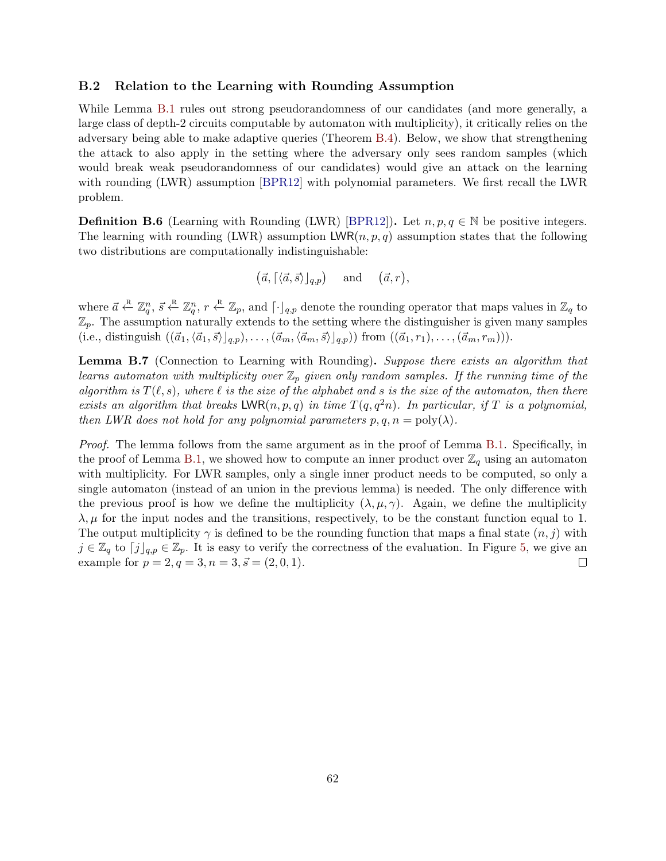#### B.2 Relation to the Learning with Rounding Assumption

While Lemma [B.1](#page-58-4) rules out strong pseudorandomness of our candidates (and more generally, a large class of depth-2 circuits computable by automaton with multiplicity), it critically relies on the adversary being able to make adaptive queries (Theorem [B.4\)](#page-59-1). Below, we show that strengthening the attack to also apply in the setting where the adversary only sees random samples (which would break weak pseudorandomness of our candidates) would give an attack on the learning with rounding (LWR) assumption [\[BPR12\]](#page-51-4) with polynomial parameters. We first recall the LWR problem.

<span id="page-61-1"></span>**Definition B.6** (Learning with Rounding (LWR) [\[BPR12\]](#page-51-4)). Let  $n, p, q \in \mathbb{N}$  be positive integers. The learning with rounding (LWR) assumption LWR $(n, p, q)$  assumption states that the following two distributions are computationally indistinguishable:

$$
(\vec{a}, \lceil \langle \vec{a}, \vec{s} \rangle \rfloor_{q,p})
$$
 and  $(\vec{a}, r)$ ,

where  $\vec{a} \leftarrow \mathbb{Z}_q^n$ ,  $\vec{s} \leftarrow \mathbb{Z}_q^n$ ,  $r \leftarrow \mathbb{Z}_p$ , and  $\lceil \cdot \rceil_{q,p}$  denote the rounding operator that maps values in  $\mathbb{Z}_q$  to  $\mathbb{Z}_p$ . The assumption naturally extends to the setting where the distinguisher is given many samples (i.e., distinguish  $((\vec{a}_1,\langle \vec{a}_1,\vec{s}\rangle)_{q,p}), \ldots,(\vec{a}_m,\langle \vec{a}_m,\vec{s}\rangle_{q,p})$ ) from  $((\vec{a}_1, r_1), \ldots,(\vec{a}_m, r_m))).$ 

<span id="page-61-0"></span>Lemma B.7 (Connection to Learning with Rounding). Suppose there exists an algorithm that learns automaton with multiplicity over  $\mathbb{Z}_p$  given only random samples. If the running time of the algorithm is  $T(\ell, s)$ , where  $\ell$  is the size of the alphabet and s is the size of the automaton, then there exists an algorithm that breaks  $\text{LWR}(n, p, q)$  in time  $T(q, q^2n)$ . In particular, if T is a polynomial, then LWR does not hold for any polynomial parameters  $p, q, n = \text{poly}(\lambda)$ .

Proof. The lemma follows from the same argument as in the proof of Lemma [B.1.](#page-58-4) Specifically, in the proof of Lemma [B.1,](#page-58-4) we showed how to compute an inner product over  $\mathbb{Z}_q$  using an automaton with multiplicity. For LWR samples, only a single inner product needs to be computed, so only a single automaton (instead of an union in the previous lemma) is needed. The only difference with the previous proof is how we define the multiplicity  $(\lambda, \mu, \gamma)$ . Again, we define the multiplicity  $\lambda, \mu$  for the input nodes and the transitions, respectively, to be the constant function equal to 1. The output multiplicity  $\gamma$  is defined to be the rounding function that maps a final state  $(n, j)$  with  $j \in \mathbb{Z}_q$  to  $[j]_{q,p} \in \mathbb{Z}_p$ . It is easy to verify the correctness of the evaluation. In Figure [5,](#page-62-0) we give an example for  $p = 2, q = 3, n = 3, \vec{s} = (2, 0, 1).$  $\Box$